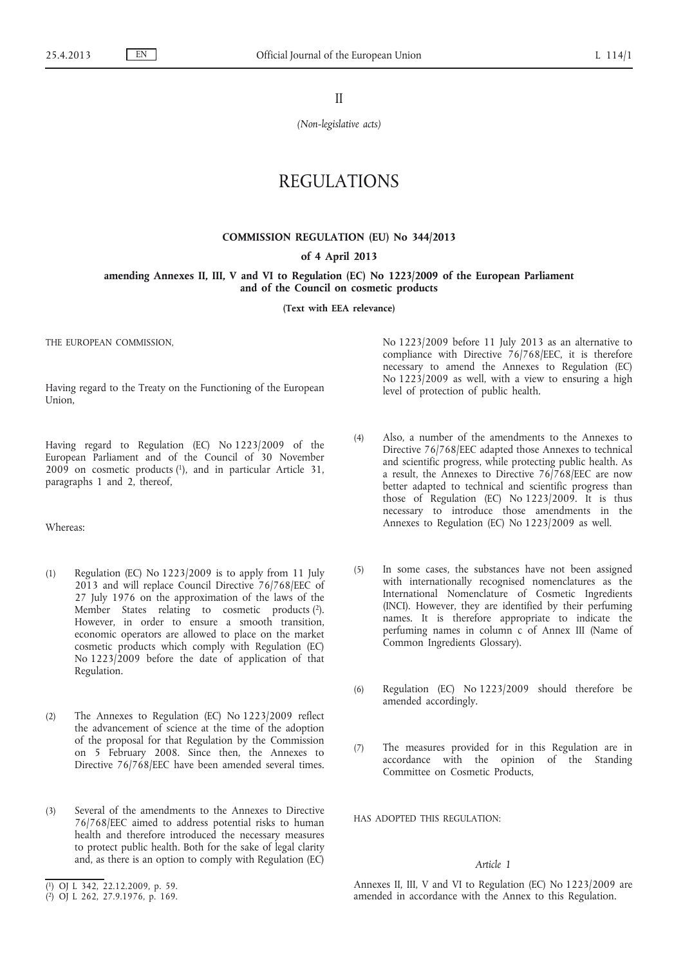II

*(Non-legislative acts)*

# REGULATIONS

### **COMMISSION REGULATION (EU) No 344/2013**

**of 4 April 2013**

### **amending Annexes II, III, V and VI to Regulation (EC) No 1223/2009 of the European Parliament and of the Council on cosmetic products**

**(Text with EEA relevance)**

THE EUROPEAN COMMISSION

Having regard to the Treaty on the Functioning of the European Union,

Having regard to Regulation (EC) No 1223/2009 of the European Parliament and of the Council of 30 November  $2009$  on cosmetic products  $(1)$ , and in particular Article 31, paragraphs 1 and 2, thereof,

Whereas:

- (1) Regulation (EC) No 1223/2009 is to apply from 11 July 2013 and will replace Council Directive 76/768/EEC of 27 July 1976 on the approximation of the laws of the Member States relating to cosmetic products (2). However, in order to ensure a smooth transition, economic operators are allowed to place on the market cosmetic products which comply with Regulation (EC) No 1223/2009 before the date of application of that Regulation.
- (2) The Annexes to Regulation (EC) No 1223/2009 reflect the advancement of science at the time of the adoption of the proposal for that Regulation by the Commission on 5 February 2008. Since then, the Annexes to Directive 76/768/EEC have been amended several times.
- (3) Several of the amendments to the Annexes to Directive 76/768/EEC aimed to address potential risks to human health and therefore introduced the necessary measures to protect public health. Both for the sake of legal clarity and, as there is an option to comply with Regulation (EC)

No 1223/2009 before 11 July 2013 as an alternative to compliance with Directive 76/768/EEC, it is therefore necessary to amend the Annexes to Regulation (EC) No 1223/2009 as well, with a view to ensuring a high level of protection of public health.

- (4) Also, a number of the amendments to the Annexes to Directive 76/768/EEC adapted those Annexes to technical and scientific progress, while protecting public health. As a result, the Annexes to Directive 76/768/EEC are now better adapted to technical and scientific progress than those of Regulation (EC) No 1223/2009. It is thus necessary to introduce those amendments in the Annexes to Regulation (EC) No 1223/2009 as well.
- (5) In some cases, the substances have not been assigned with internationally recognised nomenclatures as the International Nomenclature of Cosmetic Ingredients (INCI). However, they are identified by their perfuming names. It is therefore appropriate to indicate the perfuming names in column c of Annex III (Name of Common Ingredients Glossary).
- (6) Regulation (EC) No 1223/2009 should therefore be amended accordingly.
- (7) The measures provided for in this Regulation are in accordance with the opinion of the Standing Committee on Cosmetic Products,

HAS ADOPTED THIS REGULATION:

## *Article 1*

Annexes II, III, V and VI to Regulation (EC) No 1223/2009 are amended in accordance with the Annex to this Regulation.

<sup>(</sup> 1) OJ L 342, 22.12.2009, p. 59.

<sup>(</sup> 2) OJ L 262, 27.9.1976, p. 169.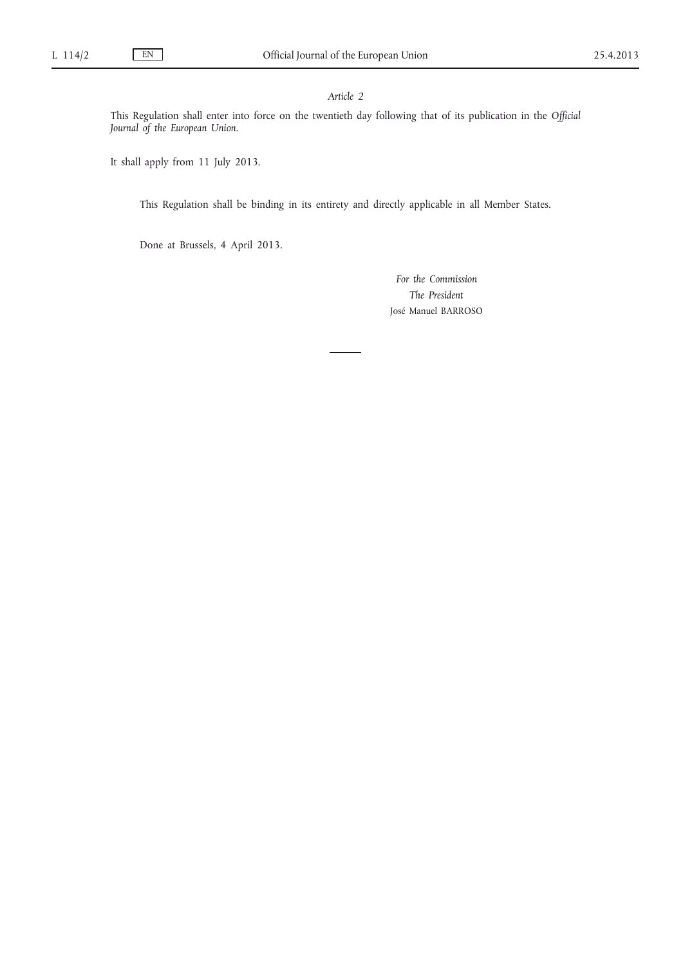## *Article 2*

This Regulation shall enter into force on the twentieth day following that of its publication in the *Official Journal of the European Union*.

It shall apply from 11 July 2013.

This Regulation shall be binding in its entirety and directly applicable in all Member States.

Done at Brussels, 4 April 2013.

*For the Commission The President* José Manuel BARROSO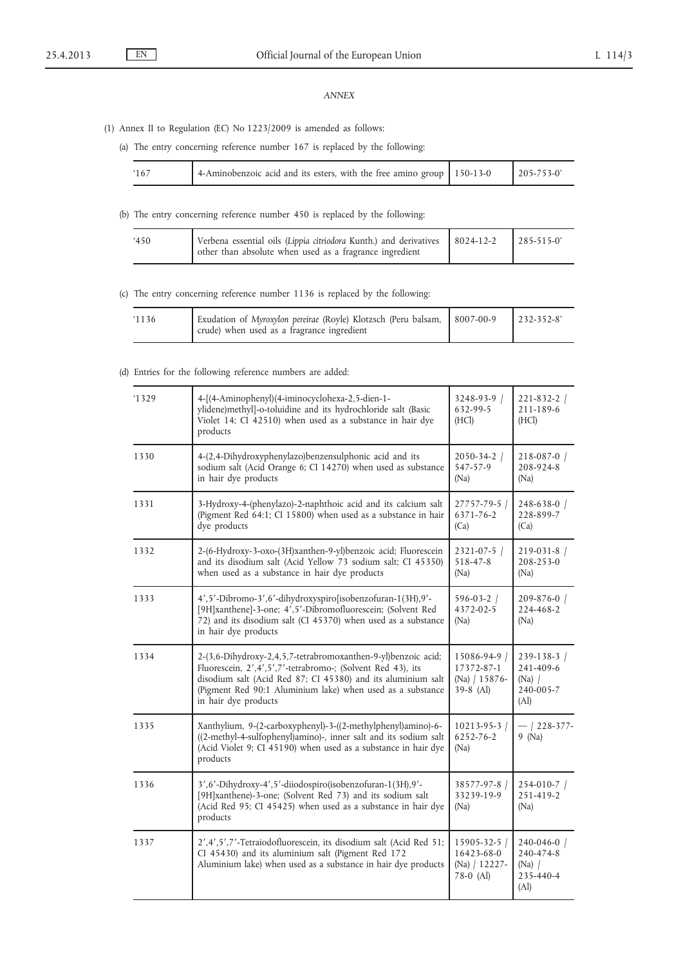## *ANNEX*

- (1) Annex II to Regulation (EC) No 1223/2009 is amended as follows:
	- (a) The entry concerning reference number 167 is replaced by the following:

|  | 4-Aminobenzoic acid and its esters, with the free amino group 150-13-0 |  | $1205 - 753 - 0'$ |
|--|------------------------------------------------------------------------|--|-------------------|
|--|------------------------------------------------------------------------|--|-------------------|

(b) The entry concerning reference number 450 is replaced by the following:

| 450 | Verbena essential oils (Lippia citriodora Kunth.) and derivatives   8024-12-2   285-515-0' |  |
|-----|--------------------------------------------------------------------------------------------|--|
|     | other than absolute when used as a fragrance ingredient                                    |  |

(c) The entry concerning reference number 1136 is replaced by the following:

| '1136 | Exudation of Myroxylon pereirae (Royle) Klotzsch (Peru balsam,   8007-00-9   232-352-8'<br>crude) when used as a fragrance ingredient |  |
|-------|---------------------------------------------------------------------------------------------------------------------------------------|--|
|       |                                                                                                                                       |  |

## (d) Entries for the following reference numbers are added:

| 1329 | 4-[(4-Aminophenyl)(4-iminocyclohexa-2,5-dien-1-<br>ylidene)methyl]-o-toluidine and its hydrochloride salt (Basic<br>Violet 14; CI 42510) when used as a substance in hair dye<br>products                                                                                          | 3248-93-9  <br>632-99-5<br>(HCl)                                  | $221 - 832 - 2$<br>211-189-6<br>(HCl)                                      |
|------|------------------------------------------------------------------------------------------------------------------------------------------------------------------------------------------------------------------------------------------------------------------------------------|-------------------------------------------------------------------|----------------------------------------------------------------------------|
| 1330 | 4-(2,4-Dihydroxyphenylazo)benzensulphonic acid and its<br>sodium salt (Acid Orange 6; CI 14270) when used as substance<br>in hair dye products                                                                                                                                     | $2050 - 34 - 2$<br>547-57-9<br>(Na)                               | $218 - 087 - 0$<br>208-924-8<br>(Na)                                       |
| 1331 | 3-Hydroxy-4-(phenylazo)-2-naphthoic acid and its calcium salt<br>(Pigment Red 64:1; CI 15800) when used as a substance in hair<br>dye products                                                                                                                                     | 27757-79-5  <br>6371-76-2<br>(Ca)                                 | 248-638-0  <br>228-899-7<br>(Ca)                                           |
| 1332 | 2-(6-Hydroxy-3-oxo-(3H)xanthen-9-yl)benzoic acid; Fluorescein<br>and its disodium salt (Acid Yellow 73 sodium salt; CI 45350)<br>when used as a substance in hair dye products                                                                                                     | $2321 - 07 - 5$ /<br>518-47-8<br>(Na)                             | $219-031-8$<br>208-253-0<br>(Na)                                           |
| 1333 | 4',5'-Dibromo-3',6'-dihydroxyspiro[isobenzofuran-1(3H),9'-<br>[9H]xanthene]-3-one; 4',5'-Dibromofluorescein; (Solvent Red<br>72) and its disodium salt (CI 45370) when used as a substance<br>in hair dye products                                                                 | $596 - 03 - 2$<br>4372-02-5<br>(Na)                               | 209-876-0 /<br>224-468-2<br>(Na)                                           |
| 1334 | 2-(3,6-Dihydroxy-2,4,5,7-tetrabromoxanthen-9-yl)benzoic acid;<br>Fluorescein, 2',4',5',7'-tetrabromo-; (Solvent Red 43), its<br>disodium salt (Acid Red 87; CI 45380) and its aluminium salt<br>(Pigment Red 90:1 Aluminium lake) when used as a substance<br>in hair dye products | 15086-94-9 /<br>17372-87-1<br>(Na) / 15876-<br>39-8 (Al)          | 239-138-3  <br>241-409-6<br>$(Na)$ /<br>240-005-7<br>(A <sub>l</sub> )     |
| 1335 | Xanthylium, 9-(2-carboxyphenyl)-3-((2-methylphenyl)amino)-6-<br>((2-methyl-4-sulfophenyl)amino)-, inner salt and its sodium salt<br>(Acid Violet 9; CI 45190) when used as a substance in hair dye<br>products                                                                     | $10213 - 95 - 3$<br>6252-76-2<br>(Na)                             | —   228-377-<br>$9$ (Na)                                                   |
| 1336 | 3',6'-Dihydroxy-4',5'-diiodospiro(isobenzofuran-1(3H),9'-<br>[9H]xanthene)-3-one; (Solvent Red 73) and its sodium salt<br>(Acid Red 95; CI 45425) when used as a substance in hair dye<br>products                                                                                 | 38577-97-8  <br>33239-19-9<br>(Na)                                | 254-010-7 /<br>251-419-2<br>(Na)                                           |
| 1337 | 2',4',5',7'-Tetraiodofluorescein, its disodium salt (Acid Red 51;<br>CI 45430) and its aluminium salt (Pigment Red 172<br>Aluminium lake) when used as a substance in hair dye products                                                                                            | $15905 - 32 - 5$<br>16423-68-0<br>(Na) $/ 12227 -$<br>$78-0$ (Al) | $240 - 046 - 0$<br>240-474-8<br>$(Na)$ /<br>235-440-4<br>(A <sub>l</sub> ) |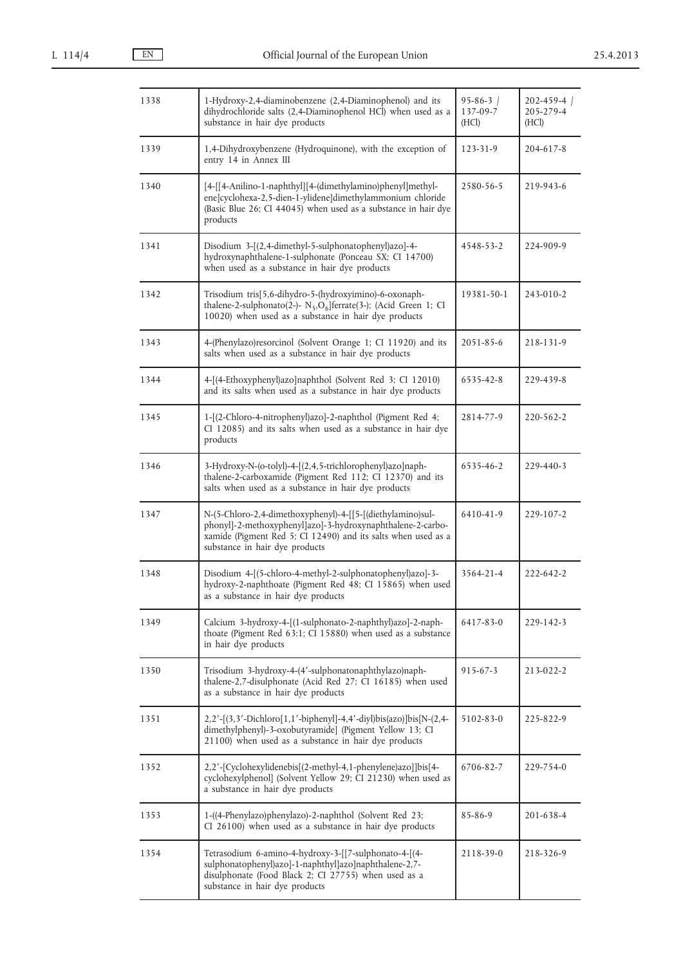| 1338 | 1-Hydroxy-2,4-diaminobenzene (2,4-Diaminophenol) and its<br>dihydrochloride salts (2,4-Diaminophenol HCl) when used as a<br>substance in hair dye products                                                                  | $95 - 86 - 3$<br>137-09-7<br>(HCI) | $202 - 459 - 4$<br>205-279-4<br>(HCl) |
|------|-----------------------------------------------------------------------------------------------------------------------------------------------------------------------------------------------------------------------------|------------------------------------|---------------------------------------|
| 1339 | 1,4-Dihydroxybenzene (Hydroquinone), with the exception of<br>entry 14 in Annex III                                                                                                                                         | $123 - 31 - 9$                     | 204-617-8                             |
| 1340 | [4-[[4-Anilino-1-naphthyl][4-(dimethylamino)phenyl]methyl-<br>ene]cyclohexa-2,5-dien-1-ylidene]dimethylammonium chloride<br>(Basic Blue 26; CI 44045) when used as a substance in hair dye<br>products                      | 2580-56-5                          | 219-943-6                             |
| 1341 | Disodium 3-[(2,4-dimethyl-5-sulphonatophenyl)azo]-4-<br>hydroxynaphthalene-1-sulphonate (Ponceau SX; CI 14700)<br>when used as a substance in hair dye products                                                             | 4548-53-2                          | 224-909-9                             |
| 1342 | Trisodium tris[5,6-dihydro-5-(hydroxyimino)-6-oxonaph-<br>thalene-2-sulphonato(2-)- N <sub>5</sub> ,O <sub>6</sub> ]ferrate(3-); (Acid Green 1; CI<br>10020) when used as a substance in hair dye products                  | 19381-50-1                         | 243-010-2                             |
| 1343 | 4-(Phenylazo) resorcinol (Solvent Orange 1; CI 11920) and its<br>salts when used as a substance in hair dye products                                                                                                        | 2051-85-6                          | 218-131-9                             |
| 1344 | 4-[(4-Ethoxyphenyl)azo]naphthol (Solvent Red 3; CI 12010)<br>and its salts when used as a substance in hair dye products                                                                                                    | 6535-42-8                          | 229-439-8                             |
| 1345 | 1-[(2-Chloro-4-nitrophenyl)azo]-2-naphthol (Pigment Red 4;<br>CI 12085) and its salts when used as a substance in hair dye<br>products                                                                                      | 2814-77-9                          | 220-562-2                             |
| 1346 | 3-Hydroxy-N-(o-tolyl)-4-[(2,4,5-trichlorophenyl)azo]naph-<br>thalene-2-carboxamide (Pigment Red 112; CI 12370) and its<br>salts when used as a substance in hair dye products                                               | 6535-46-2                          | 229-440-3                             |
| 1347 | N-(5-Chloro-2,4-dimethoxyphenyl)-4-[[5-[(diethylamino)sul-<br>phonyl]-2-methoxyphenyl]azo]-3-hydroxynaphthalene-2-carbo-<br>xamide (Pigment Red 5; CI 12490) and its salts when used as a<br>substance in hair dye products | 6410-41-9                          | 229-107-2                             |
| 1348 | Disodium 4-[(5-chloro-4-methyl-2-sulphonatophenyl)azo]-3-<br>hydroxy-2-naphthoate (Pigment Red 48; CI 15865) when used<br>as a substance in hair dye products                                                               | 3564-21-4                          | 222-642-2                             |
| 1349 | Calcium 3-hydroxy-4-[(1-sulphonato-2-naphthyl)azo]-2-naph-<br>thoate (Pigment Red 63:1; CI 15880) when used as a substance<br>in hair dye products                                                                          | 6417-83-0                          | 229-142-3                             |
| 1350 | Trisodium 3-hydroxy-4-(4'-sulphonatonaphthylazo)naph-<br>thalene-2,7-disulphonate (Acid Red 27; CI 16185) when used<br>as a substance in hair dye products                                                                  | $915 - 67 - 3$                     | 213-022-2                             |
| 1351 | 2,2'-[(3,3'-Dichloro[1,1'-biphenyl]-4,4'-diyl)bis(azo)]bis[N-(2,4-<br>dimethylphenyl)-3-oxobutyramide] (Pigment Yellow 13; CI<br>21100) when used as a substance in hair dye products                                       | 5102-83-0                          | 225-822-9                             |
| 1352 | 2,2'-[Cyclohexylidenebis[(2-methyl-4,1-phenylene)azo]]bis[4-<br>cyclohexylphenol] (Solvent Yellow 29; CI 21230) when used as<br>a substance in hair dye products                                                            | 6706-82-7                          | 229-754-0                             |
| 1353 | 1-((4-Phenylazo)phenylazo)-2-naphthol (Solvent Red 23;<br>CI 26100) when used as a substance in hair dye products                                                                                                           | 85-86-9                            | 201-638-4                             |
| 1354 | Tetrasodium 6-amino-4-hydroxy-3-[[7-sulphonato-4-[(4-<br>sulphonatophenyl)azo]-1-naphthyl]azo]naphthalene-2,7-<br>disulphonate (Food Black 2; CI 27755) when used as a<br>substance in hair dye products                    | 2118-39-0                          | 218-326-9                             |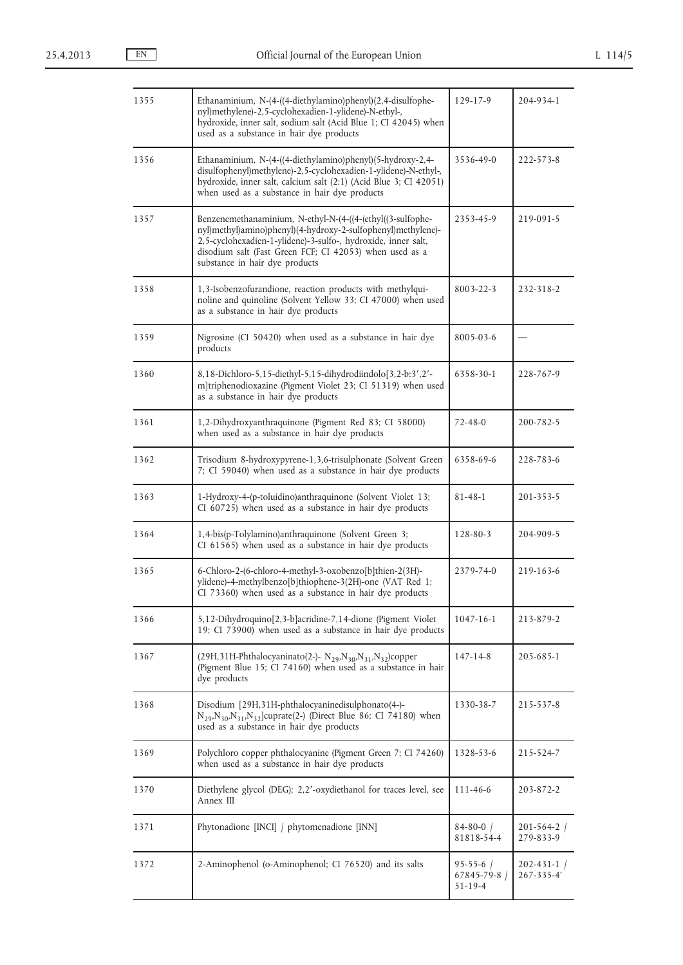| 204-934-1                     |
|-------------------------------|
|                               |
| 222-573-8                     |
| 219-091-5                     |
| 232-318-2                     |
|                               |
| 228-767-9                     |
| 200-782-5                     |
| 228-783-6                     |
| 201-353-5                     |
| 204-909-5                     |
| 219-163-6                     |
| 213-879-2                     |
| 205-685-1                     |
| 215-537-8                     |
| 215-524-7                     |
| 203-872-2                     |
| $201 - 564 - 2$<br>279-833-9  |
| $202 - 431 - 1$<br>267-335-4' |
|                               |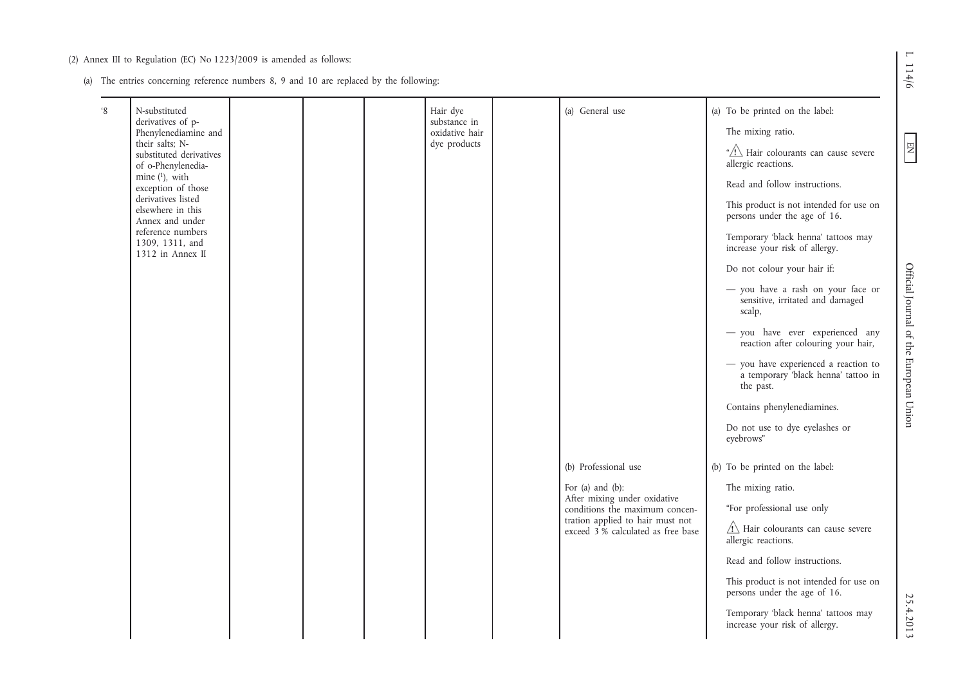| $^{\circ}8$ | N-substituted<br>derivatives of p-                                                       | Hair dye<br>substance in       | (a) General use                                                        | (a) To be printed on the label:                                                             |
|-------------|------------------------------------------------------------------------------------------|--------------------------------|------------------------------------------------------------------------|---------------------------------------------------------------------------------------------|
|             | Phenylenediamine and<br>their salts; N-<br>substituted derivatives<br>of o-Phenylenedia- | oxidative hair<br>dye products |                                                                        | The mixing ratio.<br>" <sup>"</sup> Hair colourants can cause severe<br>allergic reactions. |
|             | mine $(1)$ , with<br>exception of those                                                  |                                |                                                                        | Read and follow instructions.                                                               |
|             | derivatives listed<br>elsewhere in this<br>Annex and under                               |                                |                                                                        | This product is not intended for use on<br>persons under the age of 16.                     |
|             | reference numbers<br>1309, 1311, and<br>1312 in Annex II                                 |                                |                                                                        | Temporary 'black henna' tattoos may<br>increase your risk of allergy.                       |
|             |                                                                                          |                                |                                                                        | Do not colour your hair if:                                                                 |
|             |                                                                                          |                                |                                                                        | - you have a rash on your face or<br>sensitive, irritated and damaged<br>scalp,             |
|             |                                                                                          |                                |                                                                        | - you have ever experienced any<br>reaction after colouring your hair,                      |
|             |                                                                                          |                                |                                                                        | - you have experienced a reaction to<br>a temporary black henna' tattoo in<br>the past.     |
|             |                                                                                          |                                |                                                                        | Contains phenylenediamines.                                                                 |
|             |                                                                                          |                                |                                                                        | Do not use to dye eyelashes or<br>eyebrows"                                                 |
|             |                                                                                          |                                | (b) Professional use                                                   | (b) To be printed on the label:                                                             |
|             |                                                                                          |                                | For $(a)$ and $(b)$ :                                                  | The mixing ratio.                                                                           |
|             |                                                                                          |                                | After mixing under oxidative<br>conditions the maximum concen-         | "For professional use only                                                                  |
|             |                                                                                          |                                | tration applied to hair must not<br>exceed 3 % calculated as free base | Hair colourants can cause severe<br>allergic reactions.                                     |
|             |                                                                                          |                                |                                                                        | Read and follow instructions.                                                               |
|             |                                                                                          |                                |                                                                        | This product is not intended for use on<br>persons under the age of 16.                     |
|             |                                                                                          |                                |                                                                        | Temporary 'black henna' tattoos may<br>increase your risk of allergy.                       |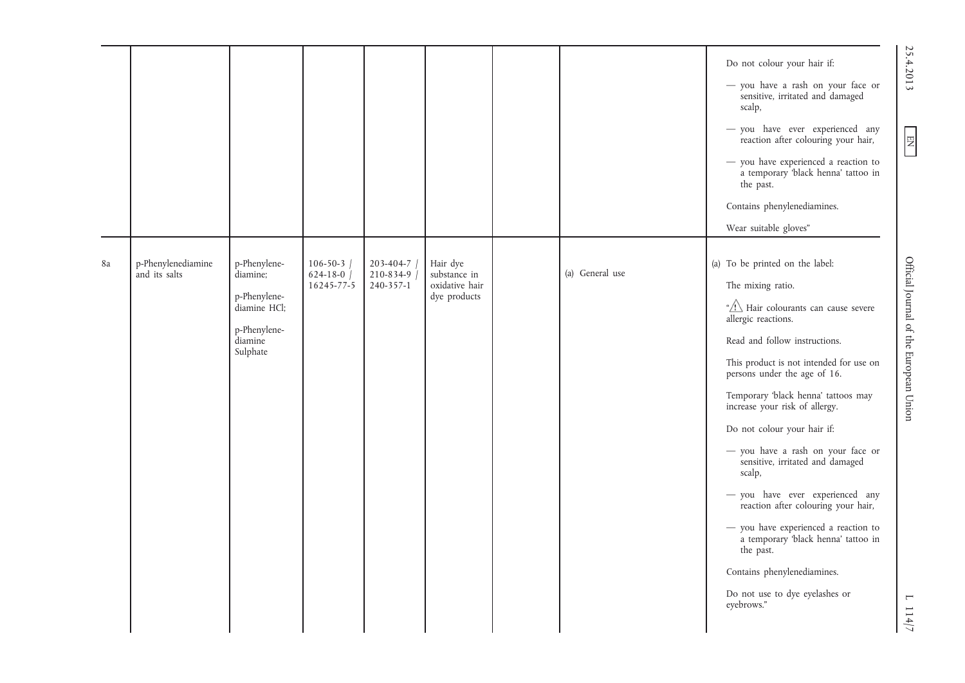|    |                                     |                                                                                                 |                                                |                                     |                                                            |                 | Do not colour your hair if:<br>- you have a rash on your face or<br>sensitive, irritated and damaged<br>scalp,                                                                                                                                                                                                                                                                                                                                                                                                                                                                                                                             | 25.4.2013                              |
|----|-------------------------------------|-------------------------------------------------------------------------------------------------|------------------------------------------------|-------------------------------------|------------------------------------------------------------|-----------------|--------------------------------------------------------------------------------------------------------------------------------------------------------------------------------------------------------------------------------------------------------------------------------------------------------------------------------------------------------------------------------------------------------------------------------------------------------------------------------------------------------------------------------------------------------------------------------------------------------------------------------------------|----------------------------------------|
|    |                                     |                                                                                                 |                                                |                                     |                                                            |                 | - you have ever experienced any<br>reaction after colouring your hair,                                                                                                                                                                                                                                                                                                                                                                                                                                                                                                                                                                     | EN<br>KE                               |
|    |                                     |                                                                                                 |                                                |                                     |                                                            |                 | - you have experienced a reaction to<br>a temporary black henna' tattoo in<br>the past.                                                                                                                                                                                                                                                                                                                                                                                                                                                                                                                                                    |                                        |
|    |                                     |                                                                                                 |                                                |                                     |                                                            |                 | Contains phenylenediamines.                                                                                                                                                                                                                                                                                                                                                                                                                                                                                                                                                                                                                |                                        |
|    |                                     |                                                                                                 |                                                |                                     |                                                            |                 | Wear suitable gloves"                                                                                                                                                                                                                                                                                                                                                                                                                                                                                                                                                                                                                      |                                        |
| 8a | p-Phenylenediamine<br>and its salts | p-Phenylene-<br>diamine;<br>p-Phenylene-<br>diamine HCl;<br>p-Phenylene-<br>diamine<br>Sulphate | $106 - 50 - 3$<br>$624 - 18 - 0$<br>16245-77-5 | 203-404-7<br>210-834-9<br>240-357-1 | Hair dye<br>substance in<br>oxidative hair<br>dye products | (a) General use | (a) To be printed on the label:<br>The mixing ratio.<br>" <sup>"</sup> Hair colourants can cause severe<br>allergic reactions.<br>Read and follow instructions.<br>This product is not intended for use on<br>persons under the age of 16.<br>Temporary 'black henna' tattoos may<br>increase your risk of allergy.<br>Do not colour your hair if:<br>- you have a rash on your face or<br>sensitive, irritated and damaged<br>scalp,<br>- you have ever experienced any<br>reaction after colouring your hair,<br>- you have experienced a reaction to<br>a temporary 'black henna' tattoo in<br>the past.<br>Contains phenylenediamines. | Official Journal of the European Union |
|    |                                     |                                                                                                 |                                                |                                     |                                                            |                 | Do not use to dye eyelashes or<br>eyebrows."                                                                                                                                                                                                                                                                                                                                                                                                                                                                                                                                                                                               | $\mathbf{\Gamma}$<br>14/7              |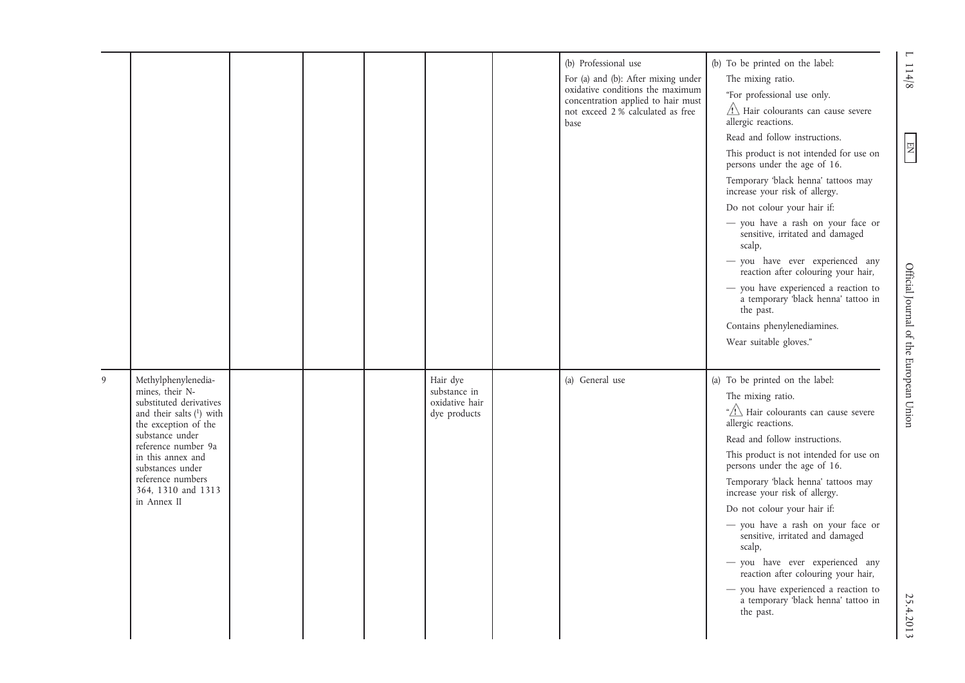|   |                                                                                                                                                                                                                                                                      |  |                                                            | (b) Professional use<br>For (a) and (b): After mixing under<br>oxidative conditions the maximum<br>concentration applied to hair must<br>not exceed 2 % calculated as free<br>base | (b) To be printed on the label:<br>The mixing ratio.<br>"For professional use only.<br>Hair colourants can cause severe<br>allergic reactions.<br>Read and follow instructions.<br>This product is not intended for use on<br>persons under the age of 16.<br>Temporary 'black henna' tattoos may<br>increase your risk of allergy.<br>Do not colour your hair if:<br>- you have a rash on your face or<br>sensitive, irritated and damaged<br>scalp,<br>- you have ever experienced any                                                                                                        | $\overline{ }$<br>114/8<br>E           |
|---|----------------------------------------------------------------------------------------------------------------------------------------------------------------------------------------------------------------------------------------------------------------------|--|------------------------------------------------------------|------------------------------------------------------------------------------------------------------------------------------------------------------------------------------------|-------------------------------------------------------------------------------------------------------------------------------------------------------------------------------------------------------------------------------------------------------------------------------------------------------------------------------------------------------------------------------------------------------------------------------------------------------------------------------------------------------------------------------------------------------------------------------------------------|----------------------------------------|
|   |                                                                                                                                                                                                                                                                      |  |                                                            |                                                                                                                                                                                    | reaction after colouring your hair,<br>- you have experienced a reaction to<br>a temporary black henna' tattoo in<br>the past.<br>Contains phenylenediamines.<br>Wear suitable gloves."                                                                                                                                                                                                                                                                                                                                                                                                         | Official Journal of the European Union |
| 9 | Methylphenylenedia-<br>mines, their N-<br>substituted derivatives<br>and their salts $(1)$ with<br>the exception of the<br>substance under<br>reference number 9a<br>in this annex and<br>substances under<br>reference numbers<br>364, 1310 and 1313<br>in Annex II |  | Hair dye<br>substance in<br>oxidative hair<br>dye products | (a) General use                                                                                                                                                                    | (a) To be printed on the label:<br>The mixing ratio.<br>"/\ Hair colourants can cause severe<br>allergic reactions.<br>Read and follow instructions.<br>This product is not intended for use on<br>persons under the age of 16.<br>Temporary 'black henna' tattoos may<br>increase your risk of allergy.<br>Do not colour your hair if:<br>- you have a rash on your face or<br>sensitive, irritated and damaged<br>scalp,<br>- you have ever experienced any<br>reaction after colouring your hair,<br>- you have experienced a reaction to<br>a temporary black henna' tattoo in<br>the past. | 25.4.2013                              |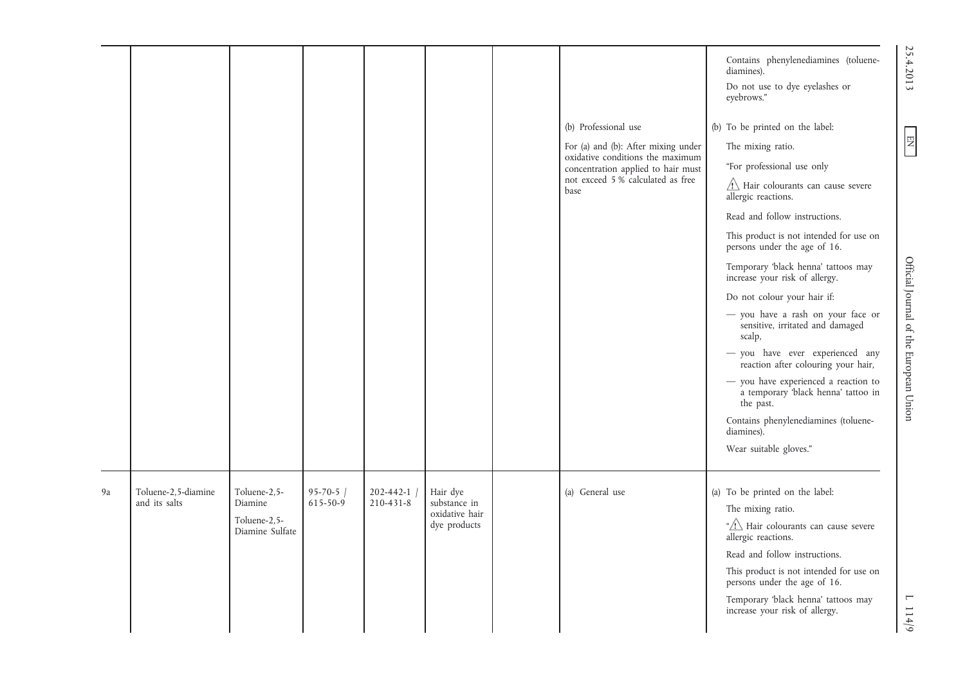|    |                                      |                                                            |                                 |                        |                                                            |                                                                                                                                                                                    | Contains phenylenediamines (toluene-<br>diamines).<br>Do not use to dye eyelashes or<br>eyebrows."                                                                                                                                                                                                                                                                                                                                                                                                                                                                                                                                                                                                                    | 25.4.2013                                                                                   |
|----|--------------------------------------|------------------------------------------------------------|---------------------------------|------------------------|------------------------------------------------------------|------------------------------------------------------------------------------------------------------------------------------------------------------------------------------------|-----------------------------------------------------------------------------------------------------------------------------------------------------------------------------------------------------------------------------------------------------------------------------------------------------------------------------------------------------------------------------------------------------------------------------------------------------------------------------------------------------------------------------------------------------------------------------------------------------------------------------------------------------------------------------------------------------------------------|---------------------------------------------------------------------------------------------|
|    |                                      |                                                            |                                 |                        |                                                            | (b) Professional use<br>For (a) and (b): After mixing under<br>oxidative conditions the maximum<br>concentration applied to hair must<br>not exceed 5 % calculated as free<br>base | (b) To be printed on the label:<br>The mixing ratio.<br>"For professional use only<br>$\triangle$ Hair colourants can cause severe<br>allergic reactions.<br>Read and follow instructions.<br>This product is not intended for use on<br>persons under the age of 16.<br>Temporary 'black henna' tattoos may<br>increase your risk of allergy.<br>Do not colour your hair if:<br>- you have a rash on your face or<br>sensitive, irritated and damaged<br>scalp,<br>- you have ever experienced any<br>reaction after colouring your hair,<br>- you have experienced a reaction to<br>a temporary black henna' tattoo in<br>the past.<br>Contains phenylenediamines (toluene-<br>diamines).<br>Wear suitable gloves." | $\boxed{\phantom{\begin{bmatrix}1\end{bmatrix}}}$<br>Official Journal of the European Union |
| 9a | Toluene-2,5-diamine<br>and its salts | Toluene-2,5-<br>Diamine<br>Toluene-2,5-<br>Diamine Sulfate | $95 - 70 - 5$<br>$615 - 50 - 9$ | 202-442-1<br>210-431-8 | Hair dye<br>substance in<br>oxidative hair<br>dye products | (a) General use                                                                                                                                                                    | (a) To be printed on the label:<br>The mixing ratio.<br>" <sup>"</sup> >> Hair colourants can cause severe<br>allergic reactions.<br>Read and follow instructions.<br>This product is not intended for use on<br>persons under the age of 16.<br>Temporary 'black henna' tattoos may<br>increase your risk of allergy.                                                                                                                                                                                                                                                                                                                                                                                                | $\mathbf{\mathsf{I}}$<br>114/9                                                              |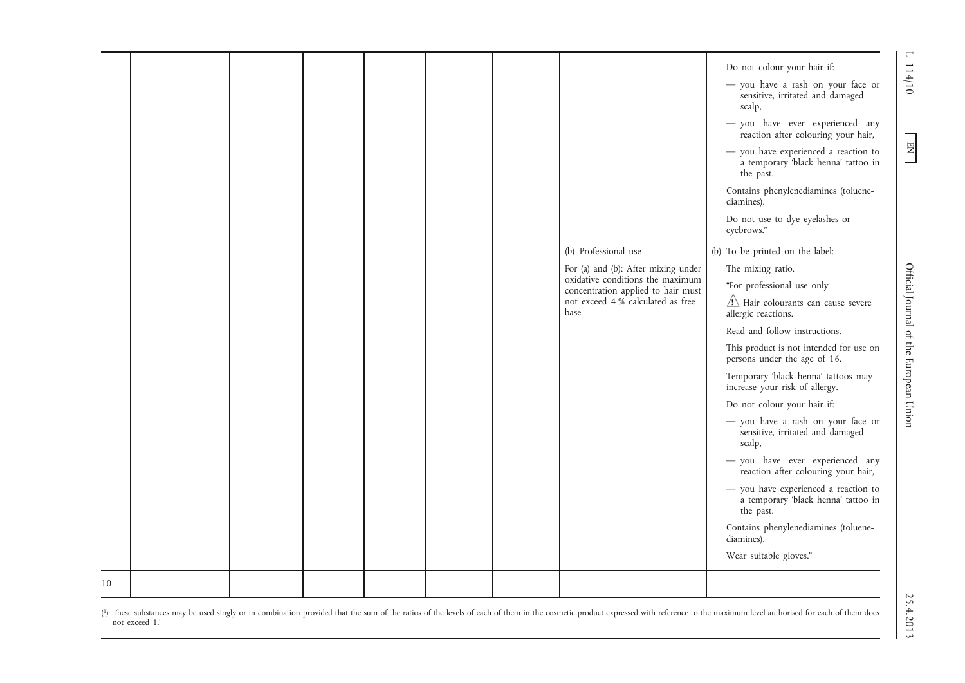|  |  |  |                                                                        | Do not colour your hair if:                                                             |
|--|--|--|------------------------------------------------------------------------|-----------------------------------------------------------------------------------------|
|  |  |  |                                                                        | - you have a rash on your face or<br>sensitive, irritated and damaged<br>scalp,         |
|  |  |  |                                                                        | - you have ever experienced any<br>reaction after colouring your hair,                  |
|  |  |  |                                                                        | - you have experienced a reaction to<br>a temporary black henna' tattoo in<br>the past. |
|  |  |  |                                                                        | Contains phenylenediamines (toluene-<br>diamines).                                      |
|  |  |  |                                                                        | Do not use to dye eyelashes or<br>eyebrows."                                            |
|  |  |  | (b) Professional use                                                   | (b) To be printed on the label:                                                         |
|  |  |  | For (a) and (b): After mixing under                                    | The mixing ratio.                                                                       |
|  |  |  | oxidative conditions the maximum<br>concentration applied to hair must | "For professional use only                                                              |
|  |  |  | not exceed 4 % calculated as free<br>base                              | $\overline{\mathcal{L}}$ Hair colourants can cause severe<br>allergic reactions.        |
|  |  |  |                                                                        | Read and follow instructions.                                                           |
|  |  |  |                                                                        | This product is not intended for use on<br>persons under the age of 16.                 |
|  |  |  |                                                                        | Temporary 'black henna' tattoos may<br>increase your risk of allergy.                   |
|  |  |  |                                                                        | Do not colour your hair if:                                                             |
|  |  |  |                                                                        | - you have a rash on your face or<br>sensitive, irritated and damaged<br>scalp,         |
|  |  |  |                                                                        | - you have ever experienced any<br>reaction after colouring your hair,                  |
|  |  |  |                                                                        | - you have experienced a reaction to<br>a temporary black henna' tattoo in<br>the past. |
|  |  |  |                                                                        | Contains phenylenediamines (toluene-<br>diamines).                                      |
|  |  |  |                                                                        | Wear suitable gloves."                                                                  |
|  |  |  |                                                                        |                                                                                         |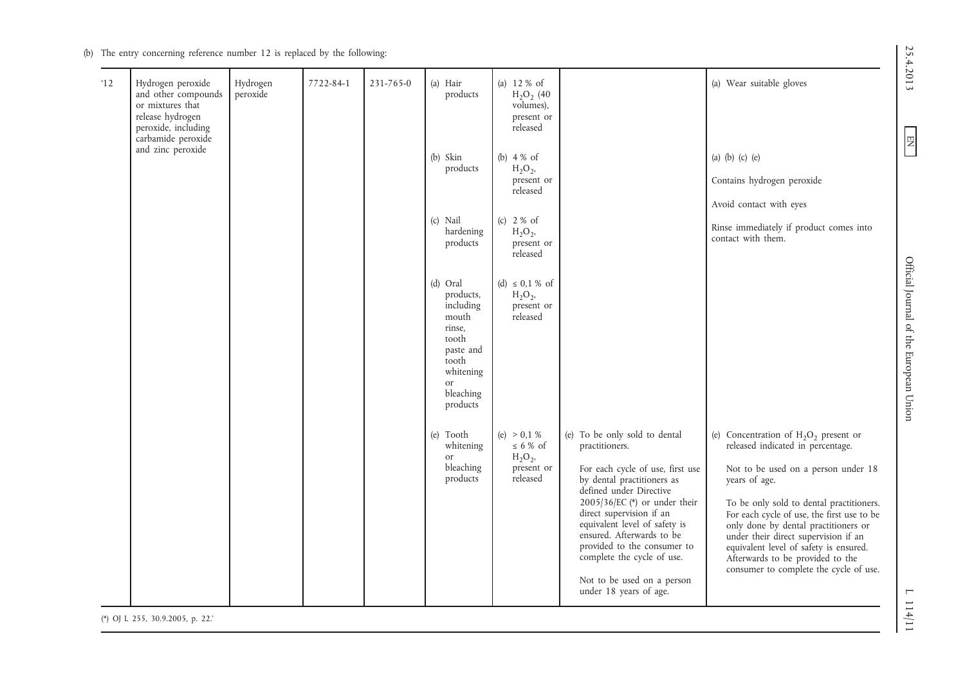| 12 | Hydrogen peroxide<br>and other compounds<br>or mixtures that<br>release hydrogen<br>peroxide, including<br>carbamide peroxide | Hydrogen<br>peroxide | 7722-84-1 | 231-765-0 | (a) Hair<br>products                                                                                                             | (a) $12 \%$ of<br>$H_2O_2$ (40<br>volumes),<br>present or<br>released  |                                                                                                                                                                                                                                                                                                                                                                                                | (a) Wear suitable gloves                                                                                                                                                                                                                                                                                                                                                                                                                |
|----|-------------------------------------------------------------------------------------------------------------------------------|----------------------|-----------|-----------|----------------------------------------------------------------------------------------------------------------------------------|------------------------------------------------------------------------|------------------------------------------------------------------------------------------------------------------------------------------------------------------------------------------------------------------------------------------------------------------------------------------------------------------------------------------------------------------------------------------------|-----------------------------------------------------------------------------------------------------------------------------------------------------------------------------------------------------------------------------------------------------------------------------------------------------------------------------------------------------------------------------------------------------------------------------------------|
|    | and zinc peroxide                                                                                                             |                      |           |           | $(b)$ Skin<br>products                                                                                                           | (b) $4%$ of<br>$H_2O_2$<br>present or<br>released                      |                                                                                                                                                                                                                                                                                                                                                                                                | (a) (b) (c) (e)<br>Contains hydrogen peroxide<br>Avoid contact with eyes                                                                                                                                                                                                                                                                                                                                                                |
|    |                                                                                                                               |                      |           |           | (c) Nail<br>hardening<br>products                                                                                                | (c) $2\%$ of<br>$H_2O_2$<br>present or<br>released                     |                                                                                                                                                                                                                                                                                                                                                                                                | Rinse immediately if product comes into<br>contact with them.                                                                                                                                                                                                                                                                                                                                                                           |
|    |                                                                                                                               |                      |           |           | (d) Oral<br>products,<br>including<br>mouth<br>rinse,<br>tooth<br>paste and<br>tooth<br>whitening<br>or<br>bleaching<br>products | (d) $\leq 0.1 \%$ of<br>$H_2O_2$ ,<br>present or<br>released           |                                                                                                                                                                                                                                                                                                                                                                                                |                                                                                                                                                                                                                                                                                                                                                                                                                                         |
|    |                                                                                                                               |                      |           |           | (e) Tooth<br>whitening<br>or<br>bleaching<br>products                                                                            | (e) $> 0.1 %$<br>$\leq$ 6 % of<br>$H_2O_2$ ,<br>present or<br>released | (e) To be only sold to dental<br>practitioners.<br>For each cycle of use, first use<br>by dental practitioners as<br>defined under Directive<br>$2005/36/EC$ (*) or under their<br>direct supervision if an<br>equivalent level of safety is<br>ensured. Afterwards to be<br>provided to the consumer to<br>complete the cycle of use.<br>Not to be used on a person<br>under 18 years of age. | (e) Concentration of $H_2O_2$ present or<br>released indicated in percentage.<br>Not to be used on a person under 18<br>years of age.<br>To be only sold to dental practitioners.<br>For each cycle of use, the first use to be<br>only done by dental practitioners or<br>under their direct supervision if an<br>equivalent level of safety is ensured.<br>Afterwards to be provided to the<br>consumer to complete the cycle of use. |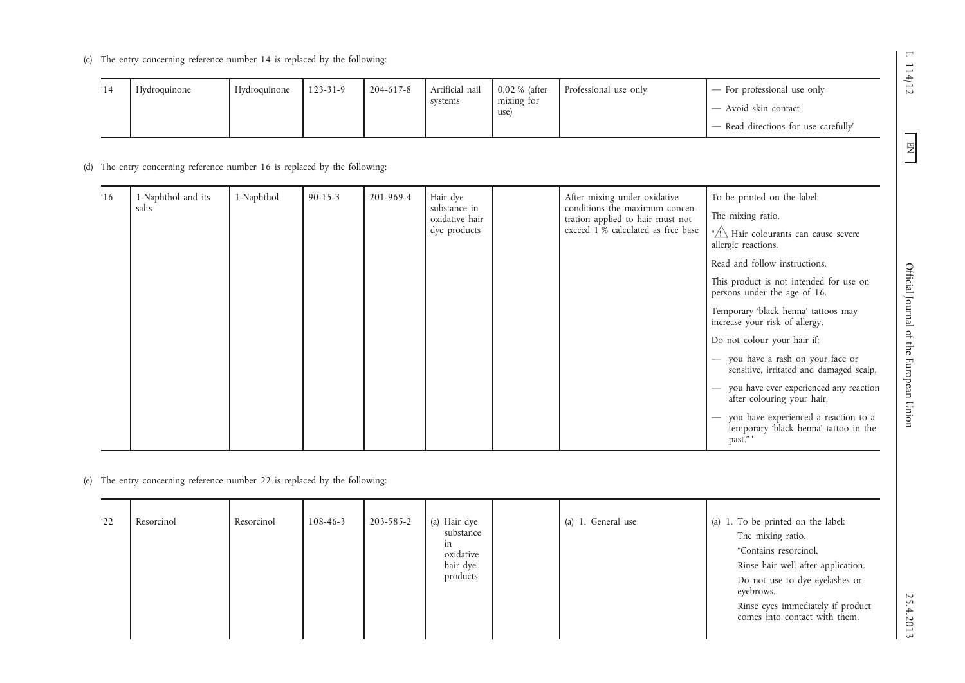| 14 | Hydroquinone | Hydroquinone | $123 - 31 - 9$ | 204-617-8 | systems | Artificial nail   0,02 % (after<br>mixing for<br>use) | Professional use only | $\vert$ — For professional use only<br>- Avoid skin contact<br>$\mathcal{L}$ Read directions for use carefully |
|----|--------------|--------------|----------------|-----------|---------|-------------------------------------------------------|-----------------------|----------------------------------------------------------------------------------------------------------------|
|----|--------------|--------------|----------------|-----------|---------|-------------------------------------------------------|-----------------------|----------------------------------------------------------------------------------------------------------------|

|              | (c) The entry concerning reference number 14 is replaced by the following:                                |              |                |           |                                                                      |                                     |                                                                                                                                         |                                                                                                                                                                                                                                                                                                                                                                                                                                                                                                                                                                                                       |
|--------------|-----------------------------------------------------------------------------------------------------------|--------------|----------------|-----------|----------------------------------------------------------------------|-------------------------------------|-----------------------------------------------------------------------------------------------------------------------------------------|-------------------------------------------------------------------------------------------------------------------------------------------------------------------------------------------------------------------------------------------------------------------------------------------------------------------------------------------------------------------------------------------------------------------------------------------------------------------------------------------------------------------------------------------------------------------------------------------------------|
| 14           | Hydroquinone<br>(d) The entry concerning reference number 16 is replaced by the following:                | Hydroquinone | 123-31-9       | 204-617-8 | Artificial nail<br>systems                                           | 0,02 % (after<br>mixing for<br>use) | Professional use only                                                                                                                   | - For professional use only<br>- Avoid skin contact<br>- Read directions for use carefully'                                                                                                                                                                                                                                                                                                                                                                                                                                                                                                           |
| $^{\circ}16$ | 1-Naphthol and its<br>salts<br>(e) The entry concerning reference number 22 is replaced by the following: | 1-Naphthol   | $90 - 15 - 3$  | 201-969-4 | Hair dye<br>substance in<br>oxidative hair<br>dye products           |                                     | After mixing under oxidative<br>conditions the maximum concen-<br>tration applied to hair must not<br>exceed 1% calculated as free base | To be printed on the label:<br>The mixing ratio.<br>" <sup>"</sup> >> Hair colourants can cause severe<br>allergic reactions.<br>Read and follow instructions.<br>This product is not intended for use on<br>persons under the age of 16.<br>Temporary 'black henna' tattoos may<br>increase your risk of allergy.<br>Do not colour your hair if:<br>- you have a rash on your face or<br>sensitive, irritated and damaged scalp,<br>you have ever experienced any reaction<br>after colouring your hair,<br>you have experienced a reaction to a<br>temporary 'black henna' tattoo in the<br>past."' |
| 22           | Resorcinol                                                                                                | Resorcinol   | $108 - 46 - 3$ | 203-585-2 | (a) Hair dye<br>substance<br>in<br>oxidative<br>hair dye<br>products |                                     | (a) 1. General use                                                                                                                      | (a) 1. To be printed on the label:<br>The mixing ratio.<br>"Contains resorcinol.<br>Rinse hair well after application.<br>Do not use to dye eyelashes or<br>eyebrows.<br>Rinse eyes immediately if product<br>comes into contact with them.                                                                                                                                                                                                                                                                                                                                                           |

| '22 | Resorcinol | Resorcinol | 108-46-3 | 203-585-2 | (a) Hair dye<br>substance<br>1n<br>oxidative<br>hair dye<br>products |  | (a) 1. General use | (a) 1. To be printed on the label:<br>The mixing ratio.<br>"Contains resorcinol.<br>Rinse hair well after application.<br>Do not use to dye eyelashes or<br>eyebrows.<br>Rinse eyes immediately if product<br>comes into contact with them. |
|-----|------------|------------|----------|-----------|----------------------------------------------------------------------|--|--------------------|---------------------------------------------------------------------------------------------------------------------------------------------------------------------------------------------------------------------------------------------|
|-----|------------|------------|----------|-----------|----------------------------------------------------------------------|--|--------------------|---------------------------------------------------------------------------------------------------------------------------------------------------------------------------------------------------------------------------------------------|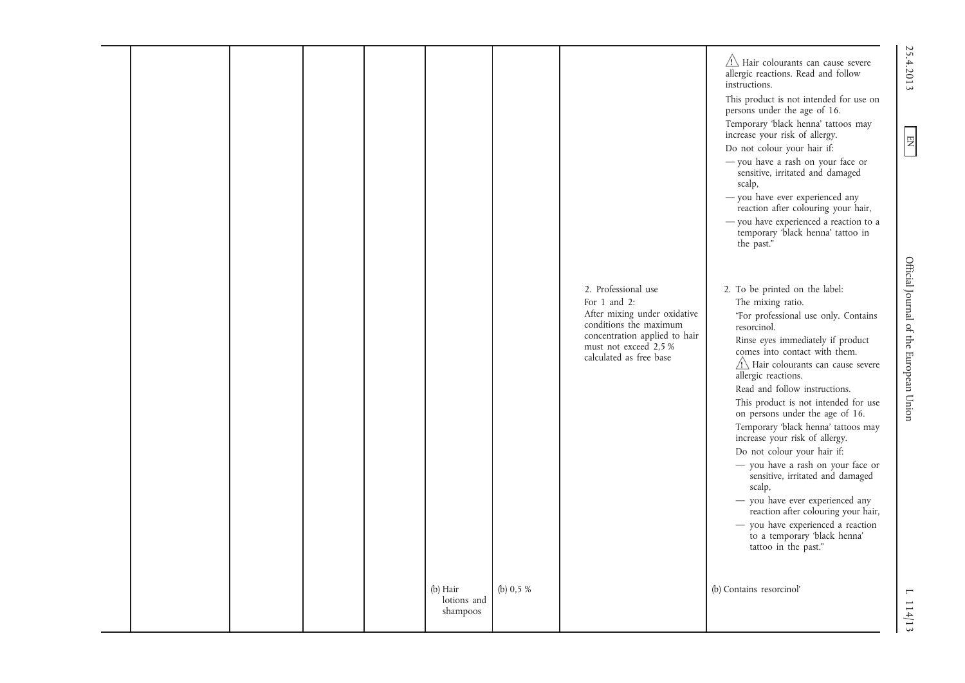|  |  |                                       |            |                                                                                                                                                                                    | $\sqrt{!}$ Hair colourants can cause severe<br>allergic reactions. Read and follow<br>instructions.<br>This product is not intended for use on<br>persons under the age of 16.<br>Temporary 'black henna' tattoos may<br>increase your risk of allergy.<br>Do not colour your hair if:<br>- you have a rash on your face or<br>sensitive, irritated and damaged<br>scalp,<br>- you have ever experienced any<br>reaction after colouring your hair,<br>- you have experienced a reaction to a<br>temporary 'black henna' tattoo in<br>the past."                                                                                                                                                                                     | 25.4.2013<br>E                         |
|--|--|---------------------------------------|------------|------------------------------------------------------------------------------------------------------------------------------------------------------------------------------------|--------------------------------------------------------------------------------------------------------------------------------------------------------------------------------------------------------------------------------------------------------------------------------------------------------------------------------------------------------------------------------------------------------------------------------------------------------------------------------------------------------------------------------------------------------------------------------------------------------------------------------------------------------------------------------------------------------------------------------------|----------------------------------------|
|  |  |                                       |            | 2. Professional use<br>For 1 and 2:<br>After mixing under oxidative<br>conditions the maximum<br>concentration applied to hair<br>must not exceed 2,5 %<br>calculated as free base | 2. To be printed on the label:<br>The mixing ratio.<br>"For professional use only. Contains<br>resorcinol.<br>Rinse eyes immediately if product<br>comes into contact with them.<br>$\sqrt{1}$ Hair colourants can cause severe<br>allergic reactions.<br>Read and follow instructions.<br>This product is not intended for use<br>on persons under the age of 16.<br>Temporary 'black henna' tattoos may<br>increase your risk of allergy.<br>Do not colour your hair if:<br>- you have a rash on your face or<br>sensitive, irritated and damaged<br>scalp,<br>- you have ever experienced any<br>reaction after colouring your hair,<br>- you have experienced a reaction<br>to a temporary 'black henna'<br>tattoo in the past." | Official Journal of the European Union |
|  |  | $(b)$ Hair<br>lotions and<br>shampoos | (b) $0,5%$ |                                                                                                                                                                                    | (b) Contains resorcinol'                                                                                                                                                                                                                                                                                                                                                                                                                                                                                                                                                                                                                                                                                                             | $\mathbf{\mathsf{I}}$<br>114/13        |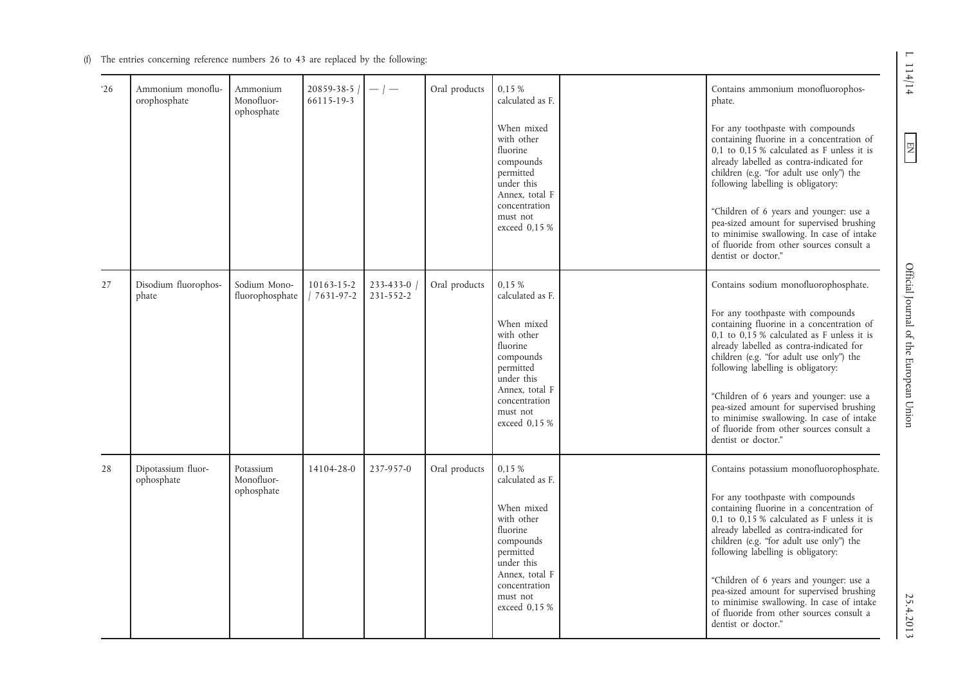|  | (f) The entries concerning reference numbers 26 to 43 are replaced by the following: |  |  |  |  |
|--|--------------------------------------------------------------------------------------|--|--|--|--|
|  |                                                                                      |  |  |  |  |

| 26 | Ammonium monoflu-<br>orophosphate | Ammonium<br>Monofluor-<br>ophosphate  | 20859-38-5 /<br>66115-19-3 | — 1 —                  | Oral products | 0.15 %<br>calculated as F.                                                                                      | Contains ammonium monofluorophos-<br>phate.                                                                                                                                                                                                                                                                        |
|----|-----------------------------------|---------------------------------------|----------------------------|------------------------|---------------|-----------------------------------------------------------------------------------------------------------------|--------------------------------------------------------------------------------------------------------------------------------------------------------------------------------------------------------------------------------------------------------------------------------------------------------------------|
|    |                                   |                                       |                            |                        |               | When mixed<br>with other<br>fluorine<br>compounds<br>permitted<br>under this<br>Annex, total F<br>concentration | For any toothpaste with compounds<br>containing fluorine in a concentration of<br>0,1 to $0,\overline{1}5$ % calculated as F unless it is<br>already labelled as contra-indicated for<br>children (e.g. "for adult use only") the<br>following labelling is obligatory:<br>"Children of 6 years and younger: use a |
|    |                                   |                                       |                            |                        |               | must not<br>exceed 0,15 %                                                                                       | pea-sized amount for supervised brushing<br>to minimise swallowing. In case of intake<br>of fluoride from other sources consult a<br>dentist or doctor."                                                                                                                                                           |
| 27 | Disodium fluorophos-<br>phate     | Sodium Mono-<br>fluorophosphate       | 10163-15-2<br>7631-97-2    | 233-433-0<br>231-552-2 | Oral products | 0.15 %<br>calculated as F.                                                                                      | Contains sodium monofluorophosphate.<br>For any toothpaste with compounds                                                                                                                                                                                                                                          |
|    |                                   |                                       |                            |                        |               | When mixed<br>with other<br>fluorine<br>compounds<br>permitted<br>under this<br>Annex, total F                  | containing fluorine in a concentration of<br>0,1 to $0,\tilde{1}5$ % calculated as F unless it is<br>already labelled as contra-indicated for<br>children (e.g. "for adult use only") the<br>following labelling is obligatory:                                                                                    |
|    |                                   |                                       |                            |                        |               | concentration<br>must not<br>exceed 0,15 %                                                                      | "Children of 6 years and younger: use a<br>pea-sized amount for supervised brushing<br>to minimise swallowing. In case of intake<br>of fluoride from other sources consult a<br>dentist or doctor."                                                                                                                |
| 28 | Dipotassium fluor-<br>ophosphate  | Potassium<br>Monofluor-<br>ophosphate | 14104-28-0                 | 237-957-0              | Oral products | 0,15 %<br>calculated as F.                                                                                      | Contains potassium monofluorophosphate.                                                                                                                                                                                                                                                                            |
|    |                                   |                                       |                            |                        |               | When mixed<br>with other<br>fluorine<br>compounds<br>permitted<br>under this                                    | For any toothpaste with compounds<br>containing fluorine in a concentration of<br>0.1 to 0.15 % calculated as F unless it is<br>already labelled as contra-indicated for<br>children (e.g. "for adult use only") the<br>following labelling is obligatory:                                                         |
|    |                                   |                                       |                            |                        |               | Annex, total F<br>concentration<br>must not<br>exceed 0,15 %                                                    | "Children of 6 years and younger: use a<br>pea-sized amount for supervised brushing<br>to minimise swallowing. In case of intake<br>of fluoride from other sources consult a<br>dentist or doctor."                                                                                                                |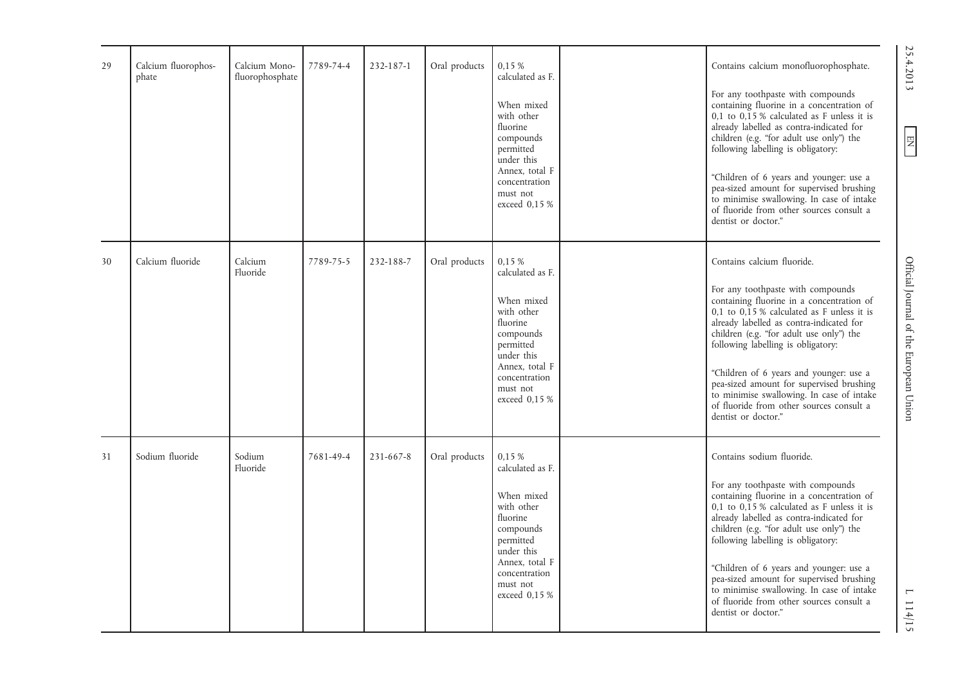| 29 | Calcium fluorophos-<br>phate | Calcium Mono-<br>fluorophosphate | 7789-74-4 | 232-187-1 | Oral products | 0.15 %<br>calculated as F.<br>When mixed<br>with other<br>fluorine<br>compounds<br>permitted<br>under this<br>Annex, total F<br>concentration<br>must not<br>exceed 0,15 %  | Contains calcium monofluorophosphate.<br>For any toothpaste with compounds<br>containing fluorine in a concentration of<br>0,1 to $0,\overline{1}5$ % calculated as F unless it is<br>already labelled as contra-indicated for<br>children (e.g. "for adult use only") the<br>following labelling is obligatory:<br>"Children of 6 years and younger: use a<br>pea-sized amount for supervised brushing<br>to minimise swallowing. In case of intake<br>of fluoride from other sources consult a<br>dentist or doctor." | 25.4.2013<br>EN                        |
|----|------------------------------|----------------------------------|-----------|-----------|---------------|-----------------------------------------------------------------------------------------------------------------------------------------------------------------------------|-------------------------------------------------------------------------------------------------------------------------------------------------------------------------------------------------------------------------------------------------------------------------------------------------------------------------------------------------------------------------------------------------------------------------------------------------------------------------------------------------------------------------|----------------------------------------|
| 30 | Calcium fluoride             | Calcium<br>Fluoride              | 7789-75-5 | 232-188-7 | Oral products | 0.15 %<br>calculated as F.<br>When mixed<br>with other<br>fluorine<br>compounds<br>permitted<br>under this<br>Annex, total F<br>concentration<br>must not<br>exceed $0,15%$ | Contains calcium fluoride.<br>For any toothpaste with compounds<br>containing fluorine in a concentration of<br>0,1 to $0,\overline{1}5$ % calculated as F unless it is<br>already labelled as contra-indicated for<br>children (e.g. "for adult use only") the<br>following labelling is obligatory:<br>"Children of 6 years and younger: use a<br>pea-sized amount for supervised brushing<br>to minimise swallowing. In case of intake<br>of fluoride from other sources consult a<br>dentist or doctor."            | Official Journal of the European Union |
| 31 | Sodium fluoride              | Sodium<br>Fluoride               | 7681-49-4 | 231-667-8 | Oral products | 0.15 %<br>calculated as F.<br>When mixed<br>with other<br>fluorine<br>compounds<br>permitted<br>under this<br>Annex, total F<br>concentration<br>must not<br>exceed 0.15 %  | Contains sodium fluoride.<br>For any toothpaste with compounds<br>containing fluorine in a concentration of<br>0,1 to $0,\overline{1}5$ % calculated as F unless it is<br>already labelled as contra-indicated for<br>children (e.g. "for adult use only") the<br>following labelling is obligatory:<br>"Children of 6 years and younger: use a<br>pea-sized amount for supervised brushing<br>to minimise swallowing. In case of intake<br>of fluoride from other sources consult a<br>dentist or doctor."             | $\overline{\phantom{0}}$<br>114/15     |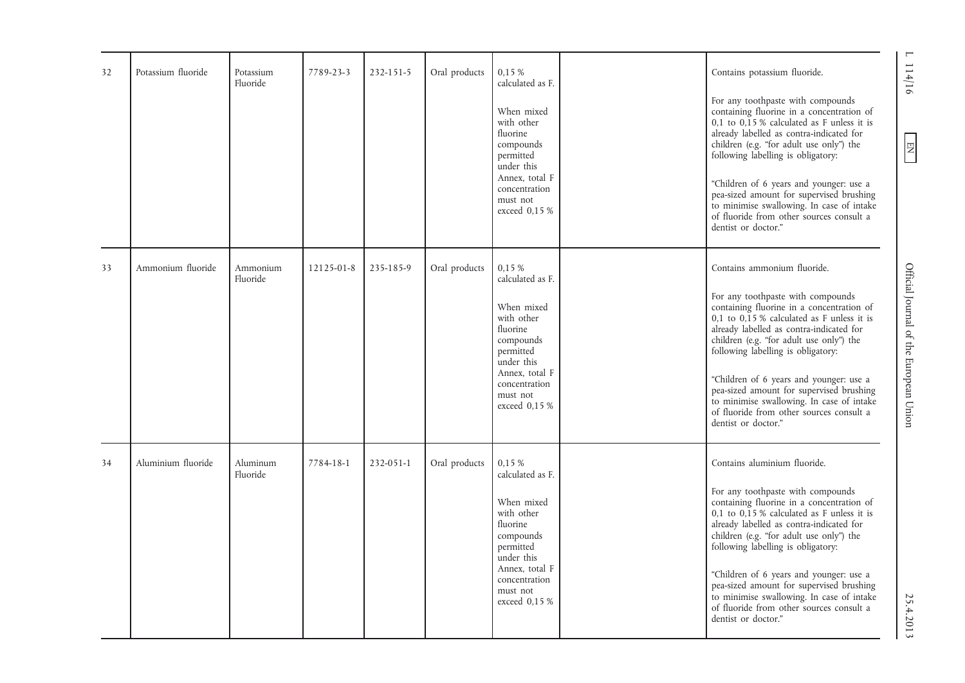| 32 | Potassium fluoride | Potassium<br>Fluoride | 7789-23-3  | 232-151-5 | Oral products | 0.15 %<br>calculated as F.                                                                                                                                                 | Contains potassium fluoride.                                                                                                                                                                                                                                                                                                                                                                                                                                                                                   | $\overline{\phantom{0}}$<br>114/16     |
|----|--------------------|-----------------------|------------|-----------|---------------|----------------------------------------------------------------------------------------------------------------------------------------------------------------------------|----------------------------------------------------------------------------------------------------------------------------------------------------------------------------------------------------------------------------------------------------------------------------------------------------------------------------------------------------------------------------------------------------------------------------------------------------------------------------------------------------------------|----------------------------------------|
|    |                    |                       |            |           |               | When mixed<br>with other<br>fluorine<br>compounds<br>permitted<br>under this<br>Annex, total F<br>concentration<br>must not<br>exceed 0,15 %                               | For any toothpaste with compounds<br>containing fluorine in a concentration of<br>0,1 to $0,\overline{1}5$ % calculated as F unless it is<br>already labelled as contra-indicated for<br>children (e.g. "for adult use only") the<br>following labelling is obligatory:<br>"Children of 6 years and younger: use a<br>pea-sized amount for supervised brushing<br>to minimise swallowing. In case of intake<br>of fluoride from other sources consult a<br>dentist or doctor."                                 | E                                      |
| 33 | Ammonium fluoride  | Ammonium<br>Fluoride  | 12125-01-8 | 235-185-9 | Oral products | 0.15 %<br>calculated as F.<br>When mixed<br>with other<br>fluorine<br>compounds<br>permitted<br>under this<br>Annex, total F<br>concentration<br>must not<br>exceed 0,15 % | Contains ammonium fluoride.<br>For any toothpaste with compounds<br>containing fluorine in a concentration of<br>0,1 to $0,\overline{1}5$ % calculated as F unless it is<br>already labelled as contra-indicated for<br>children (e.g. "for adult use only") the<br>following labelling is obligatory:<br>"Children of 6 years and younger: use a<br>pea-sized amount for supervised brushing<br>to minimise swallowing. In case of intake<br>of fluoride from other sources consult a<br>dentist or doctor."  | Official Journal of the European Union |
| 34 | Aluminium fluoride | Aluminum<br>Fluoride  | 7784-18-1  | 232-051-1 | Oral products | 0,15 %<br>calculated as F.<br>When mixed<br>with other<br>fluorine<br>compounds<br>permitted<br>under this<br>Annex, total F<br>concentration<br>must not<br>exceed 0.15 % | Contains aluminium fluoride.<br>For any toothpaste with compounds<br>containing fluorine in a concentration of<br>0,1 to $0,\overline{1}5$ % calculated as F unless it is<br>already labelled as contra-indicated for<br>children (e.g. "for adult use only") the<br>following labelling is obligatory:<br>"Children of 6 years and younger: use a<br>pea-sized amount for supervised brushing<br>to minimise swallowing. In case of intake<br>of fluoride from other sources consult a<br>dentist or doctor." | 25.4.2013                              |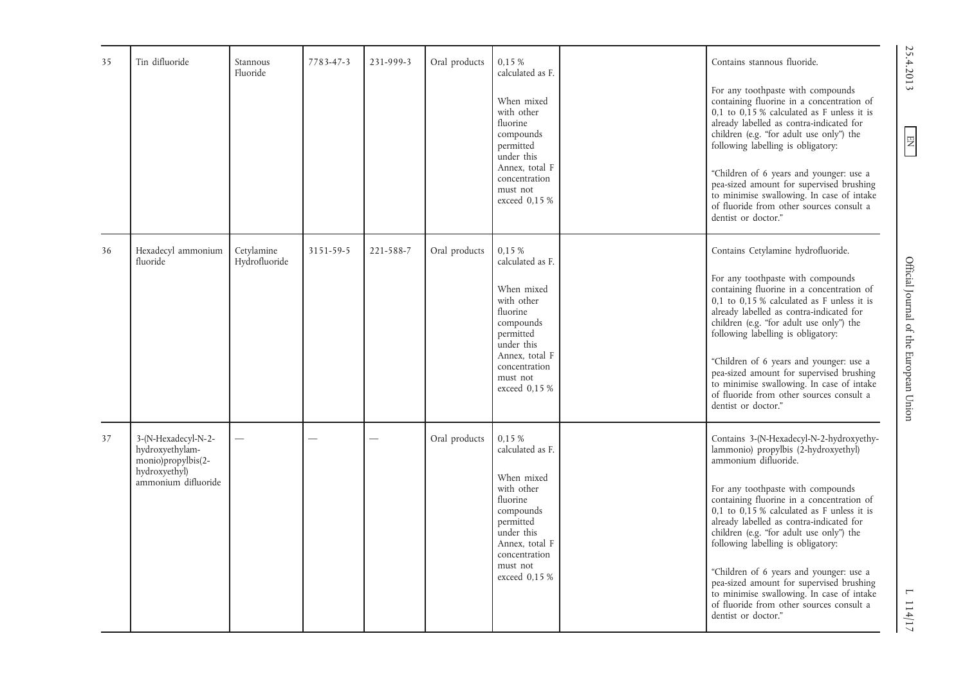| 35 | Tin difluoride                                                                                       | Stannous<br>Fluoride        | 7783-47-3 | 231-999-3 | Oral products | 0,15 %<br>calculated as F.<br>When mixed<br>with other<br>fluorine<br>compounds<br>permitted<br>under this<br>Annex, total F<br>concentration<br>must not<br>exceed 0,15 % | Contains stannous fluoride.<br>For any toothpaste with compounds<br>containing fluorine in a concentration of<br>0,1 to $0,\overline{1}5$ % calculated as F unless it is<br>already labelled as contra-indicated for<br>children (e.g. "for adult use only") the<br>following labelling is obligatory:<br>"Children of 6 years and younger: use a<br>pea-sized amount for supervised brushing<br>to minimise swallowing. In case of intake<br>of fluoride from other sources consult a<br>dentist or doctor."                                                                              | 25.4.2013<br>$\boxed{\phantom{1}}$     |
|----|------------------------------------------------------------------------------------------------------|-----------------------------|-----------|-----------|---------------|----------------------------------------------------------------------------------------------------------------------------------------------------------------------------|--------------------------------------------------------------------------------------------------------------------------------------------------------------------------------------------------------------------------------------------------------------------------------------------------------------------------------------------------------------------------------------------------------------------------------------------------------------------------------------------------------------------------------------------------------------------------------------------|----------------------------------------|
| 36 | Hexadecyl ammonium<br>fluoride                                                                       | Cetylamine<br>Hydrofluoride | 3151-59-5 | 221-588-7 | Oral products | 0,15 %<br>calculated as F.<br>When mixed<br>with other<br>fluorine<br>compounds<br>permitted<br>under this<br>Annex, total F<br>concentration<br>must not<br>exceed 0,15 % | Contains Cetylamine hydrofluoride.<br>For any toothpaste with compounds<br>containing fluorine in a concentration of<br>0,1 to $0,\overline{1}5$ % calculated as F unless it is<br>already labelled as contra-indicated for<br>children (e.g. "for adult use only") the<br>following labelling is obligatory:<br>"Children of 6 years and younger: use a<br>pea-sized amount for supervised brushing<br>to minimise swallowing. In case of intake<br>of fluoride from other sources consult a<br>dentist or doctor."                                                                       | Official Journal of the European Union |
| 37 | 3-(N-Hexadecyl-N-2-<br>hydroxyethylam-<br>monio)propylbis(2-<br>hydroxyethyl)<br>ammonium difluoride |                             |           |           | Oral products | 0,15 %<br>calculated as F.<br>When mixed<br>with other<br>fluorine<br>compounds<br>permitted<br>under this<br>Annex, total F<br>concentration<br>must not<br>exceed 0,15 % | Contains 3-(N-Hexadecyl-N-2-hydroxyethy-<br>lammonio) propylbis (2-hydroxyethyl)<br>ammonium difluoride.<br>For any toothpaste with compounds<br>containing fluorine in a concentration of<br>0,1 to $0,\overline{1}5$ % calculated as F unless it is<br>already labelled as contra-indicated for<br>children (e.g. "for adult use only") the<br>following labelling is obligatory:<br>"Children of 6 years and younger: use a<br>pea-sized amount for supervised brushing<br>to minimise swallowing. In case of intake<br>of fluoride from other sources consult a<br>dentist or doctor." | $\mathbf{r}$<br>114/17                 |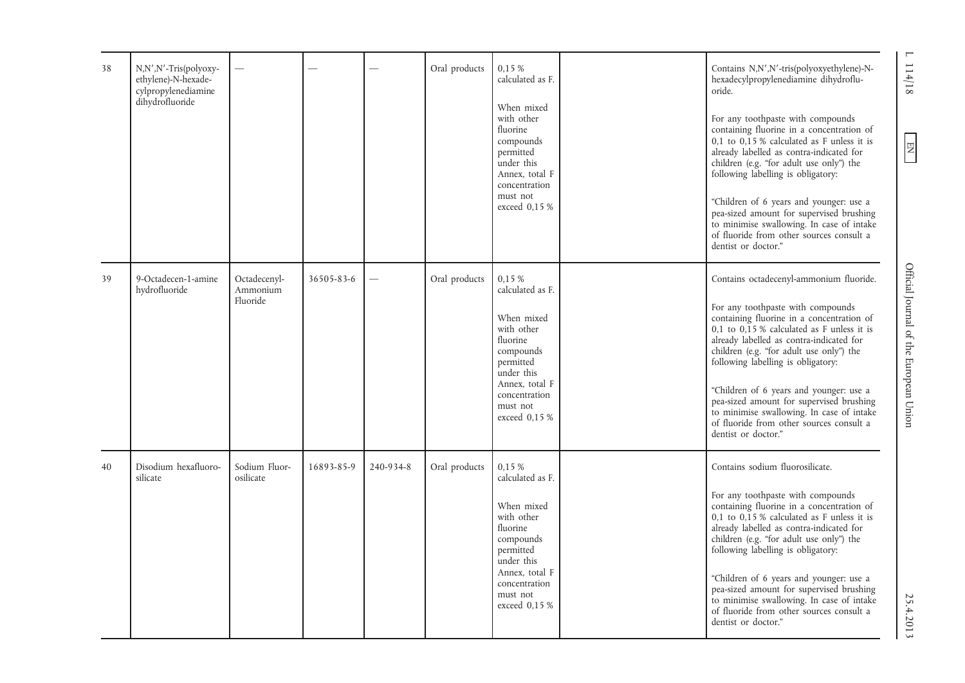|    |                                                                                             |                            |            |           |               |                                                                                                                 |                                                                                                                                                                                                                                                                                                                    | $\overline{ }$                         |
|----|---------------------------------------------------------------------------------------------|----------------------------|------------|-----------|---------------|-----------------------------------------------------------------------------------------------------------------|--------------------------------------------------------------------------------------------------------------------------------------------------------------------------------------------------------------------------------------------------------------------------------------------------------------------|----------------------------------------|
| 38 | $N, N', N'$ -Tris(polyoxy-<br>ethylene)-N-hexade-<br>cylpropylenediamine<br>dihydrofluoride |                            |            |           | Oral products | 0,15%<br>calculated as F.                                                                                       | Contains N,N',N'-tris(polyoxyethylene)-N-<br>hexadecylpropylenediamine dihydroflu-<br>oride.                                                                                                                                                                                                                       | 114/18                                 |
|    |                                                                                             |                            |            |           |               | When mixed<br>with other<br>fluorine<br>compounds<br>permitted<br>under this<br>Annex, total F<br>concentration | For any toothpaste with compounds<br>containing fluorine in a concentration of<br>0,1 to $0,\overline{1}5$ % calculated as F unless it is<br>already labelled as contra-indicated for<br>children (e.g. "for adult use only") the<br>following labelling is obligatory:                                            | $\mathbb{E}$                           |
|    |                                                                                             |                            |            |           |               | must not<br>exceed 0,15 %                                                                                       | "Children of 6 years and younger: use a<br>pea-sized amount for supervised brushing<br>to minimise swallowing. In case of intake<br>of fluoride from other sources consult a<br>dentist or doctor."                                                                                                                |                                        |
| 39 | 9-Octadecen-1-amine<br>hydrofluoride                                                        | Octadecenyl-<br>Ammonium   | 36505-83-6 |           | Oral products | 0.15 %<br>calculated as F.                                                                                      | Contains octadecenyl-ammonium fluoride.                                                                                                                                                                                                                                                                            |                                        |
|    |                                                                                             | Fluoride                   |            |           |               | When mixed<br>with other<br>fluorine<br>compounds<br>permitted<br>under this<br>Annex, total F<br>concentration | For any toothpaste with compounds<br>containing fluorine in a concentration of<br>0,1 to $0,\overline{1}5$ % calculated as F unless it is<br>already labelled as contra-indicated for<br>children (e.g. "for adult use only") the<br>following labelling is obligatory:<br>"Children of 6 years and younger: use a | Official Journal of the European Union |
|    |                                                                                             |                            |            |           |               | must not<br>exceed 0,15 %                                                                                       | pea-sized amount for supervised brushing<br>to minimise swallowing. In case of intake<br>of fluoride from other sources consult a<br>dentist or doctor."                                                                                                                                                           |                                        |
| 40 | Disodium hexafluoro-<br>silicate                                                            | Sodium Fluor-<br>osilicate | 16893-85-9 | 240-934-8 | Oral products | 0.15%<br>calculated as F.                                                                                       | Contains sodium fluorosilicate.                                                                                                                                                                                                                                                                                    |                                        |
|    |                                                                                             |                            |            |           |               | When mixed<br>with other<br>fluorine<br>compounds<br>permitted<br>under this                                    | For any toothpaste with compounds<br>containing fluorine in a concentration of<br>0,1 to $0,\overline{1}5$ % calculated as F unless it is<br>already labelled as contra-indicated for<br>children (e.g. "for adult use only") the<br>following labelling is obligatory:                                            |                                        |
|    |                                                                                             |                            |            |           |               | Annex, total F<br>concentration<br>must not<br>exceed $0,15%$                                                   | "Children of 6 years and younger: use a<br>pea-sized amount for supervised brushing<br>to minimise swallowing. In case of intake<br>of fluoride from other sources consult a<br>dentist or doctor."                                                                                                                | 25.4.2013                              |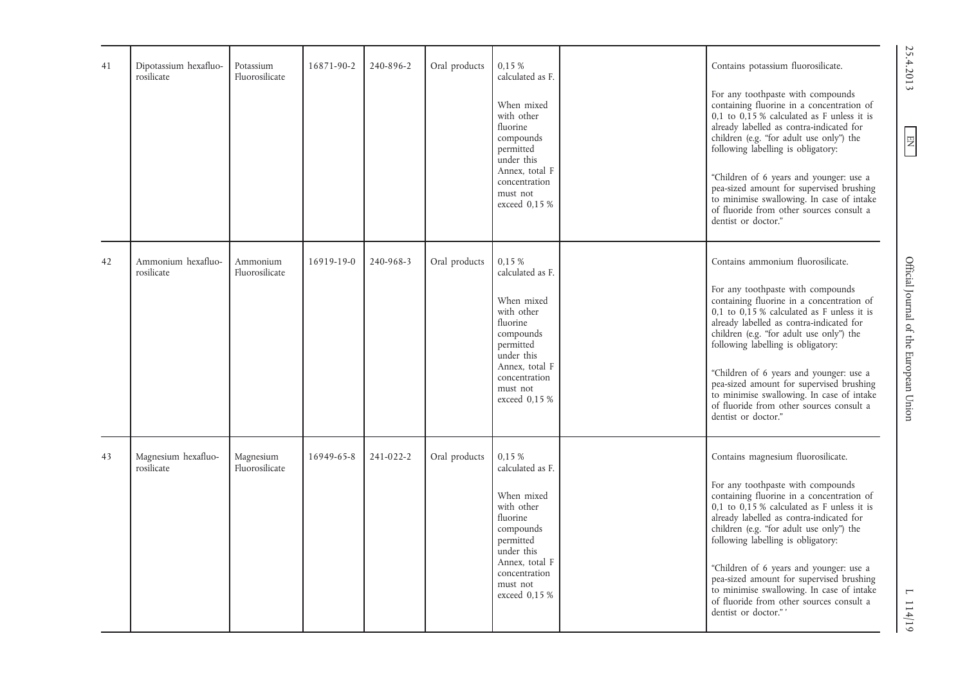| 41 | Dipotassium hexafluo-<br>rosilicate | Potassium<br>Fluorosilicate | 16871-90-2 | 240-896-2 | Oral products | 0,15 %<br>calculated as F.<br>When mixed<br>with other<br>fluorine<br>compounds<br>permitted<br>under this<br>Annex, total F<br>concentration<br>must not<br>exceed 0.15 % | Contains potassium fluorosilicate.<br>For any toothpaste with compounds<br>containing fluorine in a concentration of<br>0,1 to $0,\overline{1}5$ % calculated as F unless it is<br>already labelled as contra-indicated for<br>children (e.g. "for adult use only") the<br>following labelling is obligatory:<br>"Children of 6 years and younger: use a<br>pea-sized amount for supervised brushing<br>to minimise swallowing. In case of intake<br>of fluoride from other sources consult a<br>dentist or doctor." | 25.4.2013<br>$\boxed{\phantom{1}}$     |
|----|-------------------------------------|-----------------------------|------------|-----------|---------------|----------------------------------------------------------------------------------------------------------------------------------------------------------------------------|----------------------------------------------------------------------------------------------------------------------------------------------------------------------------------------------------------------------------------------------------------------------------------------------------------------------------------------------------------------------------------------------------------------------------------------------------------------------------------------------------------------------|----------------------------------------|
| 42 | Ammonium hexafluo-<br>rosilicate    | Ammonium<br>Fluorosilicate  | 16919-19-0 | 240-968-3 | Oral products | 0,15 %<br>calculated as F.<br>When mixed<br>with other<br>fluorine<br>compounds<br>permitted<br>under this<br>Annex, total F<br>concentration<br>must not<br>exceed 0.15 % | Contains ammonium fluorosilicate.<br>For any toothpaste with compounds<br>containing fluorine in a concentration of<br>0,1 to $0,\overline{1}5$ % calculated as F unless it is<br>already labelled as contra-indicated for<br>children (e.g. "for adult use only") the<br>following labelling is obligatory:<br>"Children of 6 years and younger: use a<br>pea-sized amount for supervised brushing<br>to minimise swallowing. In case of intake<br>of fluoride from other sources consult a<br>dentist or doctor."  | Official Journal of the European Union |
| 43 | Magnesium hexafluo-<br>rosilicate   | Magnesium<br>Fluorosilicate | 16949-65-8 | 241-022-2 | Oral products | 0.15 %<br>calculated as F.<br>When mixed<br>with other<br>fluorine<br>compounds<br>permitted<br>under this<br>Annex, total F<br>concentration<br>must not<br>exceed 0.15 % | Contains magnesium fluorosilicate.<br>For any toothpaste with compounds<br>containing fluorine in a concentration of<br>0,1 to $0,\overline{1}5$ % calculated as F unless it is<br>already labelled as contra-indicated for<br>children (e.g. "for adult use only") the<br>following labelling is obligatory:<br>"Children of 6 years and younger: use a<br>pea-sized amount for supervised brushing<br>to minimise swallowing. In case of intake<br>of fluoride from other sources consult a<br>dentist or doctor." | $\overline{\phantom{0}}$<br>114/19     |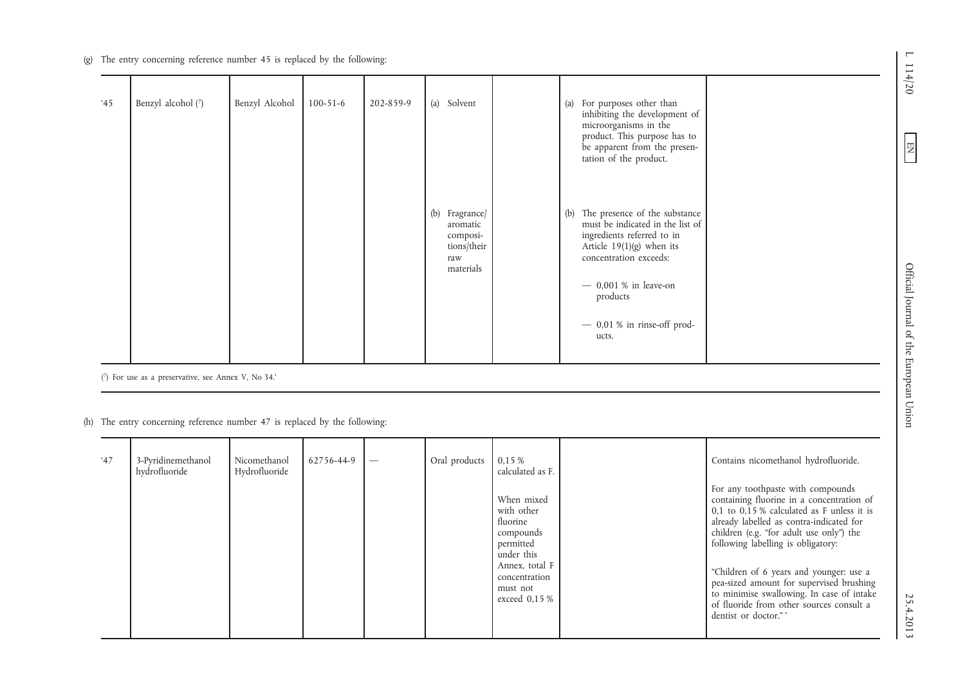|    | (g) The entry concerning reference number 45 is replaced by the following:                                                        |                               |                |           |                                                                          |                                                                                                                                                                            |                                                                                                                                                                                                                                               |                                                                                                                                                                                                                                                                                                                                                                                                                                                                                                                        |
|----|-----------------------------------------------------------------------------------------------------------------------------------|-------------------------------|----------------|-----------|--------------------------------------------------------------------------|----------------------------------------------------------------------------------------------------------------------------------------------------------------------------|-----------------------------------------------------------------------------------------------------------------------------------------------------------------------------------------------------------------------------------------------|------------------------------------------------------------------------------------------------------------------------------------------------------------------------------------------------------------------------------------------------------------------------------------------------------------------------------------------------------------------------------------------------------------------------------------------------------------------------------------------------------------------------|
| 45 | Benzyl alcohol (7)                                                                                                                | Benzyl Alcohol                | $100 - 51 - 6$ | 202-859-9 | (a) Solvent                                                              |                                                                                                                                                                            | (a) For purposes other than<br>inhibiting the development of<br>microorganisms in the<br>product. This purpose has to<br>be apparent from the presen-<br>tation of the product.                                                               |                                                                                                                                                                                                                                                                                                                                                                                                                                                                                                                        |
|    |                                                                                                                                   |                               |                |           | (b) Fragrance<br>aromatic<br>composi-<br>tions/their<br>raw<br>materials |                                                                                                                                                                            | (b) The presence of the substance<br>must be indicated in the list of<br>ingredients referred to in<br>Article $19(1)(g)$ when its<br>concentration exceeds:<br>$-$ 0,001 % in leave-on<br>products<br>$-$ 0,01 % in rinse-off prod-<br>ucts. |                                                                                                                                                                                                                                                                                                                                                                                                                                                                                                                        |
|    | (7) For use as a preservative, see Annex V, No 34.'<br>(h) The entry concerning reference number 47 is replaced by the following: |                               |                |           |                                                                          |                                                                                                                                                                            |                                                                                                                                                                                                                                               |                                                                                                                                                                                                                                                                                                                                                                                                                                                                                                                        |
| 47 | 3-Pyridinemethanol<br>hydrofluoride                                                                                               | Nicomethanol<br>Hydrofluoride | 62756-44-9     |           | Oral products                                                            | 0.15 %<br>calculated as F.<br>When mixed<br>with other<br>fluorine<br>compounds<br>permitted<br>under this<br>Annex, total F<br>concentration<br>must not<br>exceed 0,15 % |                                                                                                                                                                                                                                               | Contains nicomethanol hydrofluoride.<br>For any toothpaste with compounds<br>containing fluorine in a concentration of<br>0,1 to $0,\overline{1}5$ % calculated as F unless it is<br>already labelled as contra-indicated for<br>children (e.g. "for adult use only") the<br>following labelling is obligatory:<br>"Children of 6 years and younger: use a<br>pea-sized amount for supervised brushing<br>to minimise swallowing. In case of intake<br>of fluoride from other sources consult a<br>dentist or doctor." |

| 47 | 3-Pyridinemethanol<br>hydrofluoride | Nicomethanol<br>Hydrofluoride | 62756-44-9 | Oral products | 0.15%<br>calculated as F.                                                                                                                     | Contains nicomethanol hydrofluoride.                                                                                                                                                                                                                                                                                                                                                                                                                                 |
|----|-------------------------------------|-------------------------------|------------|---------------|-----------------------------------------------------------------------------------------------------------------------------------------------|----------------------------------------------------------------------------------------------------------------------------------------------------------------------------------------------------------------------------------------------------------------------------------------------------------------------------------------------------------------------------------------------------------------------------------------------------------------------|
|    |                                     |                               |            |               | When mixed<br>with other<br>fluorine<br>compounds<br>permitted<br>under this<br>Annex, total F<br>concentration<br>must not<br>exceed $0.15%$ | For any toothpaste with compounds<br>containing fluorine in a concentration of<br>0.1 to 0.15 % calculated as $F$ unless it is<br>already labelled as contra-indicated for<br>children (e.g. "for adult use only") the<br>following labelling is obligatory:<br>"Children of 6 years and younger: use a<br>pea-sized amount for supervised brushing<br>to minimise swallowing. In case of intake<br>of fluoride from other sources consult a<br>dentist or doctor."' |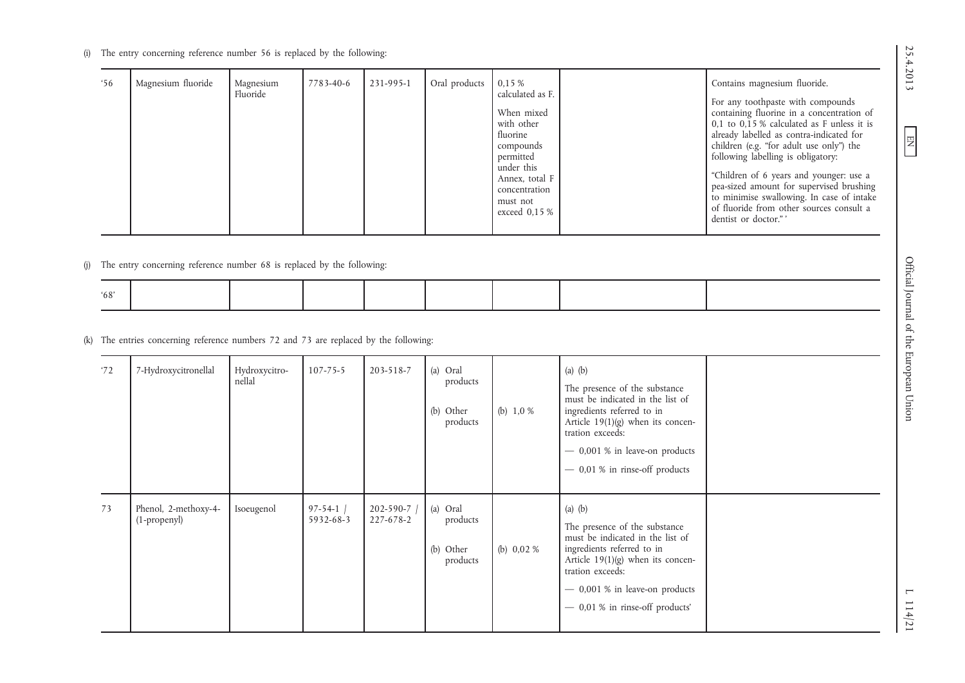| .56 | Magnesium fluoride | Magnesium<br>Fluoride | 7783-40-6 | 231-995-1 | Oral products | 0,15%<br>calculated as F.<br>When mixed<br>with other<br>fluorine<br>compounds<br>permitted<br>under this<br>Annex, total F<br>concentration<br>must not<br>exceed $0.15%$ |  | Contains magnesium fluoride.<br>For any toothpaste with compounds<br>containing fluorine in a concentration of<br>0,1 to $0,15\%$ calculated as F unless it is<br>already labelled as contra-indicated for<br>children (e.g. "for adult use only") the<br>following labelling is obligatory:<br>"Children of 6 years and younger: use a<br>pea-sized amount for supervised brushing<br>to minimise swallowing. In case of intake<br>of fluoride from other sources consult a<br>dentist or doctor."' |
|-----|--------------------|-----------------------|-----------|-----------|---------------|----------------------------------------------------------------------------------------------------------------------------------------------------------------------------|--|------------------------------------------------------------------------------------------------------------------------------------------------------------------------------------------------------------------------------------------------------------------------------------------------------------------------------------------------------------------------------------------------------------------------------------------------------------------------------------------------------|
|-----|--------------------|-----------------------|-----------|-----------|---------------|----------------------------------------------------------------------------------------------------------------------------------------------------------------------------|--|------------------------------------------------------------------------------------------------------------------------------------------------------------------------------------------------------------------------------------------------------------------------------------------------------------------------------------------------------------------------------------------------------------------------------------------------------------------------------------------------------|

| $^{\circ}68'$ |  |  |  |  |
|---------------|--|--|--|--|
|               |  |  |  |  |

| 56  | Magnesium fluoride                                                                    | Magnesium<br>Fluoride   | 7783-40-6 | 231-995-1 | Oral products                                 | 0,15 %<br>calculated as F.<br>When mixed<br>with other<br>fluorine<br>compounds<br>permitted<br>under this<br>Annex, total F<br>concentration<br>must not<br>exceed 0,15 % |                                                                                                                                                                                                                                               | Contains magnesium fluoride.<br>For any toothpaste with compounds<br>containing fluorine in a concentration of<br>0,1 to $0,\overline{1}5$ % calculated as F unless it is<br>already labelled as contra-indicated for<br>children (e.g. "for adult use only") the<br>following labelling is obligatory:<br>"Children of 6 years and younger: use a<br>pea-sized amount for supervised brushing<br>to minimise swallowing. In case of intake<br>of fluoride from other sources consult a<br>dentist or doctor."' |
|-----|---------------------------------------------------------------------------------------|-------------------------|-----------|-----------|-----------------------------------------------|----------------------------------------------------------------------------------------------------------------------------------------------------------------------------|-----------------------------------------------------------------------------------------------------------------------------------------------------------------------------------------------------------------------------------------------|-----------------------------------------------------------------------------------------------------------------------------------------------------------------------------------------------------------------------------------------------------------------------------------------------------------------------------------------------------------------------------------------------------------------------------------------------------------------------------------------------------------------|
| 68' | The entry concerning reference number 68 is replaced by the following:                |                         |           |           |                                               |                                                                                                                                                                            |                                                                                                                                                                                                                                               |                                                                                                                                                                                                                                                                                                                                                                                                                                                                                                                 |
|     | (k) The entries concerning reference numbers 72 and 73 are replaced by the following: |                         |           |           |                                               |                                                                                                                                                                            |                                                                                                                                                                                                                                               |                                                                                                                                                                                                                                                                                                                                                                                                                                                                                                                 |
| '72 | 7-Hydroxycitronellal                                                                  | Hydroxycitro-<br>nellal | 107-75-5  | 203-518-7 | (a) Oral<br>products<br>(b) Other<br>products | (b) $1,0%$                                                                                                                                                                 | (a) $(b)$<br>The presence of the substance<br>must be indicated in the list of<br>ingredients referred to in<br>Article $19(1)(g)$ when its concen-<br>tration exceeds:<br>$-$ 0,001 % in leave-on products<br>- 0,01 % in rinse-off products |                                                                                                                                                                                                                                                                                                                                                                                                                                                                                                                 |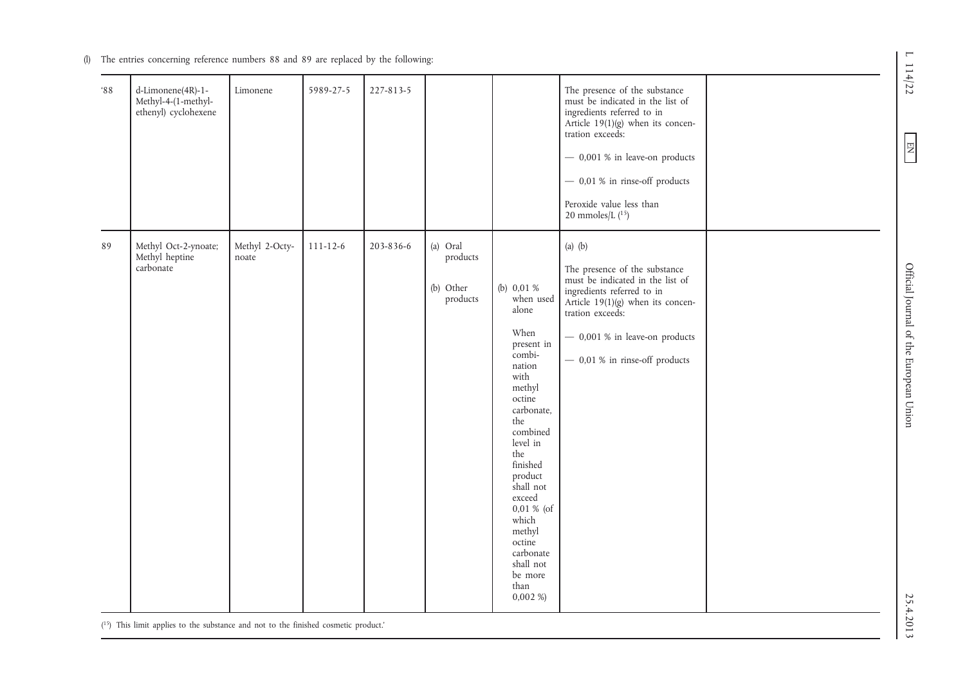| 88' | d-Limonene(4R)-1-<br>Methyl-4-(1-methyl-<br>ethenyl) cyclohexene | Limonene                | 5989-27-5      | 227-813-5 |                                               |                                                                                                                                                                                                                                                                                                                | The presence of the substance<br>must be indicated in the list of<br>ingredients referred to in<br>Article $19(1)(g)$ when its concen-<br>tration exceeds:<br>$-$ 0,001 % in leave-on products<br>- 0,01 % in rinse-off products<br>Peroxide value less than<br>20 mmoles/L $(15)$ |  |
|-----|------------------------------------------------------------------|-------------------------|----------------|-----------|-----------------------------------------------|----------------------------------------------------------------------------------------------------------------------------------------------------------------------------------------------------------------------------------------------------------------------------------------------------------------|------------------------------------------------------------------------------------------------------------------------------------------------------------------------------------------------------------------------------------------------------------------------------------|--|
| 89  | Methyl Oct-2-ynoate;<br>Methyl heptine<br>carbonate              | Methyl 2-Octy-<br>noate | $111 - 12 - 6$ | 203-836-6 | (a) Oral<br>products<br>(b) Other<br>products | (b) $0,01%$<br>when used<br>alone<br>When<br>present in<br>combi-<br>nation<br>with<br>methyl<br>octine<br>carbonate,<br>the<br>combined<br>level in<br>the<br>finished<br>product<br>shall not<br>exceed<br>0,01 % (of<br>which<br>methyl<br>octine<br>carbonate<br>shall not<br>be more<br>than<br>$0,002\%$ | (a) $(b)$<br>The presence of the substance<br>must be indicated in the list of<br>ingredients referred to in<br>Article $19(1)(g)$ when its concen-<br>tration exceeds:<br>$-$ 0,001 % in leave-on products<br>- 0,01 % in rinse-off products                                      |  |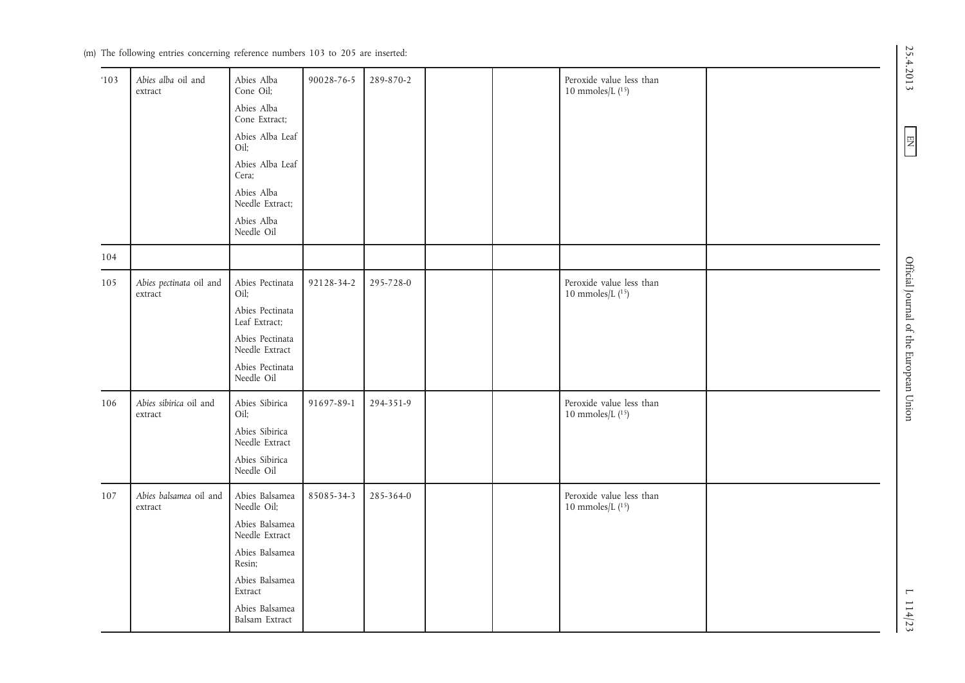|     | (m) The following entries concerning reference numbers 103 to 205 are inserted: |                                   |            |           |  |                                                   |                                          |
|-----|---------------------------------------------------------------------------------|-----------------------------------|------------|-----------|--|---------------------------------------------------|------------------------------------------|
| 103 | Abies alba oil and<br>extract                                                   | Abies Alba<br>Cone Oil;           | 90028-76-5 | 289-870-2 |  | Peroxide value less than<br>10 mmoles/L $(15)$    | 25.4.2013                                |
|     |                                                                                 | Abies Alba<br>Cone Extract;       |            |           |  |                                                   |                                          |
|     |                                                                                 | Abies Alba Leaf<br>Oil;           |            |           |  |                                                   | $\boxed{\phantom{\text{N}}}{\mathbf{N}}$ |
|     |                                                                                 | Abies Alba Leaf<br>Cera;          |            |           |  |                                                   |                                          |
|     |                                                                                 | Abies Alba<br>Needle Extract;     |            |           |  |                                                   |                                          |
|     |                                                                                 | Abies Alba<br>Needle Oil          |            |           |  |                                                   |                                          |
| 104 |                                                                                 |                                   |            |           |  |                                                   |                                          |
| 105 | Abies pectinata oil and<br>extract                                              | Abies Pectinata<br>Oil;           | 92128-34-2 | 295-728-0 |  | Peroxide value less than<br>10 mmoles/L $(^{15})$ |                                          |
|     |                                                                                 | Abies Pectinata<br>Leaf Extract;  |            |           |  |                                                   |                                          |
|     |                                                                                 | Abies Pectinata<br>Needle Extract |            |           |  |                                                   |                                          |
|     |                                                                                 | Abies Pectinata<br>Needle Oil     |            |           |  |                                                   | Official Journal of the European Union   |
| 106 | Abies sibirica oil and<br>extract                                               | Abies Sibirica<br>Oil:            | 91697-89-1 | 294-351-9 |  | Peroxide value less than<br>10 mmoles/L $(^{15})$ |                                          |
|     |                                                                                 | Abies Sibirica<br>Needle Extract  |            |           |  |                                                   |                                          |
|     |                                                                                 | Abies Sibirica<br>Needle Oil      |            |           |  |                                                   |                                          |
| 107 | Abies balsamea oil and<br>extract                                               | Abies Balsamea<br>Needle Oil;     | 85085-34-3 | 285-364-0 |  | Peroxide value less than<br>10 mmoles/L $(^{15})$ |                                          |
|     |                                                                                 | Abies Balsamea<br>Needle Extract  |            |           |  |                                                   |                                          |
|     |                                                                                 | Abies Balsamea<br>Resin;          |            |           |  |                                                   |                                          |
|     |                                                                                 | Abies Balsamea<br>Extract         |            |           |  |                                                   | $\overline{\phantom{0}}$                 |
|     |                                                                                 | Abies Balsamea<br>Balsam Extract  |            |           |  |                                                   | 114/23                                   |
|     |                                                                                 |                                   |            |           |  |                                                   |                                          |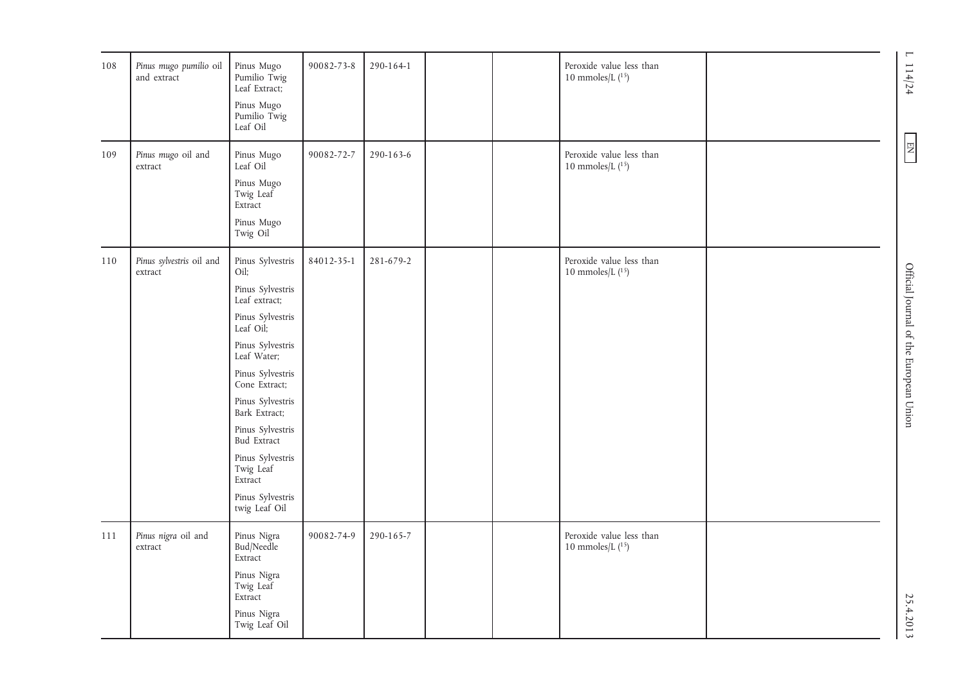| 108 | Pinus mugo pumilio oil<br>and extract | Pinus Mugo<br>Pumilio Twig<br>Leaf Extract;<br>Pinus Mugo<br>Pumilio Twig<br>Leaf Oil                                                                                                                                                                                                                                           | 90082-73-8 | 290-164-1 |  | Peroxide value less than<br>10 mmoles/L $(15)$    | $\overline{\phantom{0}}$<br>114/24       |
|-----|---------------------------------------|---------------------------------------------------------------------------------------------------------------------------------------------------------------------------------------------------------------------------------------------------------------------------------------------------------------------------------|------------|-----------|--|---------------------------------------------------|------------------------------------------|
| 109 | Pinus mugo oil and<br>extract         | Pinus Mugo<br>Leaf Oil<br>Pinus Mugo<br>Twig Leaf<br>Extract<br>Pinus Mugo<br>Twig Oil                                                                                                                                                                                                                                          | 90082-72-7 | 290-163-6 |  | Peroxide value less than<br>10 mmoles/L $(^{15})$ | $\boxed{\phantom{\text{N}}}{\mathbf{N}}$ |
| 110 | Pinus sylvestris oil and<br>extract   | Pinus Sylvestris<br>Oil;<br>Pinus Sylvestris<br>Leaf extract;<br>Pinus Sylvestris<br>Leaf Oil;<br>Pinus Sylvestris<br>Leaf Water;<br>Pinus Sylvestris<br>Cone Extract;<br>Pinus Sylvestris<br>Bark Extract;<br>Pinus Sylvestris<br>Bud Extract<br>Pinus Sylvestris<br>Twig Leaf<br>Extract<br>Pinus Sylvestris<br>twig Leaf Oil | 84012-35-1 | 281-679-2 |  | Peroxide value less than<br>10 mmoles/L $(15)$    | Official Journal of the European Union   |
| 111 | Pinus nigra oil and<br>extract        | Pinus Nigra<br>Bud/Needle<br>Extract<br>Pinus Nigra<br>Twig Leaf<br>Extract<br>Pinus Nigra<br>Twig Leaf Oil                                                                                                                                                                                                                     | 90082-74-9 | 290-165-7 |  | Peroxide value less than<br>10 mmoles/L $(15)$    | 25.4.2013                                |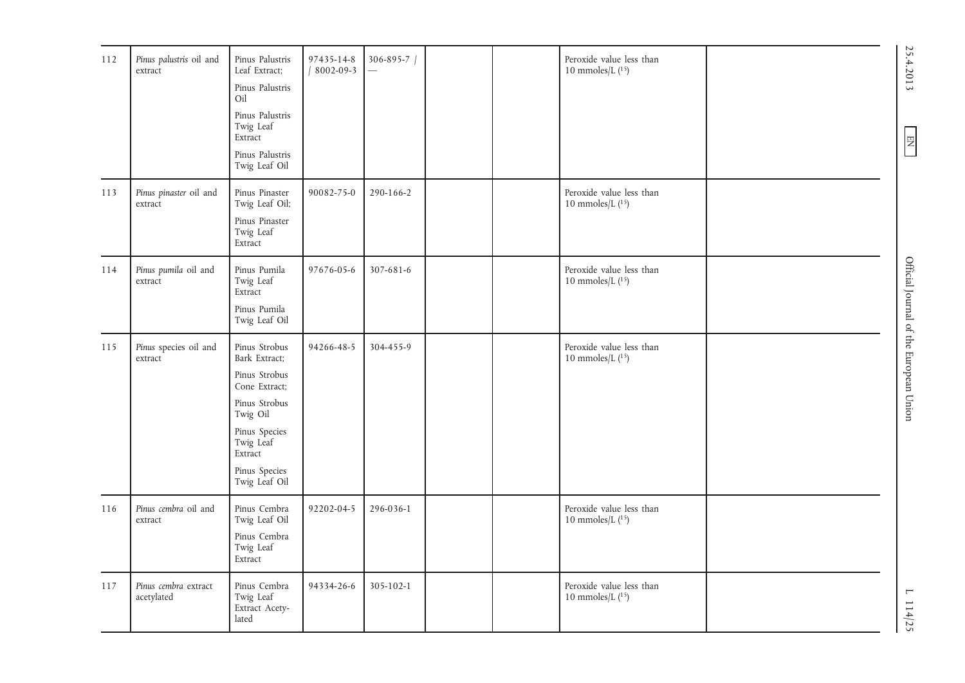| 112 | Pinus palustris oil and<br>extract | Pinus Palustris<br>Leaf Extract;                                           | 97435-14-8<br>$/8002-09-3$ | 306-895-7 / |  | Peroxide value less than<br>10 mmoles/L $(15)$    | 25.4.2013                                               |
|-----|------------------------------------|----------------------------------------------------------------------------|----------------------------|-------------|--|---------------------------------------------------|---------------------------------------------------------|
|     |                                    | Pinus Palustris<br>Oil                                                     |                            |             |  |                                                   |                                                         |
|     |                                    | Pinus Palustris<br>Twig Leaf<br>Extract                                    |                            |             |  |                                                   | $\boxed{\phantom{\phantom{\big }}\mathbf{N}\mathbf{H}}$ |
|     |                                    | Pinus Palustris<br>Twig Leaf Oil                                           |                            |             |  |                                                   |                                                         |
| 113 | Pinus pinaster oil and<br>extract  | Pinus Pinaster<br>Twig Leaf Oil;<br>Pinus Pinaster<br>Twig Leaf<br>Extract | 90082-75-0                 | 290-166-2   |  | Peroxide value less than<br>10 mmoles/L $(15)$    |                                                         |
| 114 | Pinus pumila oil and<br>extract    | Pinus Pumila<br>Twig Leaf<br>Extract                                       | 97676-05-6                 | 307-681-6   |  | Peroxide value less than<br>10 mmoles/L $(15)$    | Official Journal of the European Union                  |
|     |                                    | Pinus Pumila<br>Twig Leaf Oil                                              |                            |             |  |                                                   |                                                         |
| 115 | Pinus species oil and<br>extract   | Pinus Strobus<br>Bark Extract;                                             | 94266-48-5                 | 304-455-9   |  | Peroxide value less than<br>10 mmoles/L $(15)$    |                                                         |
|     |                                    | Pinus Strobus<br>Cone Extract;                                             |                            |             |  |                                                   |                                                         |
|     |                                    | Pinus Strobus<br>Twig Oil                                                  |                            |             |  |                                                   |                                                         |
|     |                                    | Pinus Species<br>Twig Leaf<br>Extract                                      |                            |             |  |                                                   |                                                         |
|     |                                    | Pinus Species<br>Twig Leaf Oil                                             |                            |             |  |                                                   |                                                         |
| 116 | Pinus cembra oil and<br>extract    | Pinus Cembra<br>Twig Leaf Oil                                              | 92202-04-5                 | 296-036-1   |  | Peroxide value less than<br>10 mmoles/L $(15)$    |                                                         |
|     |                                    | Pinus Cembra<br>Twig Leaf<br>Extract                                       |                            |             |  |                                                   |                                                         |
| 117 | Pinus cembra extract<br>acetylated | Pinus Cembra<br>Twig Leaf<br>Extract Acety-<br>lated                       | 94334-26-6                 | 305-102-1   |  | Peroxide value less than<br>10 mmoles/L $(^{15})$ | $L$ 114/25                                              |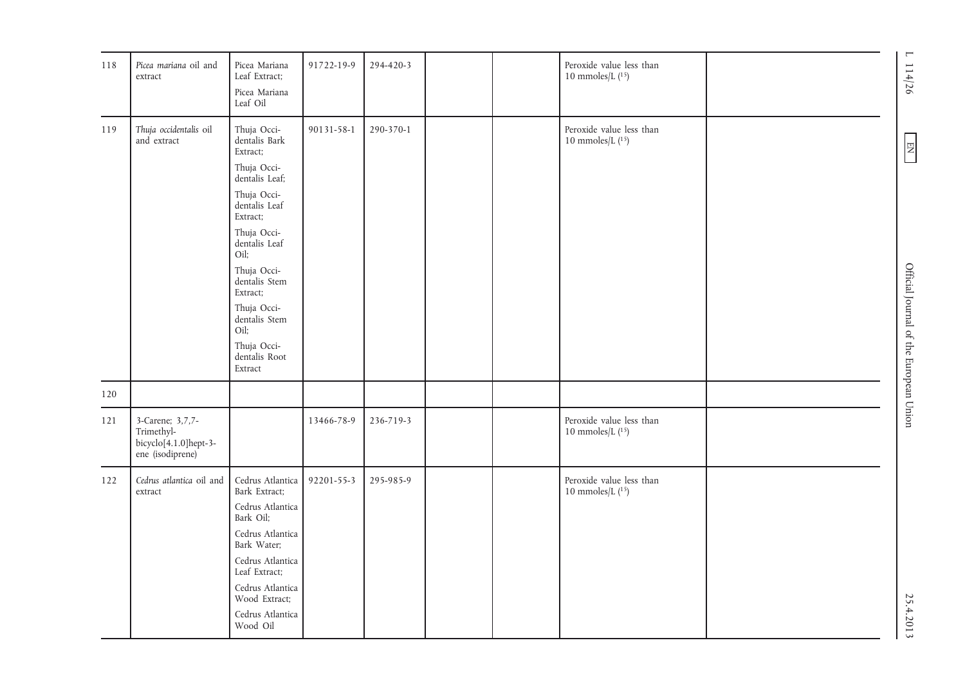| 118 | Picea mariana oil and<br>extract                                                         | Picea Mariana<br>Leaf Extract;<br>Picea Mariana<br>Leaf Oil                                                                                                                                                                                                                                  | 91722-19-9       | 294-420-3 |  | Peroxide value less than<br>10 mmoles/L $(15)$    | $\overline{\phantom{a}}$<br>114/26                                          |
|-----|------------------------------------------------------------------------------------------|----------------------------------------------------------------------------------------------------------------------------------------------------------------------------------------------------------------------------------------------------------------------------------------------|------------------|-----------|--|---------------------------------------------------|-----------------------------------------------------------------------------|
| 119 | Thuja occidentalis oil<br>and extract                                                    | Thuja Occi-<br>dentalis Bark<br>Extract;<br>Thuja Occi-<br>dentalis Leaf;<br>Thuja Occi-<br>dentalis Leaf<br>Extract;<br>Thuja Occi-<br>dentalis Leaf<br>Oil;<br>Thuja Occi-<br>dentalis Stem<br>Extract;<br>Thuja Occi-<br>dentalis Stem<br>Oil;<br>Thuja Occi-<br>dentalis Root<br>Extract | 90131-58-1       | 290-370-1 |  | Peroxide value less than<br>10 mmoles/L $(^{15})$ | $\boxed{\phantom{000} \text{EM}}$<br>Official Journal of the European Union |
| 120 |                                                                                          |                                                                                                                                                                                                                                                                                              |                  |           |  |                                                   |                                                                             |
| 121 | 3-Carene; 3,7,7-<br>Trimethyl-<br>bicyclo <sup>[4.1.0]</sup> hept-3-<br>ene (isodiprene) |                                                                                                                                                                                                                                                                                              | 13466-78-9       | 236-719-3 |  | Peroxide value less than<br>10 mmoles/L $(15)$    |                                                                             |
| 122 | Cedrus atlantica oil and<br>extract                                                      | Cedrus Atlantica<br>Bark Extract;<br>Cedrus Atlantica<br>Bark Oil;<br>Cedrus Atlantica<br>Bark Water;<br>Cedrus Atlantica<br>Leaf Extract;<br>Cedrus Atlantica<br>Wood Extract;<br>Cedrus Atlantica<br>Wood Oil                                                                              | $92201 - 55 - 3$ | 295-985-9 |  | Peroxide value less than<br>10 mmoles/L $(^{15})$ | 25.4.2013                                                                   |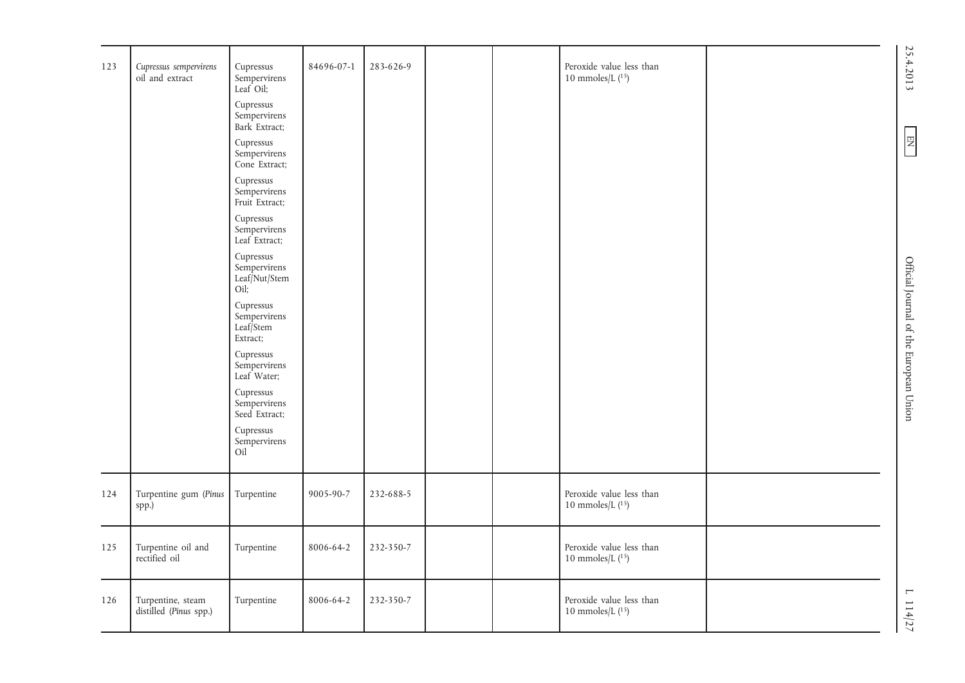| 123 | Cupressus sempervirens<br>oil and extract   | Cupressus<br>Sempervirens<br>Leaf Oil;             | 84696-07-1 | 283-626-9 |  | Peroxide value less than<br>10 mmoles/L $(^{15})$ | 25.4.2013                                  |
|-----|---------------------------------------------|----------------------------------------------------|------------|-----------|--|---------------------------------------------------|--------------------------------------------|
|     |                                             | Cupressus<br>Sempervirens<br>Bark Extract;         |            |           |  |                                                   |                                            |
|     |                                             | Cupressus<br>Sempervirens<br>Cone Extract;         |            |           |  |                                                   | $\boxed{\phantom{000} \text{N} \text{H} }$ |
|     |                                             | Cupressus<br>Sempervirens<br>Fruit Extract;        |            |           |  |                                                   |                                            |
|     |                                             | Cupressus<br>Sempervirens<br>Leaf Extract;         |            |           |  |                                                   |                                            |
|     |                                             | Cupressus<br>Sempervirens<br>Leaf/Nut/Stem<br>Oil; |            |           |  |                                                   |                                            |
|     |                                             | Cupressus<br>Sempervirens<br>Leaf/Stem<br>Extract; |            |           |  |                                                   | Official Journal of the European Union     |
|     |                                             | Cupressus<br>Sempervirens<br>Leaf Water;           |            |           |  |                                                   |                                            |
|     |                                             | Cupressus<br>Sempervirens<br>Seed Extract;         |            |           |  |                                                   |                                            |
|     |                                             | Cupressus<br>Sempervirens<br>Oil                   |            |           |  |                                                   |                                            |
| 124 | Turpentine gum (Pinus<br>spp.)              | Turpentine                                         | 9005-90-7  | 232-688-5 |  | Peroxide value less than<br>10 mmoles/L $(^{15})$ |                                            |
| 125 | Turpentine oil and<br>rectified oil         | Turpentine                                         | 8006-64-2  | 232-350-7 |  | Peroxide value less than<br>10 mmoles/L $(^{15})$ |                                            |
| 126 | Turpentine, steam<br>distilled (Pinus spp.) | Turpentine                                         | 8006-64-2  | 232-350-7 |  | Peroxide value less than<br>10 mmoles/L $(15)$    | $\overline{a}$<br>114/27                   |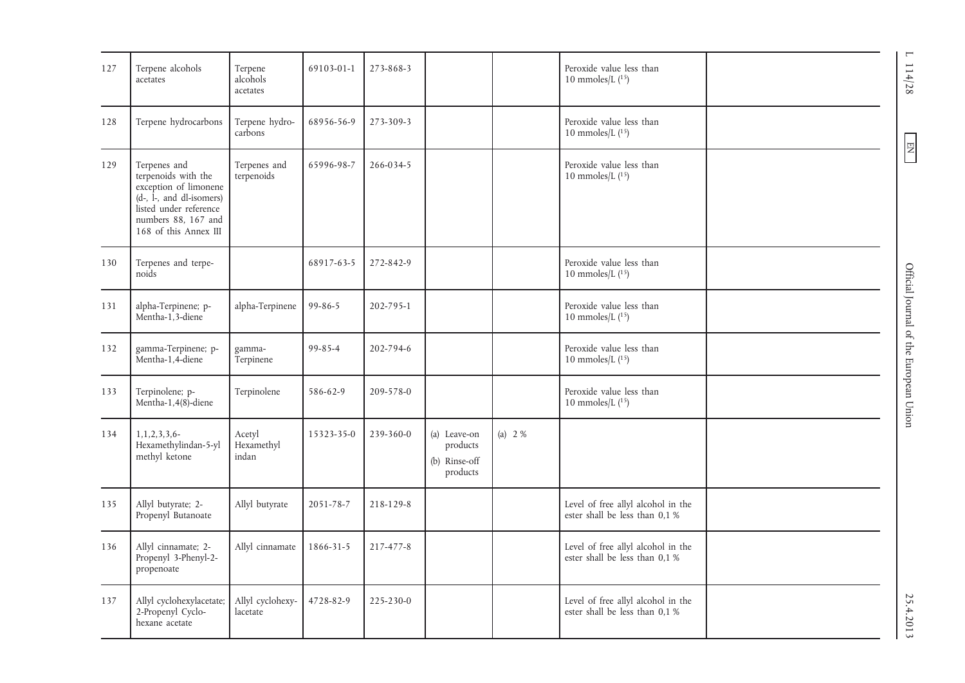| 127 | Terpene alcohols<br>acetates                                                                                                                                                       | Terpene<br>alcohols<br>acetates | 69103-01-1    | 273-868-3 |                                                       |          | Peroxide value less than<br>10 mmoles/L $(15)$                       | $\mathbf{\Gamma}$<br>114/28            |
|-----|------------------------------------------------------------------------------------------------------------------------------------------------------------------------------------|---------------------------------|---------------|-----------|-------------------------------------------------------|----------|----------------------------------------------------------------------|----------------------------------------|
| 128 | Terpene hydrocarbons                                                                                                                                                               | Terpene hydro-<br>carbons       | 68956-56-9    | 273-309-3 |                                                       |          | Peroxide value less than<br>10 mmoles/L $(15)$                       |                                        |
| 129 | Terpenes and<br>terpenoids with the<br>exception of limonene<br>$(d-, \dot{l}, \text{and } d$ l-isomers)<br>listed under reference<br>numbers 88, 167 and<br>168 of this Annex III | Terpenes and<br>terpenoids      | 65996-98-7    | 266-034-5 |                                                       |          | Peroxide value less than<br>10 mmoles/L $(15)$                       | $\boxed{\phantom{000} \text{EM}}$      |
| 130 | Terpenes and terpe-<br>noids                                                                                                                                                       |                                 | 68917-63-5    | 272-842-9 |                                                       |          | Peroxide value less than<br>10 mmoles/L $(15)$                       |                                        |
| 131 | alpha-Terpinene; p-<br>Mentha-1,3-diene                                                                                                                                            | alpha-Terpinene                 | 99-86-5       | 202-795-1 |                                                       |          | Peroxide value less than<br>10 mmoles/L $(15)$                       | Official Journal of the European Union |
| 132 | gamma-Terpinene; p-<br>Mentha-1,4-diene                                                                                                                                            | gamma-<br>Terpinene             | $99 - 85 - 4$ | 202-794-6 |                                                       |          | Peroxide value less than<br>10 mmoles/L $(15)$                       |                                        |
| 133 | Terpinolene; p-<br>Mentha-1,4(8)-diene                                                                                                                                             | Terpinolene                     | 586-62-9      | 209-578-0 |                                                       |          | Peroxide value less than<br>10 mmoles/L $(15)$                       |                                        |
| 134 | $1, 1, 2, 3, 3, 6$ -<br>Hexamethylindan-5-yl<br>methyl ketone                                                                                                                      | Acetyl<br>Hexamethyl<br>indan   | 15323-35-0    | 239-360-0 | (a) Leave-on<br>products<br>(b) Rinse-off<br>products | (a) $2%$ |                                                                      |                                        |
| 135 | Allyl butyrate; 2-<br>Propenyl Butanoate                                                                                                                                           | Allyl butyrate                  | 2051-78-7     | 218-129-8 |                                                       |          | Level of free allyl alcohol in the<br>ester shall be less than 0,1 % |                                        |
| 136 | Allyl cinnamate; 2-<br>Propenyl 3-Phenyl-2-<br>propenoate                                                                                                                          | Allyl cinnamate                 | 1866-31-5     | 217-477-8 |                                                       |          | Level of free allyl alcohol in the<br>ester shall be less than 0,1 % |                                        |
| 137 | Allyl cyclohexylacetate;<br>2-Propenyl Cyclo-<br>hexane acetate                                                                                                                    | Allyl cyclohexy-<br>lacetate    | 4728-82-9     | 225-230-0 |                                                       |          | Level of free allyl alcohol in the<br>ester shall be less than 0,1 % | 25.4.2013                              |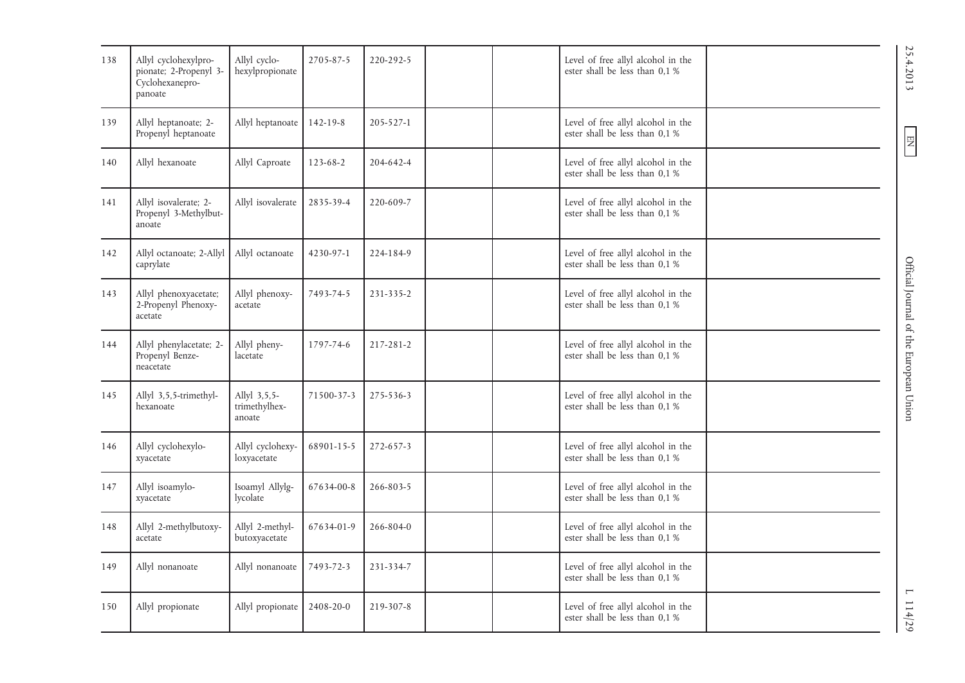| 138 | Allyl cyclohexylpro-<br>pionate; 2-Propenyl 3-<br>Cyclohexanepro-<br>panoate | Allyl cyclo-<br>hexylpropionate         | 2705-87-5      | 220-292-5       |  | Level of free allyl alcohol in the<br>ester shall be less than 0,1 % | 25.4.2013                              |
|-----|------------------------------------------------------------------------------|-----------------------------------------|----------------|-----------------|--|----------------------------------------------------------------------|----------------------------------------|
| 139 | Allyl heptanoate; 2-<br>Propenyl heptanoate                                  | Allyl heptanoate                        | $142 - 19 - 8$ | $205 - 527 - 1$ |  | Level of free allyl alcohol in the<br>ester shall be less than 0,1 % | EN                                     |
| 140 | Allyl hexanoate                                                              | Allyl Caproate                          | 123-68-2       | 204-642-4       |  | Level of free allyl alcohol in the<br>ester shall be less than 0.1 % |                                        |
| 141 | Allyl isovalerate; 2-<br>Propenyl 3-Methylbut-<br>anoate                     | Allyl isovalerate                       | 2835-39-4      | 220-609-7       |  | Level of free allyl alcohol in the<br>ester shall be less than 0,1 % |                                        |
| 142 | Allyl octanoate; 2-Allyl<br>caprylate                                        | Allyl octanoate                         | 4230-97-1      | 224-184-9       |  | Level of free allyl alcohol in the<br>ester shall be less than 0,1 % |                                        |
| 143 | Allyl phenoxyacetate;<br>2-Propenyl Phenoxy-<br>acetate                      | Allyl phenoxy-<br>acetate               | 7493-74-5      | 231-335-2       |  | Level of free allyl alcohol in the<br>ester shall be less than 0,1 % | Official Journal of the European Union |
| 144 | Allyl phenylacetate; 2-<br>Propenyl Benze-<br>neacetate                      | Allyl pheny-<br>lacetate                | 1797-74-6      | 217-281-2       |  | Level of free allyl alcohol in the<br>ester shall be less than 0,1 % |                                        |
| 145 | Allyl 3,5,5-trimethyl-<br>hexanoate                                          | Allyl 3,5,5-<br>trimethylhex-<br>anoate | 71500-37-3     | 275-536-3       |  | Level of free allyl alcohol in the<br>ester shall be less than 0,1 % |                                        |
| 146 | Allyl cyclohexylo-<br>xyacetate                                              | Allyl cyclohexy-<br>loxyacetate         | 68901-15-5     | $272 - 657 - 3$ |  | Level of free allyl alcohol in the<br>ester shall be less than 0.1 % |                                        |
| 147 | Allyl isoamylo-<br>xyacetate                                                 | Isoamyl Allylg-<br>lycolate             | 67634-00-8     | 266-803-5       |  | Level of free allyl alcohol in the<br>ester shall be less than 0,1 % |                                        |
| 148 | Allyl 2-methylbutoxy-<br>acetate                                             | Allyl 2-methyl-<br>butoxyacetate        | 67634-01-9     | 266-804-0       |  | Level of free allyl alcohol in the<br>ester shall be less than 0.1 % |                                        |
| 149 | Allyl nonanoate                                                              | Allyl nonanoate                         | 7493-72-3      | 231-334-7       |  | Level of free allyl alcohol in the<br>ester shall be less than 0,1 % |                                        |
| 150 | Allyl propionate                                                             | Allyl propionate                        | 2408-20-0      | 219-307-8       |  | Level of free allyl alcohol in the<br>ester shall be less than 0,1 % | 114/29                                 |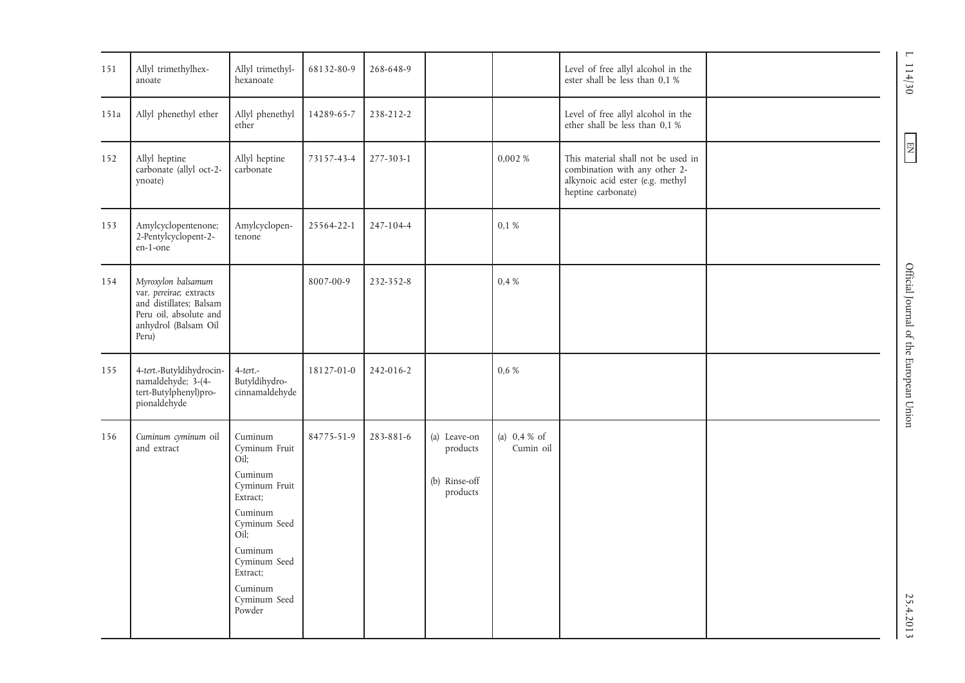| 151  | Allyl trimethylhex-<br>anoate                                                                                                       | Allyl trimethyl-<br>hexanoate                                                                                                                                                          | 68132-80-9 | 268-648-9 |                                                       |                            | Level of free allyl alcohol in the<br>ester shall be less than 0,1 %                                                          | $\overline{\phantom{0}}$<br>114/30     |
|------|-------------------------------------------------------------------------------------------------------------------------------------|----------------------------------------------------------------------------------------------------------------------------------------------------------------------------------------|------------|-----------|-------------------------------------------------------|----------------------------|-------------------------------------------------------------------------------------------------------------------------------|----------------------------------------|
| 151a | Allyl phenethyl ether                                                                                                               | Allyl phenethyl<br>ether                                                                                                                                                               | 14289-65-7 | 238-212-2 |                                                       |                            | Level of free allyl alcohol in the<br>ether shall be less than 0,1 %                                                          |                                        |
| 152  | Allyl heptine<br>carbonate (allyl oct-2-<br>ynoate)                                                                                 | Allyl heptine<br>carbonate                                                                                                                                                             | 73157-43-4 | 277-303-1 |                                                       | 0,002 %                    | This material shall not be used in<br>combination with any other 2-<br>alkynoic acid ester (e.g. methyl<br>heptine carbonate) | EN                                     |
| 153  | Amylcyclopentenone;<br>2-Pentylcyclopent-2-<br>en-1-one                                                                             | Amylcyclopen-<br>tenone                                                                                                                                                                | 25564-22-1 | 247-104-4 |                                                       | 0.1%                       |                                                                                                                               |                                        |
| 154  | Myroxylon balsamum<br>var. pereirae; extracts<br>and distillates; Balsam<br>Peru oil, absolute and<br>anhydrol (Balsam Oil<br>Peru) |                                                                                                                                                                                        | 8007-00-9  | 232-352-8 |                                                       | 0,4%                       |                                                                                                                               | Official Journal of the European Union |
| 155  | 4-tert.-Butyldihydrocin-<br>namaldehyde; 3-(4-<br>tert-Butylphenyl)pro-<br>pionaldehyde                                             | $4$ -tert.-<br>Butyldihydro-<br>cinnamaldehyde                                                                                                                                         | 18127-01-0 | 242-016-2 |                                                       | 0,6%                       |                                                                                                                               |                                        |
| 156  | Cuminum cyminum oil<br>and extract                                                                                                  | Cuminum<br>Cyminum Fruit<br>Oil;<br>Cuminum<br>Cyminum Fruit<br>Extract;<br>Cuminum<br>Cyminum Seed<br>Oil<br>Cuminum<br>Cyminum Seed<br>Extract;<br>Cuminum<br>Cyminum Seed<br>Powder | 84775-51-9 | 283-881-6 | (a) Leave-on<br>products<br>(b) Rinse-off<br>products | (a) $0,4%$ of<br>Cumin oil |                                                                                                                               | 25.4.2013                              |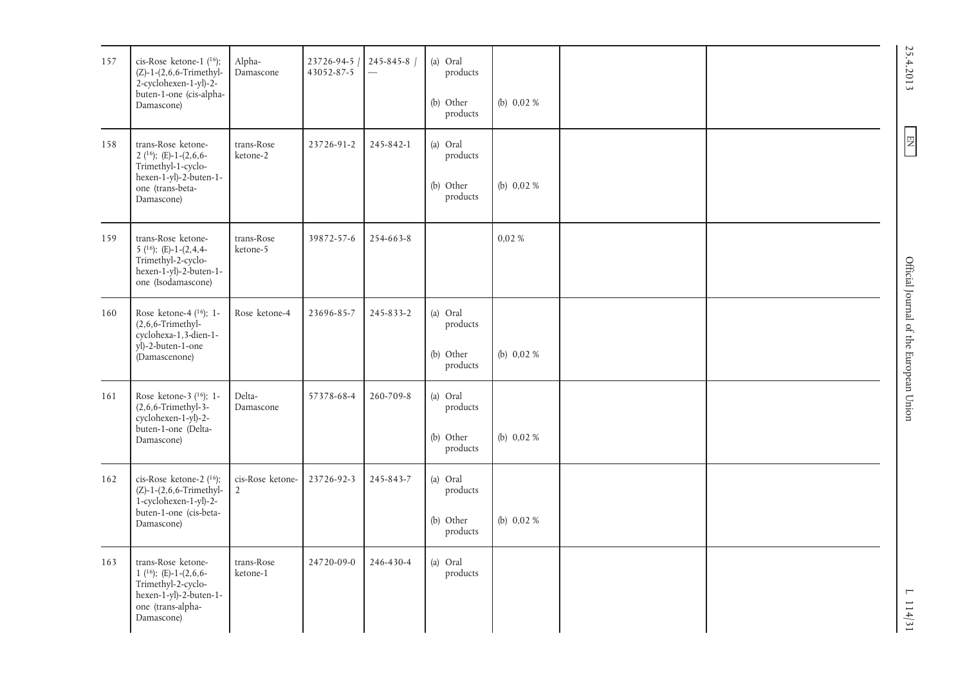| 157 | cis-Rose ketone-1 (16);<br>$(Z) - 1 - (2, 6, 6 - T$ rimethyl-<br>$2$ -cyclohexen-1-yl)- $2$ -<br>buten-1-one (cis-alpha-<br>Damascone) | Alpha-<br>Damascone                | 23726-94-5<br>43052-87-5 | 245-845-8 / | (a) Oral<br>products<br>(b) Other<br>products | (b) $0,02%$ |  | 25.4.2013                                  |
|-----|----------------------------------------------------------------------------------------------------------------------------------------|------------------------------------|--------------------------|-------------|-----------------------------------------------|-------------|--|--------------------------------------------|
| 158 | trans-Rose ketone-<br>2 ( $16$ ); (E)-1-(2,6,6-<br>Trimethyl-1-cyclo-<br>hexen-1-yl)-2-buten-1-<br>one (trans-beta-<br>Damascone)      | trans-Rose<br>ketone-2             | 23726-91-2               | 245-842-1   | (a) Oral<br>products<br>(b) Other<br>products | (b) $0,02%$ |  | $\boxed{\phantom{000} \text{N} \text{H} }$ |
| 159 | trans-Rose ketone-<br>5 ( <sup>16</sup> ); (E)-1-(2,4,4-<br>Trimethyl-2-cyclo-<br>$hexen-1-yl)-2-buten-1-$<br>one (Isodamascone)       | trans-Rose<br>ketone-5             | 39872-57-6               | 254-663-8   |                                               | 0,02%       |  |                                            |
| 160 | Rose ketone-4 (16); 1-<br>$(2,6,6$ -Trimethyl-<br>cyclohexa-1,3-dien-1-<br>yl)-2-buten-1-one<br>(Damascenone)                          | Rose ketone-4                      | 23696-85-7               | 245-833-2   | (a) Oral<br>products<br>(b) Other<br>products | (b) $0,02%$ |  | Official Journal of the European Union     |
| 161 | Rose ketone-3 (16); 1-<br>$(2,6,6$ -Trimethyl-3-<br>cyclohexen-1-yl)-2-<br>buten-1-one (Delta-<br>Damascone)                           | Delta-<br>Damascone                | 57378-68-4               | 260-709-8   | (a) Oral<br>products<br>(b) Other<br>products | (b) $0,02%$ |  |                                            |
| 162 | cis-Rose ketone-2 (16);<br>$(Z) - 1 - (2, 6, 6 - T$ rimethyl-<br>1-cyclohexen-1-yl)-2-<br>buten-1-one (cis-beta-<br>Damascone)         | cis-Rose ketone-<br>$\overline{2}$ | 23726-92-3               | 245-843-7   | (a) Oral<br>products<br>(b) Other<br>products | (b) $0,02%$ |  |                                            |
| 163 | trans-Rose ketone-<br>1 (16); (E)-1-(2,6,6-<br>Trimethyl-2-cyclo-<br>hexen-1-yl)-2-buten-1-<br>one (trans-alpha-<br>Damascone)         | trans-Rose<br>ketone-1             | 24720-09-0               | 246-430-4   | (a) Oral<br>products                          |             |  | $\overline{\phantom{0}}$<br>114/31         |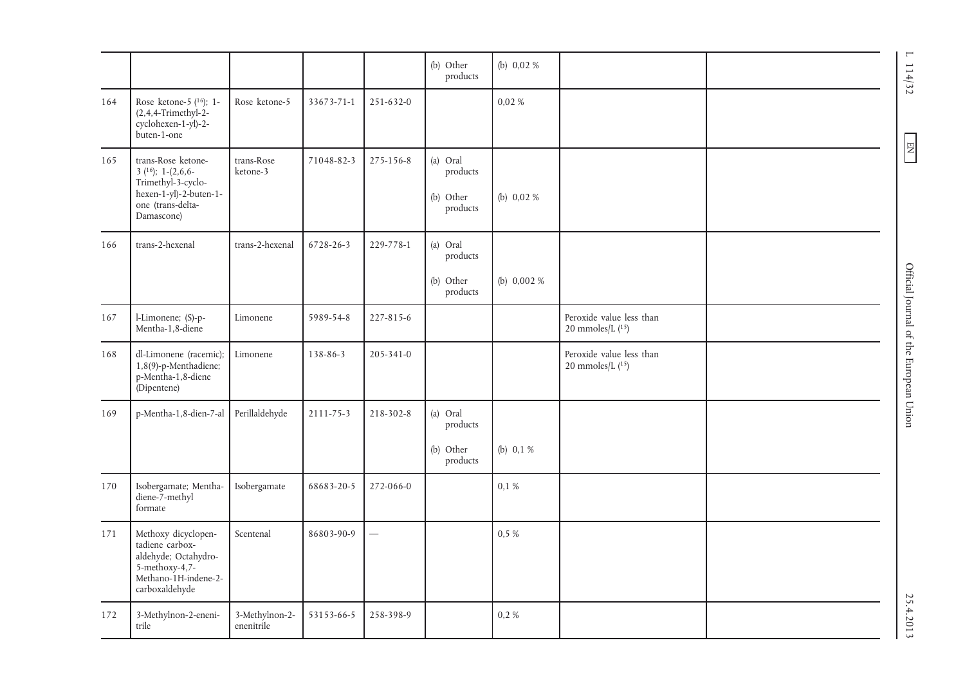|     |                                                                                                                                   |                              |            |           | (b) Other<br>products                         | (b) $0,02%$  |                                                   | $\overline{1}$<br>114/32                   |
|-----|-----------------------------------------------------------------------------------------------------------------------------------|------------------------------|------------|-----------|-----------------------------------------------|--------------|---------------------------------------------------|--------------------------------------------|
| 164 | Rose ketone-5 ( <sup>16</sup> ); 1-<br>$(2,4,4$ -Trimethyl-2-<br>cyclohexen-1-yl)-2-<br>buten-1-one                               | Rose ketone-5                | 33673-71-1 | 251-632-0 |                                               | 0,02%        |                                                   |                                            |
| 165 | trans-Rose ketone-<br>$3^{(16)}$ ; 1-(2,6,6-<br>Trimethyl-3-cyclo-<br>$hexen-1-yl)-2-buten-1-$<br>one (trans-delta-<br>Damascone) | trans-Rose<br>ketone-3       | 71048-82-3 | 275-156-8 | (a) Oral<br>products<br>(b) Other<br>products | (b) $0,02%$  |                                                   | $\boxed{\phantom{000} \text{N} \text{H} }$ |
| 166 | trans-2-hexenal                                                                                                                   | trans-2-hexenal              | 6728-26-3  | 229-778-1 | (a) Oral<br>products<br>(b) Other<br>products | (b) $0,002%$ |                                                   |                                            |
| 167 | l-Limonene; (S)-p-<br>Mentha-1,8-diene                                                                                            | Limonene                     | 5989-54-8  | 227-815-6 |                                               |              | Peroxide value less than<br>20 mmoles/L $(^{15})$ |                                            |
| 168 | dl-Limonene (racemic);<br>1,8(9)-p-Menthadiene;<br>p-Mentha-1,8-diene<br>(Dipentene)                                              | Limonene                     | 138-86-3   | 205-341-0 |                                               |              | Peroxide value less than<br>20 mmoles/L $(^{15})$ | Official Journal of the European Union     |
| 169 | p-Mentha-1,8-dien-7-al                                                                                                            | Perillaldehyde               | 2111-75-3  | 218-302-8 | (a) Oral<br>products<br>(b) Other<br>products | (b) $0,1%$   |                                                   |                                            |
| 170 | Isobergamate; Mentha-<br>diene-7-methyl<br>formate                                                                                | Isobergamate                 | 68683-20-5 | 272-066-0 |                                               | 0,1%         |                                                   |                                            |
| 171 | Methoxy dicyclopen-<br>tadiene carbox-<br>aldehyde; Octahydro-<br>5-methoxy-4,7-<br>Methano-1H-indene-2-<br>carboxaldehyde        | Scentenal                    | 86803-90-9 |           |                                               | 0,5%         |                                                   |                                            |
| 172 | 3-Methylnon-2-eneni-<br>trile                                                                                                     | 3-Methylnon-2-<br>enenitrile | 53153-66-5 | 258-398-9 |                                               | 0,2%         |                                                   | 25.4.2013                                  |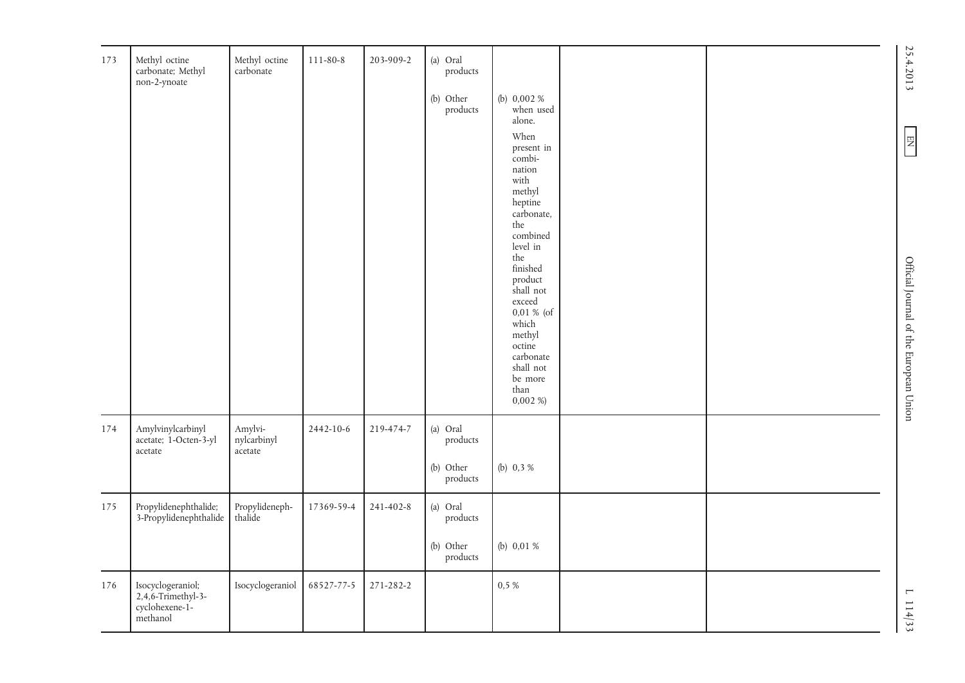| 173 | Methyl octine<br>carbonate; Methyl<br>non-2-ynoate                       | Methyl octine<br>carbonate        | $111 - 80 - 8$ | 203-909-2 | (a) Oral<br>products<br>(b) Other<br>products | (b) $0,002%$<br>when used<br>alone.<br>When<br>present in<br>combi-<br>$\,$ nation $\,$<br>with<br>methyl<br>heptine<br>carbonate,<br>the                                       |  | 25.4.2013<br>$\boxed{\phantom{\phantom{\big }}\mathbf{N}\mathbf{H}}$ |
|-----|--------------------------------------------------------------------------|-----------------------------------|----------------|-----------|-----------------------------------------------|---------------------------------------------------------------------------------------------------------------------------------------------------------------------------------|--|----------------------------------------------------------------------|
|     |                                                                          |                                   |                |           |                                               | combined<br>level in<br>the<br>finished<br>product<br>shall not<br>exceed<br>$0,01%$ (of<br>which<br>methyl<br>octine<br>carbonate<br>shall not<br>be more<br>than<br>$0,002\%$ |  | Official Journal of the European Union                               |
| 174 | Amylvinylcarbinyl<br>acetate; 1-Octen-3-yl<br>acetate                    | Amylvi-<br>nylcarbinyl<br>acetate | 2442-10-6      | 219-474-7 | (a) Oral<br>products<br>(b) Other<br>products | (b) $0,3%$                                                                                                                                                                      |  |                                                                      |
| 175 | Propylidenephthalide;<br>3-Propylidenephthalide                          | Propylideneph-<br>thalide         | 17369-59-4     | 241-402-8 | (a) Oral<br>products<br>(b) Other<br>products | (b) 0,01 %                                                                                                                                                                      |  |                                                                      |
| 176 | Isocyclogeraniol;<br>$2,4,6$ -Trimethyl-3-<br>cyclohexene-1-<br>methanol | Isocyclogeraniol                  | 68527-77-5     | 271-282-2 |                                               | 0,5%                                                                                                                                                                            |  | $\overline{a}$<br>114/33                                             |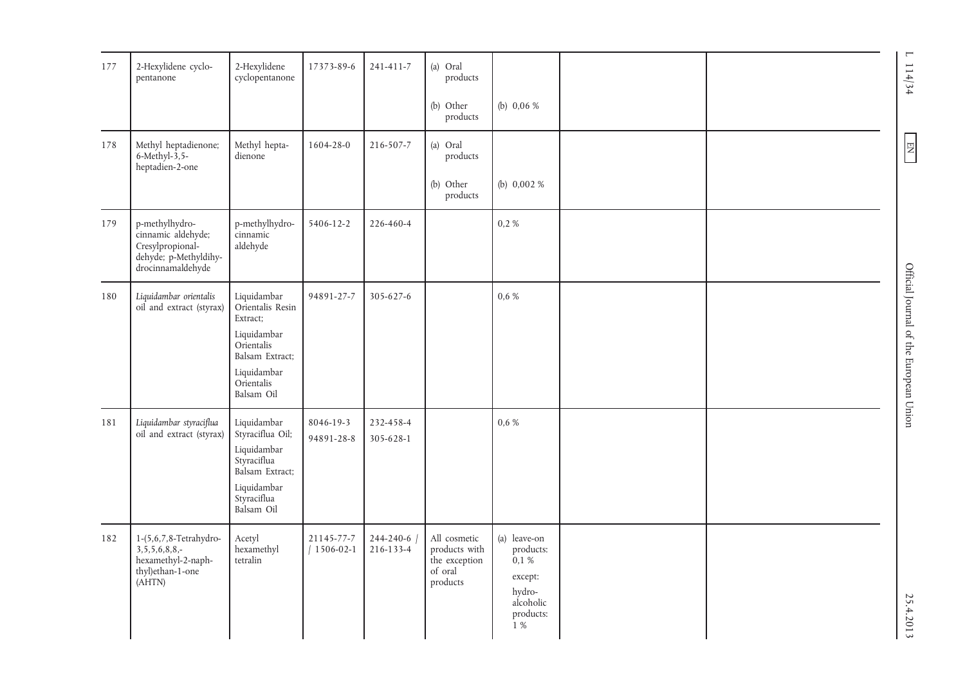| 177 | 2-Hexylidene cyclo-<br>pentanone                                                                       | 2-Hexylidene<br>cyclopentanone                                                                                                         | 17373-89-6                     | 241-411-7              | (a) Oral<br>products<br>(b) Other<br>products                         | (b) $0,06%$                                                                                         |  | $\overline{\phantom{a}}$<br>114/34         |
|-----|--------------------------------------------------------------------------------------------------------|----------------------------------------------------------------------------------------------------------------------------------------|--------------------------------|------------------------|-----------------------------------------------------------------------|-----------------------------------------------------------------------------------------------------|--|--------------------------------------------|
| 178 | Methyl heptadienone;<br>$6$ -Methyl- $3,5$ -<br>heptadien-2-one                                        | Methyl hepta-<br>dienone                                                                                                               | 1604-28-0                      | 216-507-7              | (a) Oral<br>products<br>(b) Other<br>products                         | (b) $0,002%$                                                                                        |  | $\boxed{\phantom{000} \text{N} \text{H} }$ |
| 179 | p-methylhydro-<br>cinnamic aldehyde;<br>Cresylpropional-<br>dehyde; p-Methyldihy-<br>drocinnamaldehyde | p-methylhydro-<br>cinnamic<br>aldehyde                                                                                                 | 5406-12-2                      | 226-460-4              |                                                                       | 0,2%                                                                                                |  |                                            |
| 180 | Liquidambar orientalis<br>oil and extract (styrax)                                                     | Liquidambar<br>Orientalis Resin<br>Extract;<br>Liquidambar<br>Orientalis<br>Balsam Extract;<br>Liquidambar<br>Orientalis<br>Balsam Oil | 94891-27-7                     | 305-627-6              |                                                                       | 0,6%                                                                                                |  | Official Journal of the European Union     |
| 181 | Liquidambar styraciflua<br>oil and extract (styrax)                                                    | Liquidambar<br>Styraciflua Oil;<br>Liquidambar<br>Styraciflua<br>Balsam Extract;<br>Liquidambar<br>Styraciflua<br>Balsam Oil           | 8046-19-3<br>94891-28-8        | 232-458-4<br>305-628-1 |                                                                       | 0,6 %                                                                                               |  |                                            |
| 182 | 1-(5,6,7,8-Tetrahydro-<br>$3,5,5,6,8,8,-$<br>hexamethyl-2-naph-<br>thyl)ethan-1-one<br>(AHTN)          | Acetyl<br>hexamethyl<br>tetralin                                                                                                       | 21145-77-7<br>$/1506 - 02 - 1$ | 244-240-6<br>216-133-4 | All cosmetic<br>products with<br>the exception<br>of oral<br>products | (a) leave-on<br>products:<br>0,1%<br>except:<br>hydro-<br>alcoholic<br>products:<br>$\frac{1}{1}$ % |  | 25.4.2013                                  |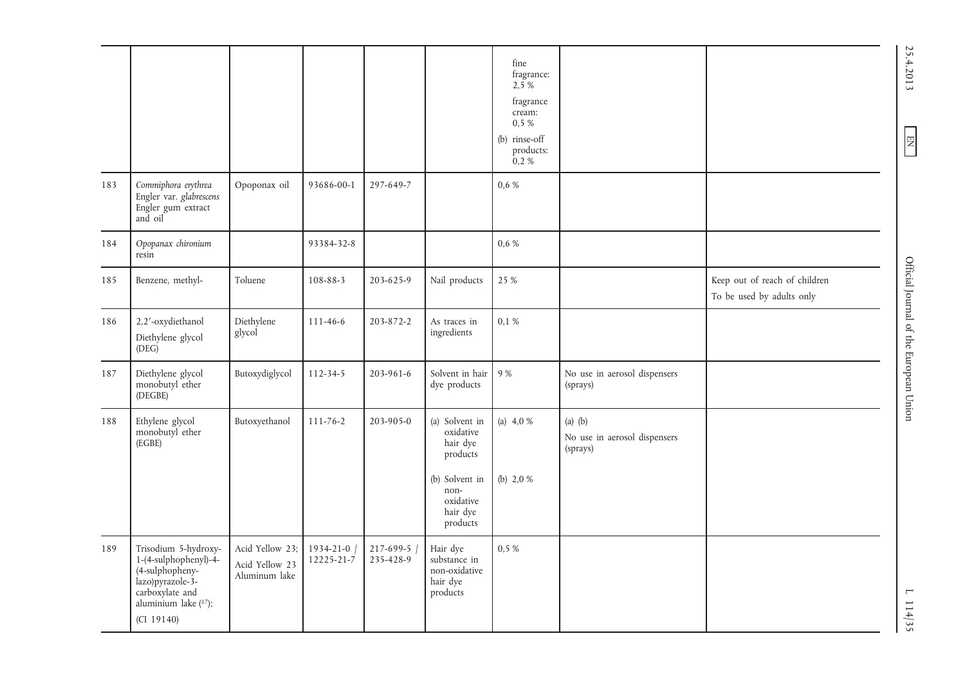|     |                                                                                                                                                   |                                                    |                               |                        |                                                                                                                    | fine<br>fragrance:<br>2,5%<br>fragrance<br>cream:<br>0,5%<br>$(b)$ rinse-off<br>products:<br>0,2% |                                                       |                                                            | 25.4.2013<br>$\boxed{\phantom{\phantom{\big }}\mathbf{N}\mathbf{H}}$ |
|-----|---------------------------------------------------------------------------------------------------------------------------------------------------|----------------------------------------------------|-------------------------------|------------------------|--------------------------------------------------------------------------------------------------------------------|---------------------------------------------------------------------------------------------------|-------------------------------------------------------|------------------------------------------------------------|----------------------------------------------------------------------|
| 183 | Commiphora erythrea<br>Engler var. glabrescens<br>Engler gum extract<br>and oil                                                                   | Opoponax oil                                       | 93686-00-1                    | 297-649-7              |                                                                                                                    | 0,6 %                                                                                             |                                                       |                                                            |                                                                      |
| 184 | Opopanax chironium<br>resin                                                                                                                       |                                                    | 93384-32-8                    |                        |                                                                                                                    | 0,6 %                                                                                             |                                                       |                                                            |                                                                      |
| 185 | Benzene, methyl-                                                                                                                                  | Toluene                                            | 108-88-3                      | 203-625-9              | Nail products                                                                                                      | 25 %                                                                                              |                                                       | Keep out of reach of children<br>To be used by adults only |                                                                      |
| 186 | 2,2'-oxydiethanol<br>Diethylene glycol<br>(DEG)                                                                                                   | Diethylene<br>glycol                               | 111-46-6                      | 203-872-2              | As traces in<br>ingredients                                                                                        | 0,1%                                                                                              |                                                       |                                                            | Official Journal of the European Union                               |
| 187 | Diethylene glycol<br>monobutyl ether<br>(DEGBE)                                                                                                   | Butoxydiglycol                                     | $112 - 34 - 5$                | 203-961-6              | Solvent in hair<br>dye products                                                                                    | 9 %                                                                                               | No use in aerosol dispensers<br>(sprays)              |                                                            |                                                                      |
| 188 | Ethylene glycol<br>monobutyl ether<br>(EGBE)                                                                                                      | Butoxyethanol                                      | $111 - 76 - 2$                | 203-905-0              | (a) Solvent in<br>oxidative<br>hair dye<br>products<br>(b) Solvent in<br>non-<br>oxidative<br>hair dye<br>products | (a) $4,0%$<br>(b) $2,0%$                                                                          | (a) $(b)$<br>No use in aerosol dispensers<br>(sprays) |                                                            |                                                                      |
| 189 | Trisodium 5-hydroxy-<br>1-(4-sulphophenyl)-4-<br>(4-sulphopheny-<br>lazo) pyrazole-3-<br>carboxylate and<br>aluminium lake $(17)$ ;<br>(CI 19140) | Acid Yellow 23;<br>Acid Yellow 23<br>Aluminum lake | $1934 - 21 - 0$<br>12225-21-7 | 217-699-5<br>235-428-9 | Hair dye<br>substance in<br>non-oxidative<br>hair dye<br>products                                                  | 0,5%                                                                                              |                                                       |                                                            | $\overline{\phantom{0}}$<br>114/35                                   |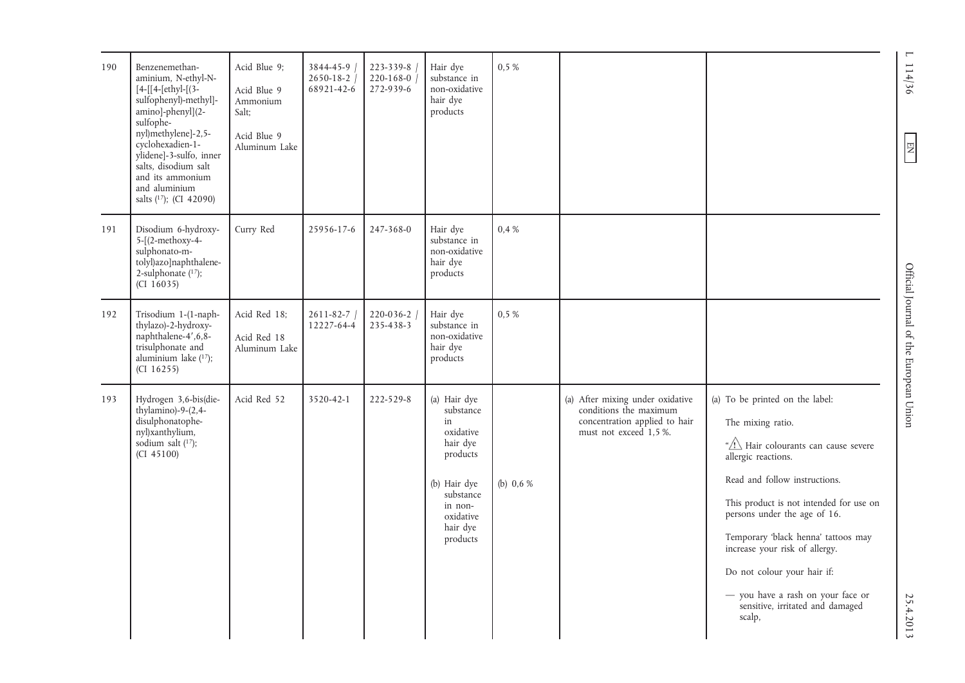| 190 | Benzenemethan-<br>aminium, N-ethyl-N-<br>$[4-[4-6]$ ethyl- $[3-$<br>sulfophenyl)-methyl]-<br>amino]-phenyl](2-<br>sulfophe-<br>nyl)methylene]-2,5-<br>cyclohexadien-1-<br>ylidene]-3-sulfo, inner<br>salts, disodium salt | Acid Blue 9;<br>Acid Blue 9<br>Ammonium<br>Salt:<br>Acid Blue 9<br>Aluminum Lake | 3844-45-9<br>$2650 - 18 - 2$<br>68921-42-6 | 223-339-8<br>220-168-0<br>272-939-6 | Hair dye<br>substance in<br>non-oxidative<br>hair dye<br>products                                                                                 | 0,5 %      |                                                                                                                       |                                                                                                                                                                                                                                                                                                                                         | $\mathbf{\Gamma}$<br>114/36<br>E       |
|-----|---------------------------------------------------------------------------------------------------------------------------------------------------------------------------------------------------------------------------|----------------------------------------------------------------------------------|--------------------------------------------|-------------------------------------|---------------------------------------------------------------------------------------------------------------------------------------------------|------------|-----------------------------------------------------------------------------------------------------------------------|-----------------------------------------------------------------------------------------------------------------------------------------------------------------------------------------------------------------------------------------------------------------------------------------------------------------------------------------|----------------------------------------|
|     | and its ammonium<br>and aluminium<br>salts (17); (CI 42090)                                                                                                                                                               |                                                                                  |                                            |                                     |                                                                                                                                                   |            |                                                                                                                       |                                                                                                                                                                                                                                                                                                                                         |                                        |
| 191 | Disodium 6-hydroxy-<br>5-[(2-methoxy-4-<br>sulphonato-m-<br>tolyl)azo]naphthalene-<br>2-sulphonate $(17)$ ;<br>$(CI \ 16035)$                                                                                             | Curry Red                                                                        | 25956-17-6                                 | 247-368-0                           | Hair dye<br>substance in<br>non-oxidative<br>hair dye<br>products                                                                                 | 0,4%       |                                                                                                                       |                                                                                                                                                                                                                                                                                                                                         |                                        |
| 192 | Trisodium 1-(1-naph-<br>thylazo)-2-hydroxy-<br>naphthalene-4',6,8-<br>trisulphonate and<br>aluminium lake $(17)$ ;<br>(CI 16255)                                                                                          | Acid Red 18;<br>Acid Red 18<br>Aluminum Lake                                     | 2611-82-7<br>12227-64-4                    | $220 - 036 - 2$<br>235-438-3        | Hair dye<br>substance in<br>non-oxidative<br>hair dye<br>products                                                                                 | 0.5 %      |                                                                                                                       |                                                                                                                                                                                                                                                                                                                                         | Official Journal of the European Union |
| 193 | Hydrogen 3,6-bis(die-<br>thylamino)-9-(2,4-<br>disulphonatophe-<br>nyl)xanthylium,<br>sodium salt $(^{17})$ ;<br>(CI 45100)                                                                                               | Acid Red 52                                                                      | 3520-42-1                                  | 222-529-8                           | (a) Hair dye<br>substance<br>in<br>oxidative<br>hair dye<br>products<br>(b) Hair dye<br>substance<br>in non-<br>oxidative<br>hair dye<br>products | (b) $0,6%$ | (a) After mixing under oxidative<br>conditions the maximum<br>concentration applied to hair<br>must not exceed 1,5 %. | (a) To be printed on the label:<br>The mixing ratio.<br>"/\ Hair colourants can cause severe<br>allergic reactions.<br>Read and follow instructions.<br>This product is not intended for use on<br>persons under the age of 16.<br>Temporary 'black henna' tattoos may<br>increase your risk of allergy.<br>Do not colour your hair if: |                                        |
|     |                                                                                                                                                                                                                           |                                                                                  |                                            |                                     |                                                                                                                                                   |            |                                                                                                                       | - you have a rash on your face or<br>sensitive, irritated and damaged<br>scalp,                                                                                                                                                                                                                                                         | 25.4.2013                              |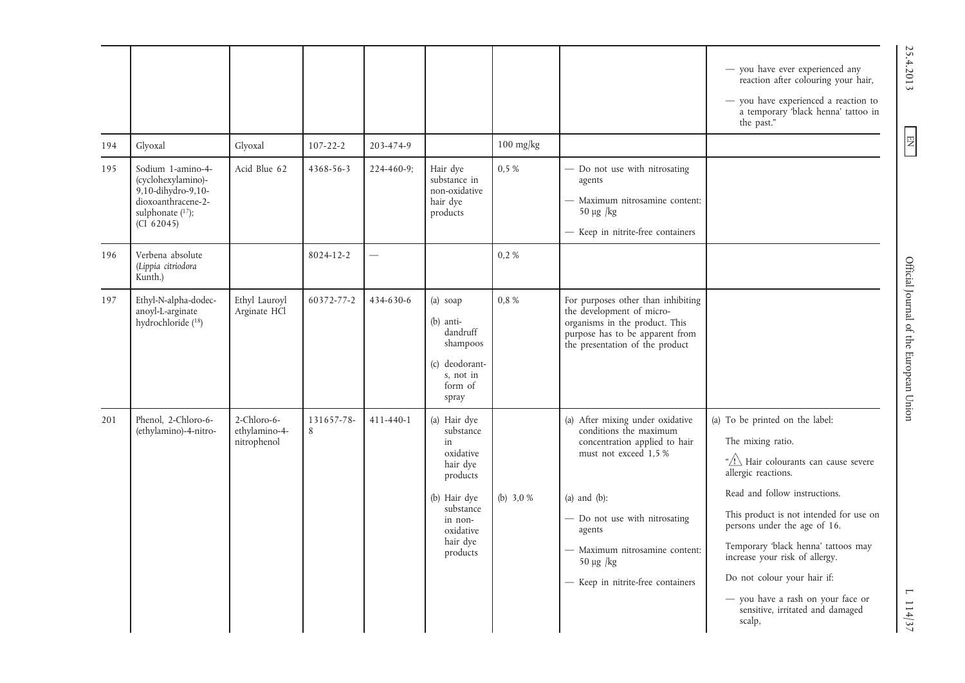| 194 | Glyoxal                                                                                                                     | Glyoxal                                     | $107 - 22 - 2$  | 203-474-9                |                                                                                                                                                   | $100$ mg/kg |                                                                                                                                                                                                                                                                             | - you have ever experienced any<br>reaction after colouring your hair,<br>- you have experienced a reaction to<br>a temporary 'black henna' tattoo in<br>the past."                                                                                                                                                                                                                                                                   |
|-----|-----------------------------------------------------------------------------------------------------------------------------|---------------------------------------------|-----------------|--------------------------|---------------------------------------------------------------------------------------------------------------------------------------------------|-------------|-----------------------------------------------------------------------------------------------------------------------------------------------------------------------------------------------------------------------------------------------------------------------------|---------------------------------------------------------------------------------------------------------------------------------------------------------------------------------------------------------------------------------------------------------------------------------------------------------------------------------------------------------------------------------------------------------------------------------------|
| 195 | Sodium 1-amino-4-<br>(cyclohexylamino)-<br>$9,10$ -dihydro-9,10-<br>dioxoanthracene-2-<br>sulphonate $(17)$ ;<br>(CI 62045) | Acid Blue 62                                | 4368-56-3       | 224-460-9:               | Hair dye<br>substance in<br>non-oxidative<br>hair dye<br>products                                                                                 | 0,5 %       | - Do not use with nitrosating<br>agents<br>- Maximum nitrosamine content:<br>$50 \mu g$ /kg<br>- Keep in nitrite-free containers                                                                                                                                            |                                                                                                                                                                                                                                                                                                                                                                                                                                       |
| 196 | Verbena absolute<br>(Lippia citriodora<br>Kunth.)                                                                           |                                             | 8024-12-2       | $\overline{\phantom{0}}$ |                                                                                                                                                   | 0,2%        |                                                                                                                                                                                                                                                                             |                                                                                                                                                                                                                                                                                                                                                                                                                                       |
| 197 | Ethyl-N-alpha-dodec-<br>anoyl-L-arginate<br>hydrochloride (18)                                                              | Ethyl Lauroyl<br>Arginate HCl               | 60372-77-2      | 434-630-6                | (a) soap<br>$(b)$ anti-<br>dandruff<br>shampoos<br>(c) deodorant-<br>s, not in<br>form of<br>spray                                                | 0.8%        | For purposes other than inhibiting<br>the development of micro-<br>organisms in the product. This<br>purpose has to be apparent from<br>the presentation of the product                                                                                                     |                                                                                                                                                                                                                                                                                                                                                                                                                                       |
| 201 | Phenol, 2-Chloro-6-<br>(ethylamino)-4-nitro-                                                                                | 2-Chloro-6-<br>ethylamino-4-<br>nitrophenol | 131657-78-<br>8 | 411-440-1                | (a) Hair dye<br>substance<br>in<br>oxidative<br>hair dye<br>products<br>(b) Hair dye<br>substance<br>in non-<br>oxidative<br>hair dye<br>products | (b) $3,0%$  | (a) After mixing under oxidative<br>conditions the maximum<br>concentration applied to hair<br>must not exceed 1,5 %<br>(a) and $(b)$ :<br>- Do not use with nitrosating<br>agents<br>- Maximum nitrosamine content:<br>$50 \mu g$ /kg<br>- Keep in nitrite-free containers | (a) To be printed on the label:<br>The mixing ratio.<br>" <sup>"</sup> Hair colourants can cause severe<br>allergic reactions.<br>Read and follow instructions.<br>This product is not intended for use on<br>persons under the age of 16.<br>Temporary 'black henna' tattoos may<br>increase your risk of allergy.<br>Do not colour your hair if:<br>- you have a rash on your face or<br>sensitive, irritated and damaged<br>scalp, |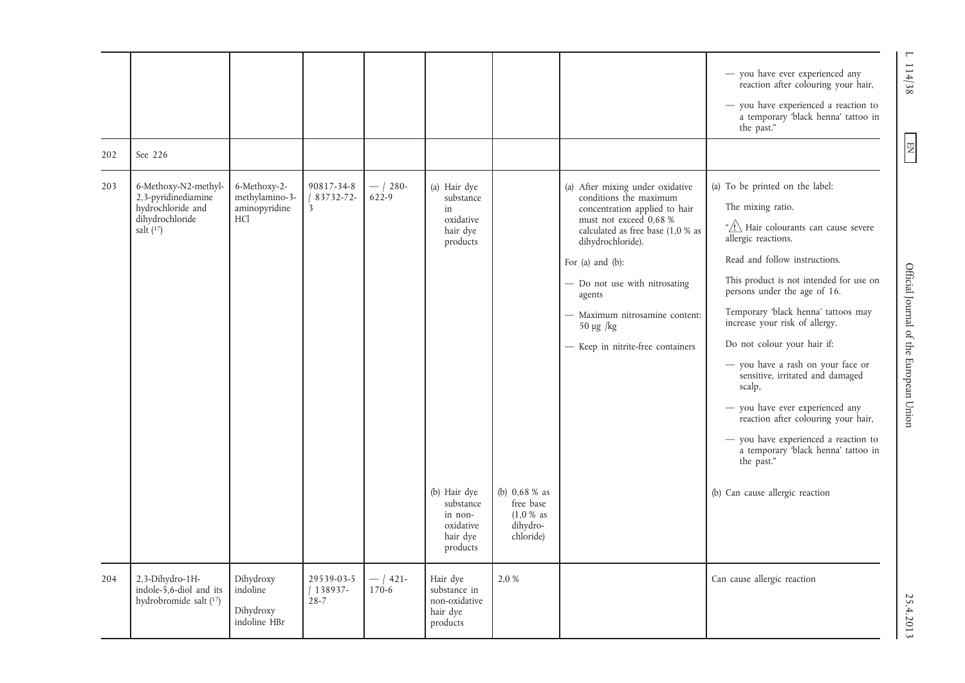| 202 | See 226                                                                                            |                                                                    |                                      |                     |                                                                                                                                                   |                                                                   |                                                                                                                                                                                                                                                                                                                                            | - you have ever experienced any<br>reaction after colouring your hair,<br>- you have experienced a reaction to<br>a temporary black henna' tattoo in<br>the past."                                                                                                                                                                                                                                                                                                                                                                                                                                                                             |
|-----|----------------------------------------------------------------------------------------------------|--------------------------------------------------------------------|--------------------------------------|---------------------|---------------------------------------------------------------------------------------------------------------------------------------------------|-------------------------------------------------------------------|--------------------------------------------------------------------------------------------------------------------------------------------------------------------------------------------------------------------------------------------------------------------------------------------------------------------------------------------|------------------------------------------------------------------------------------------------------------------------------------------------------------------------------------------------------------------------------------------------------------------------------------------------------------------------------------------------------------------------------------------------------------------------------------------------------------------------------------------------------------------------------------------------------------------------------------------------------------------------------------------------|
| 203 | 6-Methoxy-N2-methyl-<br>2,3-pyridinediamine<br>hydrochloride and<br>dihydrochloride<br>salt $(17)$ | 6-Methoxy-2-<br>methylamino-3-<br>aminopyridine<br>HC <sub>1</sub> | 90817-34-8<br>$ 83732 - 72 -$<br>3   | $-1280-$<br>622-9   | (a) Hair dye<br>substance<br>in<br>oxidative<br>hair dye<br>products<br>(b) Hair dye<br>substance<br>in non-<br>oxidative<br>hair dye<br>products | (b) $0,68%$ as<br>free base<br>(1,0 % as<br>dihydro-<br>chloride) | (a) After mixing under oxidative<br>conditions the maximum<br>concentration applied to hair<br>must not exceed 0,68 %<br>calculated as free base (1,0 % as<br>dihydrochloride).<br>For (a) and $(b)$ :<br>- Do not use with nitrosating<br>agents<br>- Maximum nitrosamine content:<br>$50 \mu g$ /kg<br>- Keep in nitrite-free containers | (a) To be printed on the label:<br>The mixing ratio.<br>" <sup>1</sup> Hair colourants can cause severe<br>allergic reactions.<br>Read and follow instructions.<br>This product is not intended for use on<br>persons under the age of 16.<br>Temporary 'black henna' tattoos may<br>increase your risk of allergy.<br>Do not colour your hair if:<br>- you have a rash on your face or<br>sensitive, irritated and damaged<br>scalp,<br>- you have ever experienced any<br>reaction after colouring your hair,<br>- you have experienced a reaction to<br>a temporary black henna' tattoo in<br>the past."<br>(b) Can cause allergic reaction |
| 204 | 2,3-Dihydro-1H-<br>indole-5,6-diol and its<br>hydrobromide salt (17)                               | Dihydroxy<br>indoline<br>Dihydroxy<br>indoline HBr                 | 29539-03-5<br>$/138937-$<br>$28 - 7$ | $-1421-$<br>$170-6$ | Hair dye<br>substance in<br>non-oxidative<br>hair dye<br>products                                                                                 | 2,0 %                                                             |                                                                                                                                                                                                                                                                                                                                            | Can cause allergic reaction                                                                                                                                                                                                                                                                                                                                                                                                                                                                                                                                                                                                                    |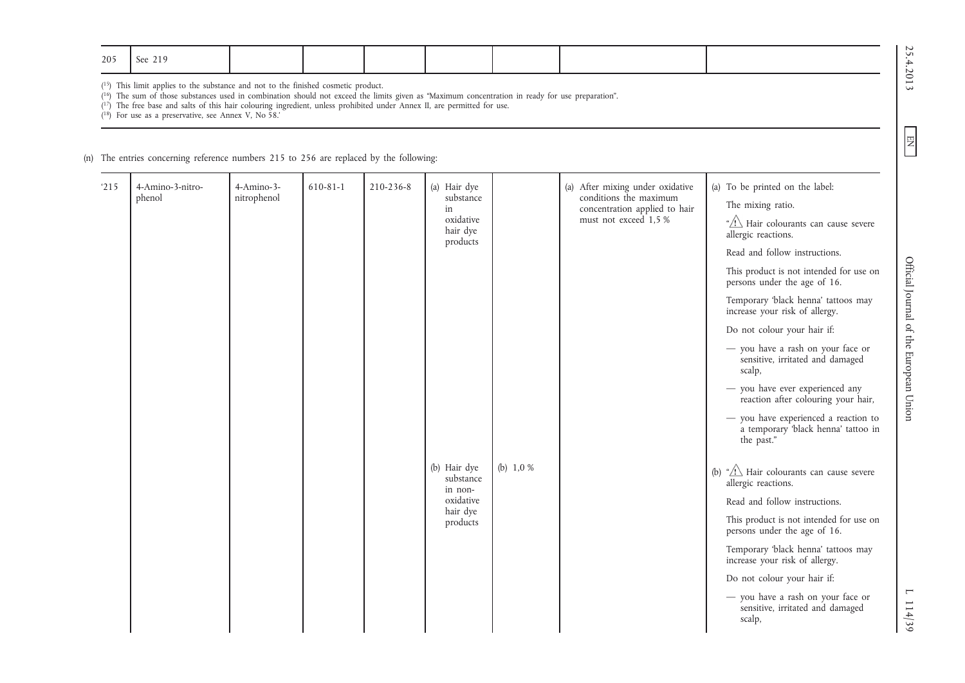| 205  | See 219                                                                                                                                                                                                                                                                                                                                                                                                                                               |                           |                |           |                                                                                      |            |                                                                                                                      |                                                                                                                                                                                                                                                                                                                                                                                                                                                                                                                                                                                                                                                       |
|------|-------------------------------------------------------------------------------------------------------------------------------------------------------------------------------------------------------------------------------------------------------------------------------------------------------------------------------------------------------------------------------------------------------------------------------------------------------|---------------------------|----------------|-----------|--------------------------------------------------------------------------------------|------------|----------------------------------------------------------------------------------------------------------------------|-------------------------------------------------------------------------------------------------------------------------------------------------------------------------------------------------------------------------------------------------------------------------------------------------------------------------------------------------------------------------------------------------------------------------------------------------------------------------------------------------------------------------------------------------------------------------------------------------------------------------------------------------------|
|      | (15) This limit applies to the substance and not to the finished cosmetic product.<br><sup>(16</sup> ) The sum of those substances used in combination should not exceed the limits given as "Maximum concentration in ready for use preparation".<br>$(17)$ The free base and salts of this hair colouring ingredient, unless prohibited under Annex II, are permitted for use.<br>( <sup>18</sup> ) For use as a preservative, see Annex V, No 58.' |                           |                |           |                                                                                      |            |                                                                                                                      |                                                                                                                                                                                                                                                                                                                                                                                                                                                                                                                                                                                                                                                       |
|      | (n) The entries concerning reference numbers 215 to 256 are replaced by the following:                                                                                                                                                                                                                                                                                                                                                                |                           |                |           |                                                                                      |            |                                                                                                                      |                                                                                                                                                                                                                                                                                                                                                                                                                                                                                                                                                                                                                                                       |
| '215 | 4-Amino-3-nitro-<br>phenol                                                                                                                                                                                                                                                                                                                                                                                                                            | 4-Amino-3-<br>nitrophenol | $610 - 81 - 1$ | 210-236-8 | (a) Hair dye<br>substance<br>in<br>oxidative<br>hair dye<br>products<br>(b) Hair dye | (b) $1,0%$ | (a) After mixing under oxidative<br>conditions the maximum<br>concentration applied to hair<br>must not exceed 1,5 % | (a) To be printed on the label:<br>The mixing ratio.<br>"/\ Hair colourants can cause severe<br>allergic reactions.<br>Read and follow instructions.<br>This product is not intended for use on<br>persons under the age of 16.<br>Temporary 'black henna' tattoos may<br>increase your risk of allergy.<br>Do not colour your hair if:<br>- you have a rash on your face or<br>sensitive, irritated and damaged<br>scalp,<br>- you have ever experienced any<br>reaction after colouring your hair,<br>- you have experienced a reaction to<br>a temporary black henna' tattoo in<br>the past."<br>(b) " $\sqrt{!}$ Hair colourants can cause severe |
|      |                                                                                                                                                                                                                                                                                                                                                                                                                                                       |                           |                |           | substance<br>in non-<br>oxidative<br>hair dye<br>products                            |            |                                                                                                                      | allergic reactions.<br>Read and follow instructions.<br>This product is not intended for use on<br>persons under the age of 16.<br>Temporary 'black henna' tattoos may<br>increase your risk of allergy.                                                                                                                                                                                                                                                                                                                                                                                                                                              |
|      |                                                                                                                                                                                                                                                                                                                                                                                                                                                       |                           |                |           |                                                                                      |            |                                                                                                                      | Do not colour your hair if:<br>- you have a rash on your face or<br>sensitive, irritated and damaged<br>scalp,                                                                                                                                                                                                                                                                                                                                                                                                                                                                                                                                        |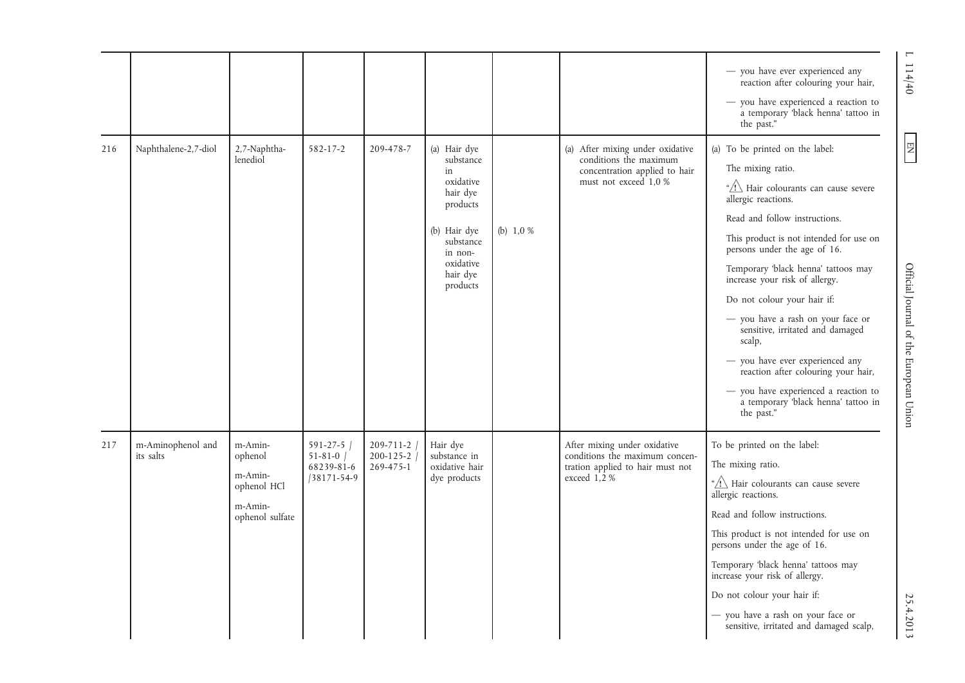| 216 | Naphthalene-2,7-diol           | 2,7-Naphtha-<br>lenediol                                                   | $582 - 17 - 2$                                                         | 209-478-7                                 | (a) Hair dye<br>substance<br>in<br>oxidative<br>hair dye<br>products<br>(b) Hair dye<br>substance<br>in non-<br>oxidative<br>hair dye<br>products | (b) $1,0%$ | (a) After mixing under oxidative<br>conditions the maximum<br>concentration applied to hair<br>must not exceed 1,0 % | - you have ever experienced any<br>reaction after colouring your hair,<br>- you have experienced a reaction to<br>a temporary black henna' tattoo in<br>the past."<br>(a) To be printed on the label:<br>The mixing ratio.<br>" <sup>"</sup> >Hair colourants can cause severe<br>allergic reactions.<br>Read and follow instructions.<br>This product is not intended for use on<br>persons under the age of 16.<br>Temporary 'black henna' tattoos may<br>increase your risk of allergy.<br>Do not colour your hair if:<br>- you have a rash on your face or<br>sensitive, irritated and damaged<br>scalp,<br>- you have ever experienced any<br>reaction after colouring your hair,<br>- you have experienced a reaction to<br>a temporary black henna' tattoo in<br>the past." |
|-----|--------------------------------|----------------------------------------------------------------------------|------------------------------------------------------------------------|-------------------------------------------|---------------------------------------------------------------------------------------------------------------------------------------------------|------------|----------------------------------------------------------------------------------------------------------------------|------------------------------------------------------------------------------------------------------------------------------------------------------------------------------------------------------------------------------------------------------------------------------------------------------------------------------------------------------------------------------------------------------------------------------------------------------------------------------------------------------------------------------------------------------------------------------------------------------------------------------------------------------------------------------------------------------------------------------------------------------------------------------------|
| 217 | m-Aminophenol and<br>its salts | m-Amin-<br>ophenol<br>m-Amin-<br>ophenol HCl<br>m-Amin-<br>ophenol sulfate | $591 - 27 - 5$ /<br>$51 - 81 - 0$ /<br>68239-81-6<br>$/38171 - 54 - 9$ | 209-711-2<br>$200 - 125 - 2$<br>269-475-1 | Hair dye<br>substance in<br>oxidative hair<br>dye products                                                                                        |            | After mixing under oxidative<br>conditions the maximum concen-<br>tration applied to hair must not<br>exceed 1,2 %   | To be printed on the label:<br>The mixing ratio.<br>" <sup>"</sup> Hair colourants can cause severe<br>allergic reactions.<br>Read and follow instructions.<br>This product is not intended for use on<br>persons under the age of 16.<br>Temporary 'black henna' tattoos may<br>increase your risk of allergy.<br>Do not colour your hair if:<br>- you have a rash on your face or<br>sensitive, irritated and damaged scalp,                                                                                                                                                                                                                                                                                                                                                     |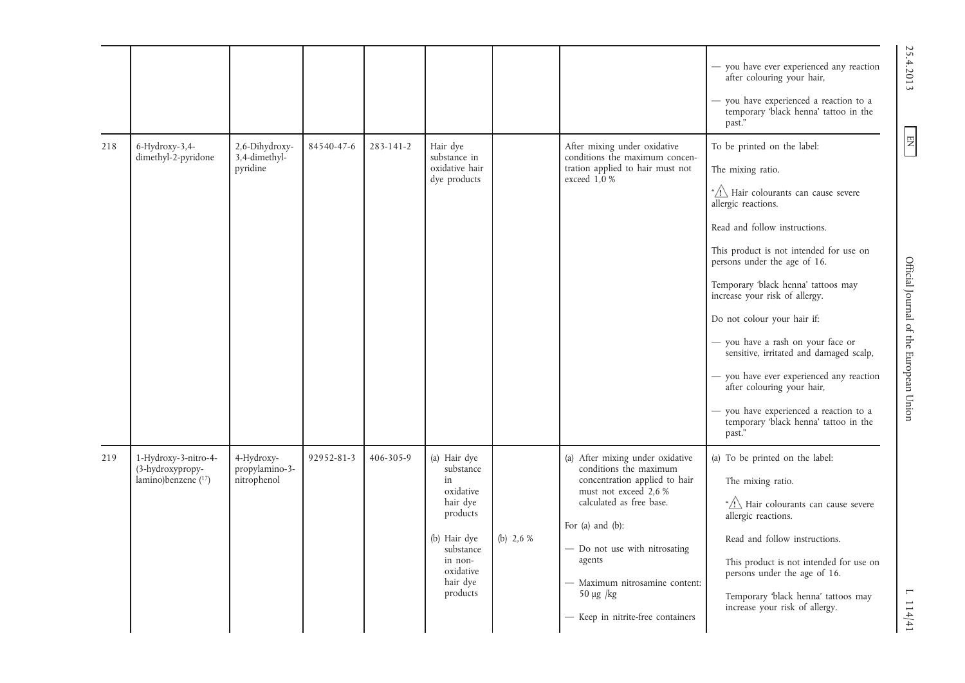|     |                                                                 |                                             |            |           |                                                                                                                                                   |            |                                                                                                                                                                                                                                                                                                             | - you have ever experienced any reaction<br>after colouring your hair,<br>- you have experienced a reaction to a<br>temporary 'black henna' tattoo in the<br>past."                                                                                                                                                                                                                                                                                                                                                                                                                                   |
|-----|-----------------------------------------------------------------|---------------------------------------------|------------|-----------|---------------------------------------------------------------------------------------------------------------------------------------------------|------------|-------------------------------------------------------------------------------------------------------------------------------------------------------------------------------------------------------------------------------------------------------------------------------------------------------------|-------------------------------------------------------------------------------------------------------------------------------------------------------------------------------------------------------------------------------------------------------------------------------------------------------------------------------------------------------------------------------------------------------------------------------------------------------------------------------------------------------------------------------------------------------------------------------------------------------|
| 218 | 6-Hydroxy-3,4-<br>dimethyl-2-pyridone                           | 2,6-Dihydroxy-<br>3,4-dimethyl-<br>pyridine | 84540-47-6 | 283-141-2 | Hair dye<br>substance in<br>oxidative hair<br>dye products                                                                                        |            | After mixing under oxidative<br>conditions the maximum concen-<br>tration applied to hair must not<br>exceed 1,0 %                                                                                                                                                                                          | To be printed on the label:<br>The mixing ratio.<br>" <sup>A</sup> Hair colourants can cause severe<br>allergic reactions.<br>Read and follow instructions.<br>This product is not intended for use on<br>persons under the age of 16.<br>Temporary 'black henna' tattoos may<br>increase your risk of allergy.<br>Do not colour your hair if:<br>- you have a rash on your face or<br>sensitive, irritated and damaged scalp,<br>- you have ever experienced any reaction<br>after colouring your hair,<br>- you have experienced a reaction to a<br>temporary 'black henna' tattoo in the<br>past." |
| 219 | 1-Hydroxy-3-nitro-4-<br>(3-hydroxypropy-<br>lamino)benzene (17) | 4-Hydroxy-<br>propylamino-3-<br>nitrophenol | 92952-81-3 | 406-305-9 | (a) Hair dye<br>substance<br>in<br>oxidative<br>hair dye<br>products<br>(b) Hair dye<br>substance<br>in non-<br>oxidative<br>hair dye<br>products | (b) $2,6%$ | (a) After mixing under oxidative<br>conditions the maximum<br>concentration applied to hair<br>must not exceed 2,6 %<br>calculated as free base.<br>For (a) and $(b)$ :<br>- Do not use with nitrosating<br>agents<br>- Maximum nitrosamine content:<br>$50 \mu g$ /kg<br>- Keep in nitrite-free containers | (a) To be printed on the label:<br>The mixing ratio.<br>" <sup>1</sup> Hair colourants can cause severe<br>allergic reactions.<br>Read and follow instructions.<br>This product is not intended for use on<br>persons under the age of 16.<br>Temporary 'black henna' tattoos may<br>increase your risk of allergy.                                                                                                                                                                                                                                                                                   |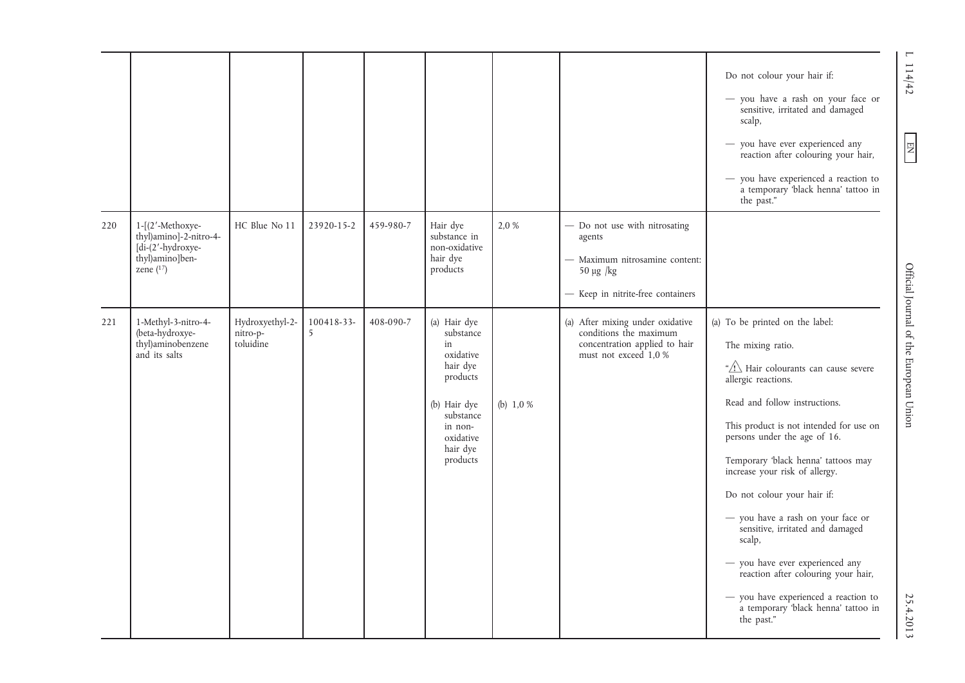|     |                                                                                                           |                                          |                 |           |                                                                                                                                                   |            |                                                                                                                                  | Do not colour your hair if:<br>- you have a rash on your face or<br>sensitive, irritated and damaged<br>scalp,<br>- you have ever experienced any<br>reaction after colouring your hair,<br>- you have experienced a reaction to<br>a temporary black henna' tattoo in                                                                                                                                                                                                                                                                                                                                       |
|-----|-----------------------------------------------------------------------------------------------------------|------------------------------------------|-----------------|-----------|---------------------------------------------------------------------------------------------------------------------------------------------------|------------|----------------------------------------------------------------------------------------------------------------------------------|--------------------------------------------------------------------------------------------------------------------------------------------------------------------------------------------------------------------------------------------------------------------------------------------------------------------------------------------------------------------------------------------------------------------------------------------------------------------------------------------------------------------------------------------------------------------------------------------------------------|
| 220 | $1 - [(2'-Methodxye-$<br>thyl)amino]-2-nitro-4-<br>[di-(2'-hydroxye-<br>thyl)amino]ben-<br>zene $(^{17})$ | HC Blue No 11                            | 23920-15-2      | 459-980-7 | Hair dye<br>substance in<br>non-oxidative<br>hair dye<br>products                                                                                 | 2.0 %      | - Do not use with nitrosating<br>agents<br>- Maximum nitrosamine content:<br>$50 \mu g$ /kg<br>- Keep in nitrite-free containers | the past."                                                                                                                                                                                                                                                                                                                                                                                                                                                                                                                                                                                                   |
| 221 | 1-Methyl-3-nitro-4-<br>(beta-hydroxye-<br>thyl)aminobenzene<br>and its salts                              | Hydroxyethyl-2-<br>nitro-p-<br>toluidine | 100418-33-<br>5 | 408-090-7 | (a) Hair dye<br>substance<br>in<br>oxidative<br>hair dye<br>products<br>(b) Hair dye<br>substance<br>in non-<br>oxidative<br>hair dye<br>products | (b) $1,0%$ | (a) After mixing under oxidative<br>conditions the maximum<br>concentration applied to hair<br>must not exceed 1,0 %             | (a) To be printed on the label:<br>The mixing ratio.<br>" <sup>"</sup> Alir colourants can cause severe<br>allergic reactions.<br>Read and follow instructions.<br>This product is not intended for use on<br>persons under the age of 16.<br>Temporary 'black henna' tattoos may<br>increase your risk of allergy.<br>Do not colour your hair if:<br>- you have a rash on your face or<br>sensitive, irritated and damaged<br>scalp,<br>- you have ever experienced any<br>reaction after colouring your hair,<br>- you have experienced a reaction to<br>a temporary 'black henna' tattoo in<br>the past." |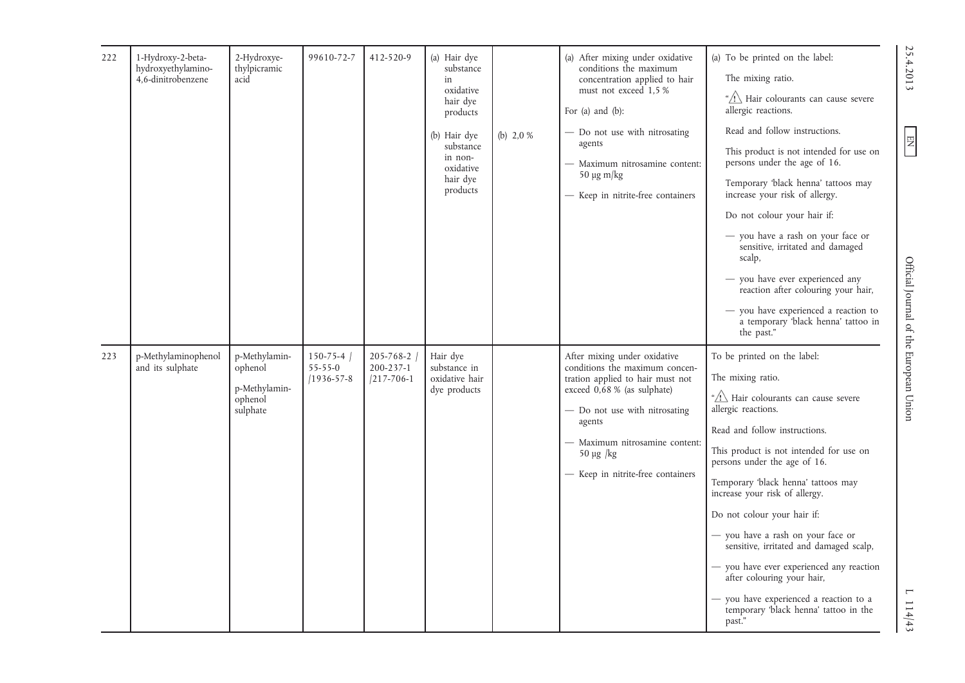| 222 | 1-Hydroxy-2-beta-<br>hydroxyethylamino-<br>4,6-dinitrobenzene | 2-Hydroxye-<br>thylpicramic<br>acid                              | 99610-72-7                                    | 412-520-9                                  | (a) Hair dye<br>substance<br>in<br>oxidative<br>hair dye<br>products<br>(b) Hair dye<br>substance<br>in non-<br>oxidative<br>hair dye<br>products | (b) $2,0%$ | (a) After mixing under oxidative<br>conditions the maximum<br>concentration applied to hair<br>must not exceed 1,5 %<br>For $(a)$ and $(b)$ :<br>- Do not use with nitrosating<br>agents<br>- Maximum nitrosamine content:<br>$50 \mu$ g m/kg<br>- Keep in nitrite-free containers | (a) To be printed on the label:<br>The mixing ratio.<br>"/\ Hair colourants can cause severe<br>allergic reactions.<br>Read and follow instructions.<br>This product is not intended for use on<br>persons under the age of 16.<br>Temporary 'black henna' tattoos may<br>increase your risk of allergy.<br>Do not colour your hair if:<br>- you have a rash on your face or                                                           | 25.4.2013<br>E                         |
|-----|---------------------------------------------------------------|------------------------------------------------------------------|-----------------------------------------------|--------------------------------------------|---------------------------------------------------------------------------------------------------------------------------------------------------|------------|------------------------------------------------------------------------------------------------------------------------------------------------------------------------------------------------------------------------------------------------------------------------------------|----------------------------------------------------------------------------------------------------------------------------------------------------------------------------------------------------------------------------------------------------------------------------------------------------------------------------------------------------------------------------------------------------------------------------------------|----------------------------------------|
| 223 | p-Methylaminophenol<br>and its sulphate                       | p-Methylamin-<br>ophenol<br>p-Methylamin-<br>ophenol<br>sulphate | $150 - 75 - 4$<br>55-55-0<br>$/1936 - 57 - 8$ | 205-768-2<br>200-237-1<br>$/217 - 706 - 1$ | Hair dye<br>substance in<br>oxidative hair<br>dye products                                                                                        |            | After mixing under oxidative<br>conditions the maximum concen-<br>tration applied to hair must not<br>exceed 0,68 % (as sulphate)<br>- Do not use with nitrosating<br>agents                                                                                                       | sensitive, irritated and damaged<br>scalp,<br>- you have ever experienced any<br>reaction after colouring your hair,<br>- you have experienced a reaction to<br>a temporary 'black henna' tattoo in<br>the past."<br>To be printed on the label:<br>The mixing ratio.<br>" <sup>"</sup> > Hair colourants can cause severe<br>allergic reactions.<br>Read and follow instructions.                                                     | Official Journal of the European Union |
|     |                                                               |                                                                  |                                               |                                            |                                                                                                                                                   |            | - Maximum nitrosamine content:<br>$50 \mu g$ /kg<br>- Keep in nitrite-free containers                                                                                                                                                                                              | This product is not intended for use on<br>persons under the age of 16.<br>Temporary 'black henna' tattoos may<br>increase your risk of allergy.<br>Do not colour your hair if:<br>- you have a rash on your face or<br>sensitive, irritated and damaged scalp,<br>- you have ever experienced any reaction<br>after colouring your hair,<br>- you have experienced a reaction to a<br>temporary 'black henna' tattoo in the<br>past." | $\mathbf{\mathsf{T}}$<br>114/43        |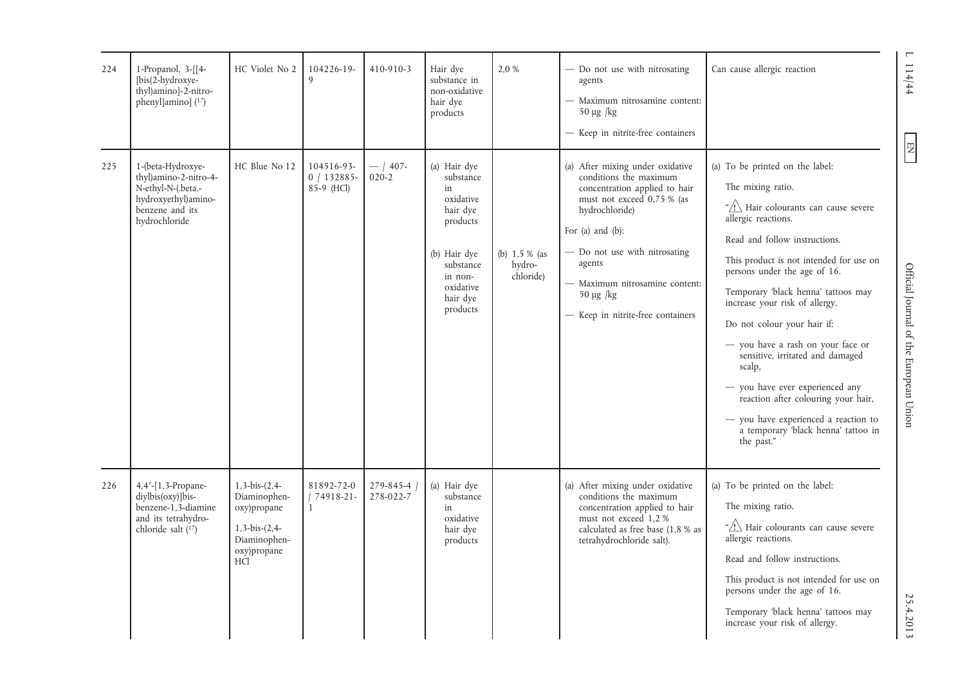| 224 | 1-Propanol, 3-[[4-<br>[bis(2-hydroxye-<br>thyl)amino]-2-nitro-<br>phenyl]amino] (17)                                        | HC Violet No 2                                                                                                        | 104226-19-<br>$\mathbf{Q}$                 | 410-910-3               | Hair dye<br>substance in<br>non-oxidative<br>hair dye<br>products                                                                                 | 2,0 %                                 | - Do not use with nitrosating<br>agents<br>- Maximum nitrosamine content:<br>$50 \mu g$ /kg<br>- Keep in nitrite-free containers                                                                                                                                                                       | Can cause allergic reaction                                                                                                                                                                                                                                                                                                                                                                                                                                                                                                                                                                                 | $\overline{ }$<br>114/44                                                     |
|-----|-----------------------------------------------------------------------------------------------------------------------------|-----------------------------------------------------------------------------------------------------------------------|--------------------------------------------|-------------------------|---------------------------------------------------------------------------------------------------------------------------------------------------|---------------------------------------|--------------------------------------------------------------------------------------------------------------------------------------------------------------------------------------------------------------------------------------------------------------------------------------------------------|-------------------------------------------------------------------------------------------------------------------------------------------------------------------------------------------------------------------------------------------------------------------------------------------------------------------------------------------------------------------------------------------------------------------------------------------------------------------------------------------------------------------------------------------------------------------------------------------------------------|------------------------------------------------------------------------------|
| 225 | 1-(beta-Hydroxye-<br>thyl)amino-2-nitro-4-<br>N-ethyl-N-(.beta.-<br>hydroxyethyl)amino-<br>benzene and its<br>hydrochloride | HC Blue No 12                                                                                                         | 104516-93-<br>$0 / 132885 -$<br>85-9 (HCl) | $-$ / 407-<br>$020 - 2$ | (a) Hair dye<br>substance<br>in<br>oxidative<br>hair dye<br>products<br>(b) Hair dye<br>substance<br>in non-<br>oxidative<br>hair dye<br>products | (b) $1,5%$ (as<br>hydro-<br>chloride) | (a) After mixing under oxidative<br>conditions the maximum<br>concentration applied to hair<br>must not exceed 0,75 % (as<br>hydrochloride)<br>For (a) and $(b)$ :<br>- Do not use with nitrosating<br>agents<br>- Maximum nitrosamine content:<br>$50 \mu g$ /kg<br>- Keep in nitrite-free containers | (a) To be printed on the label:<br>The mixing ratio.<br>" <sup>"</sup> Hair colourants can cause severe<br>allergic reactions.<br>Read and follow instructions.<br>This product is not intended for use on<br>persons under the age of 16.<br>Temporary 'black henna' tattoos may<br>increase your risk of allergy.<br>Do not colour your hair if:<br>- you have a rash on your face or<br>sensitive, irritated and damaged<br>scalp,<br>- you have ever experienced any<br>reaction after colouring your hair,<br>- you have experienced a reaction to<br>a temporary black henna' tattoo in<br>the past." | $\boxed{\phantom{13.5} \text{N1}}$<br>Official Journal of the European Union |
| 226 | 4,4'-[1,3-Propane-<br>$diylbis(oxy)$ ] $b$ is-<br>benzene-1,3-diamine<br>and its tetrahydro-<br>chloride salt $(17)$        | $1, 3-bis-(2,4-$<br>Diaminophen-<br>oxy)propane<br>$1, 3-bis-(2,4-$<br>Diaminophen-<br>oxy)propane<br>HC <sub>1</sub> | 81892-72-0<br>$/74918-21-$<br>$\mathbf{1}$ | 279-845-4<br>278-022-7  | (a) Hair dye<br>substance<br>in<br>oxidative<br>hair dye<br>products                                                                              |                                       | (a) After mixing under oxidative<br>conditions the maximum<br>concentration applied to hair<br>must not exceed 1,2 %<br>calculated as free base (1,8 % as<br>tetrahydrochloride salt).                                                                                                                 | (a) To be printed on the label:<br>The mixing ratio.<br>" $\overline{\Lambda}$ Hair colourants can cause severe<br>allergic reactions.<br>Read and follow instructions.<br>This product is not intended for use on<br>persons under the age of 16.<br>Temporary 'black henna' tattoos may<br>increase your risk of allergy.                                                                                                                                                                                                                                                                                 | 25.4.2013                                                                    |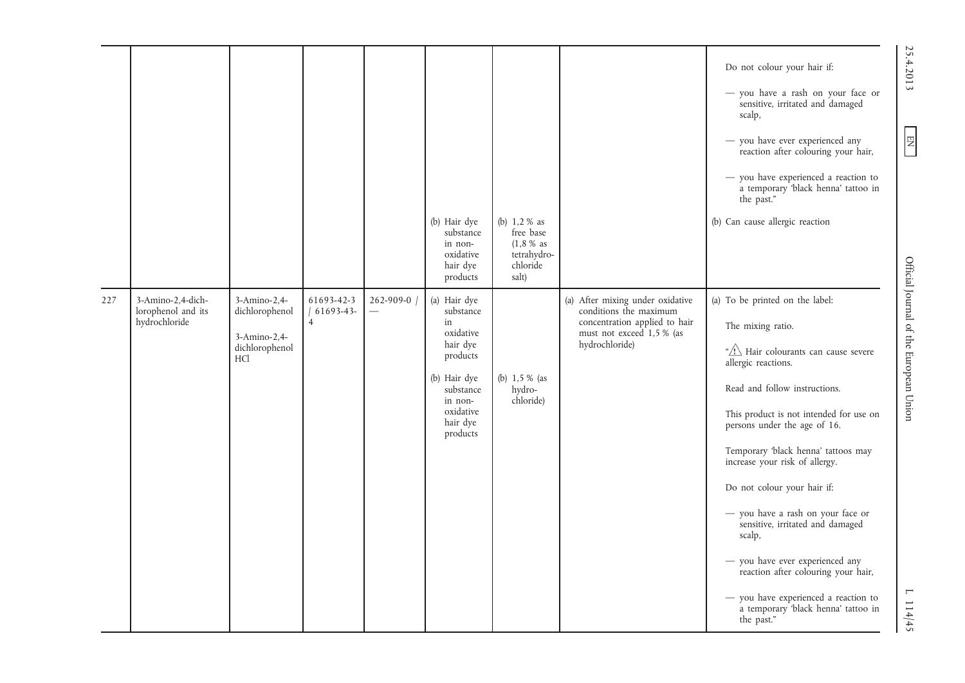|     |                                                          |                                                                         |                                                  |                                                 | (b) Hair dye<br>substance<br>in non-<br>oxidative<br>hair dye<br>products                                                                         | (b) $1,2%$ as<br>free base<br>(1.8 % as<br>tetrahydro-<br>chloride<br>salt) |                                                                                                                                            | Do not colour your hair if:<br>- you have a rash on your face or<br>sensitive, irritated and damaged<br>scalp,<br>- you have ever experienced any<br>reaction after colouring your hair,<br>- you have experienced a reaction to<br>a temporary black henna' tattoo in<br>the past."<br>(b) Can cause allergic reaction                                                                                                                                                                                                                                                                                        | 25.4.2013<br>EN                                  |
|-----|----------------------------------------------------------|-------------------------------------------------------------------------|--------------------------------------------------|-------------------------------------------------|---------------------------------------------------------------------------------------------------------------------------------------------------|-----------------------------------------------------------------------------|--------------------------------------------------------------------------------------------------------------------------------------------|----------------------------------------------------------------------------------------------------------------------------------------------------------------------------------------------------------------------------------------------------------------------------------------------------------------------------------------------------------------------------------------------------------------------------------------------------------------------------------------------------------------------------------------------------------------------------------------------------------------|--------------------------------------------------|
| 227 | 3-Amino-2,4-dich-<br>lorophenol and its<br>hydrochloride | 3-Amino-2,4-<br>dichlorophenol<br>3-Amino-2,4-<br>dichlorophenol<br>HC1 | 61693-42-3<br>$  61693 - 43 -$<br>$\overline{4}$ | 262-909-0 /<br>$\overbrace{\phantom{12322111}}$ | (a) Hair dye<br>substance<br>in<br>oxidative<br>hair dye<br>products<br>(b) Hair dye<br>substance<br>in non-<br>oxidative<br>hair dye<br>products | (b) $1,5%$ (as<br>hydro-<br>chloride)                                       | (a) After mixing under oxidative<br>conditions the maximum<br>concentration applied to hair<br>must not exceed 1,5 % (as<br>hydrochloride) | (a) To be printed on the label:<br>The mixing ratio.<br>" <sup>"</sup> /! Hair colourants can cause severe<br>allergic reactions.<br>Read and follow instructions.<br>This product is not intended for use on<br>persons under the age of 16.<br>Temporary 'black henna' tattoos may<br>increase your risk of allergy.<br>Do not colour your hair if:<br>- you have a rash on your face or<br>sensitive, irritated and damaged<br>scalp,<br>- you have ever experienced any<br>reaction after colouring your hair,<br>- you have experienced a reaction to<br>a temporary black henna' tattoo in<br>the past." | Official Journal of the European Union<br>114/45 |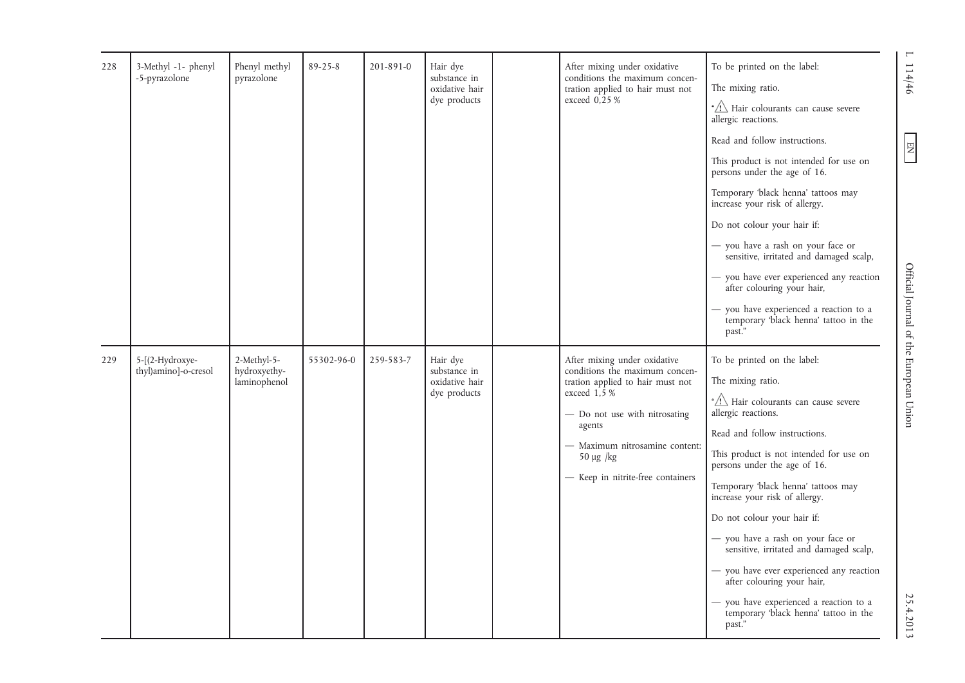| 228 | 3-Methyl -1- phenyl<br>-5-pyrazolone    | Phenyl methyl<br>pyrazolone                 | $89 - 25 - 8$ | 201-891-0 | Hair dye<br>substance in<br>oxidative hair<br>dye products | After mixing under oxidative<br>conditions the maximum concen-<br>tration applied to hair must not<br>exceed 0,25 %                                                                                                                                    | To be printed on the label:<br>The mixing ratio.<br>"/\ Hair colourants can cause severe<br>allergic reactions.<br>Read and follow instructions.<br>This product is not intended for use on<br>persons under the age of 16.<br>Temporary 'black henna' tattoos may<br>increase your risk of allergy.<br>Do not colour your hair if:<br>- you have a rash on your face or<br>sensitive, irritated and damaged scalp,<br>- you have ever experienced any reaction<br>after colouring your hair,<br>- you have experienced a reaction to a<br>temporary 'black henna' tattoo in the<br>past."            | $\mathbf{\Gamma}$<br>114/46<br>$\boxed{\phantom{1}}$ |
|-----|-----------------------------------------|---------------------------------------------|---------------|-----------|------------------------------------------------------------|--------------------------------------------------------------------------------------------------------------------------------------------------------------------------------------------------------------------------------------------------------|-------------------------------------------------------------------------------------------------------------------------------------------------------------------------------------------------------------------------------------------------------------------------------------------------------------------------------------------------------------------------------------------------------------------------------------------------------------------------------------------------------------------------------------------------------------------------------------------------------|------------------------------------------------------|
| 229 | 5-[(2-Hydroxye-<br>thyl)amino]-o-cresol | 2-Methyl-5-<br>hydroxyethy-<br>laminophenol | 55302-96-0    | 259-583-7 | Hair dye<br>substance in<br>oxidative hair<br>dye products | After mixing under oxidative<br>conditions the maximum concen-<br>tration applied to hair must not<br>exceed 1.5 %<br>- Do not use with nitrosating<br>agents<br>- Maximum nitrosamine content:<br>$50 \mu g$ /kg<br>- Keep in nitrite-free containers | To be printed on the label:<br>The mixing ratio.<br>" <sup>A</sup> Hair colourants can cause severe<br>allergic reactions.<br>Read and follow instructions.<br>This product is not intended for use on<br>persons under the age of 16.<br>Temporary 'black henna' tattoos may<br>increase your risk of allergy.<br>Do not colour your hair if:<br>- you have a rash on your face or<br>sensitive, irritated and damaged scalp,<br>- you have ever experienced any reaction<br>after colouring your hair,<br>- you have experienced a reaction to a<br>temporary 'black henna' tattoo in the<br>past." | Official Journal of the European Union<br>25.4.2013  |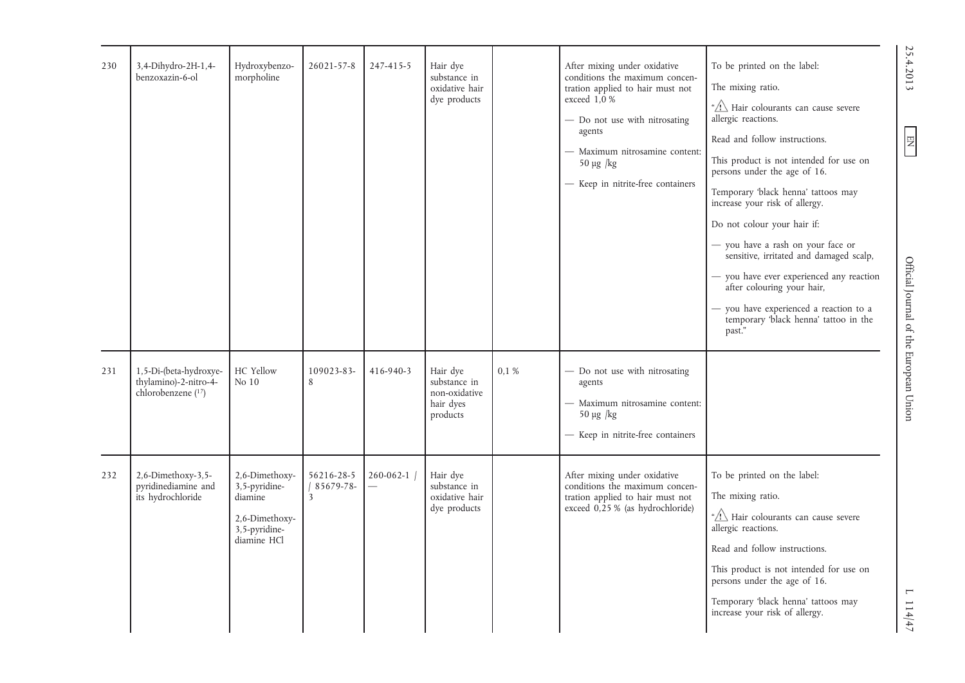| 230 | 3,4-Dihydro-2H-1,4-<br>benzoxazin-6-ol                                | Hydroxybenzo-<br>morpholine                                                                  | 26021-57-8                                            | 247-415-5       | Hair dye<br>substance in<br>oxidative hair<br>dye products         |      | After mixing under oxidative<br>conditions the maximum concen-<br>tration applied to hair must not<br>exceed 1,0 %<br>- Do not use with nitrosating<br>agents<br>- Maximum nitrosamine content:<br>$50 \mu g$ /kg<br>- Keep in nitrite-free containers | To be printed on the label:<br>The mixing ratio.<br>" <sup>"</sup> Hair colourants can cause severe<br>allergic reactions.<br>Read and follow instructions.<br>This product is not intended for use on<br>persons under the age of 16.<br>Temporary 'black henna' tattoos may<br>increase your risk of allergy.<br>Do not colour your hair if:<br>- you have a rash on your face or<br>sensitive, irritated and damaged scalp,<br>- you have ever experienced any reaction<br>after colouring your hair,<br>- you have experienced a reaction to a<br>temporary 'black henna' tattoo in the<br>past." | 25.4.2013<br>EN<br>Official Journal of the European Union |
|-----|-----------------------------------------------------------------------|----------------------------------------------------------------------------------------------|-------------------------------------------------------|-----------------|--------------------------------------------------------------------|------|--------------------------------------------------------------------------------------------------------------------------------------------------------------------------------------------------------------------------------------------------------|-------------------------------------------------------------------------------------------------------------------------------------------------------------------------------------------------------------------------------------------------------------------------------------------------------------------------------------------------------------------------------------------------------------------------------------------------------------------------------------------------------------------------------------------------------------------------------------------------------|-----------------------------------------------------------|
| 231 | 1,5-Di-(beta-hydroxye-<br>thylamino)-2-nitro-4-<br>chlorobenzene (17) | HC Yellow<br>No 10                                                                           | 109023-83-<br>8                                       | 416-940-3       | Hair dye<br>substance in<br>non-oxidative<br>hair dyes<br>products | 0.1% | - Do not use with nitrosating<br>agents<br>- Maximum nitrosamine content:<br>50 μg /kg<br>- Keep in nitrite-free containers                                                                                                                            |                                                                                                                                                                                                                                                                                                                                                                                                                                                                                                                                                                                                       |                                                           |
| 232 | 2,6-Dimethoxy-3,5-<br>pyridinediamine and<br>its hydrochloride        | 2,6-Dimethoxy-<br>3,5-pyridine-<br>diamine<br>2,6-Dimethoxy-<br>3,5-pyridine-<br>diamine HCl | 56216-28-5<br>$ 85679-78-$<br>$\overline{\mathbf{3}}$ | $260 - 062 - 1$ | Hair dye<br>substance in<br>oxidative hair<br>dye products         |      | After mixing under oxidative<br>conditions the maximum concen-<br>tration applied to hair must not<br>exceed $0,25$ % (as hydrochloride)                                                                                                               | To be printed on the label:<br>The mixing ratio.<br>"/\ Hair colourants can cause severe<br>allergic reactions.<br>Read and follow instructions.<br>This product is not intended for use on<br>persons under the age of 16.<br>Temporary 'black henna' tattoos may<br>increase your risk of allergy.                                                                                                                                                                                                                                                                                                  | $\mathbf{\Gamma}$<br>114/47                               |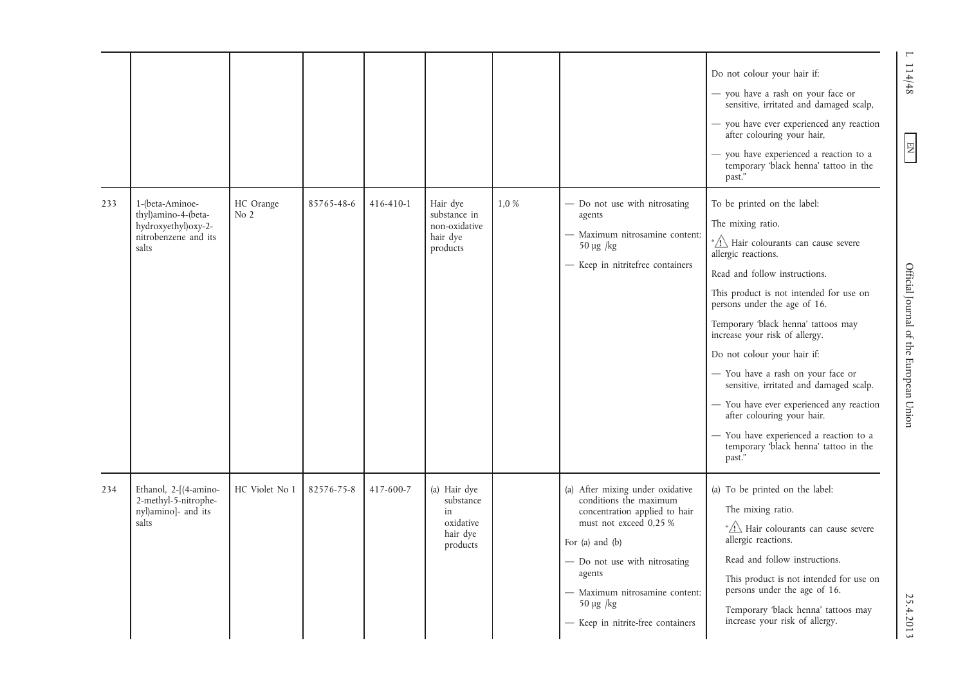|     |                                                                                                 |                   |            |           |                                                                      |      |                                                                                                                                                                                                                                                                                  | Do not colour your hair if:<br>- you have a rash on your face or<br>sensitive, irritated and damaged scalp,<br>- you have ever experienced any reaction<br>after colouring your hair,<br>- you have experienced a reaction to a<br>temporary 'black henna' tattoo in the<br>past."                                                                                                                                                                                                                                                                                                         | $\overline{\phantom{0}}$<br>114/48<br>E |
|-----|-------------------------------------------------------------------------------------------------|-------------------|------------|-----------|----------------------------------------------------------------------|------|----------------------------------------------------------------------------------------------------------------------------------------------------------------------------------------------------------------------------------------------------------------------------------|--------------------------------------------------------------------------------------------------------------------------------------------------------------------------------------------------------------------------------------------------------------------------------------------------------------------------------------------------------------------------------------------------------------------------------------------------------------------------------------------------------------------------------------------------------------------------------------------|-----------------------------------------|
| 233 | 1-(beta-Aminoe-<br>thyl)amino-4-(beta-<br>hydroxyethyl) oxy-2-<br>nitrobenzene and its<br>salts | HC Orange<br>No 2 | 85765-48-6 | 416-410-1 | Hair dye<br>substance in<br>non-oxidative<br>hair dye<br>products    | 1,0% | - Do not use with nitrosating<br>agents<br>- Maximum nitrosamine content:<br>$50 \mu g$ /kg<br>- Keep in nitritefree containers                                                                                                                                                  | To be printed on the label:<br>The mixing ratio.<br>"/\ Hair colourants can cause severe<br>allergic reactions.<br>Read and follow instructions.<br>This product is not intended for use on<br>persons under the age of 16.<br>Temporary 'black henna' tattoos may<br>increase your risk of allergy.<br>Do not colour your hair if:<br>- You have a rash on your face or<br>sensitive, irritated and damaged scalp.<br>- You have ever experienced any reaction<br>after colouring your hair.<br>- You have experienced a reaction to a<br>temporary 'black henna' tattoo in the<br>past." | Official Journal of the European Union  |
| 234 | Ethanol, 2-[(4-amino-<br>2-methyl-5-nitrophe-<br>nyl)amino]- and its<br>salts                   | HC Violet No 1    | 82576-75-8 | 417-600-7 | (a) Hair dye<br>substance<br>in<br>oxidative<br>hair dye<br>products |      | (a) After mixing under oxidative<br>conditions the maximum<br>concentration applied to hair<br>must not exceed 0,25 %<br>For $(a)$ and $(b)$<br>- Do not use with nitrosating<br>agents<br>- Maximum nitrosamine content:<br>$50 \mu g$ /kg<br>- Keep in nitrite-free containers | (a) To be printed on the label:<br>The mixing ratio.<br>" <sup>1</sup> Hair colourants can cause severe<br>allergic reactions.<br>Read and follow instructions.<br>This product is not intended for use on<br>persons under the age of 16.<br>Temporary 'black henna' tattoos may<br>increase your risk of allergy.                                                                                                                                                                                                                                                                        | 25.4.2013                               |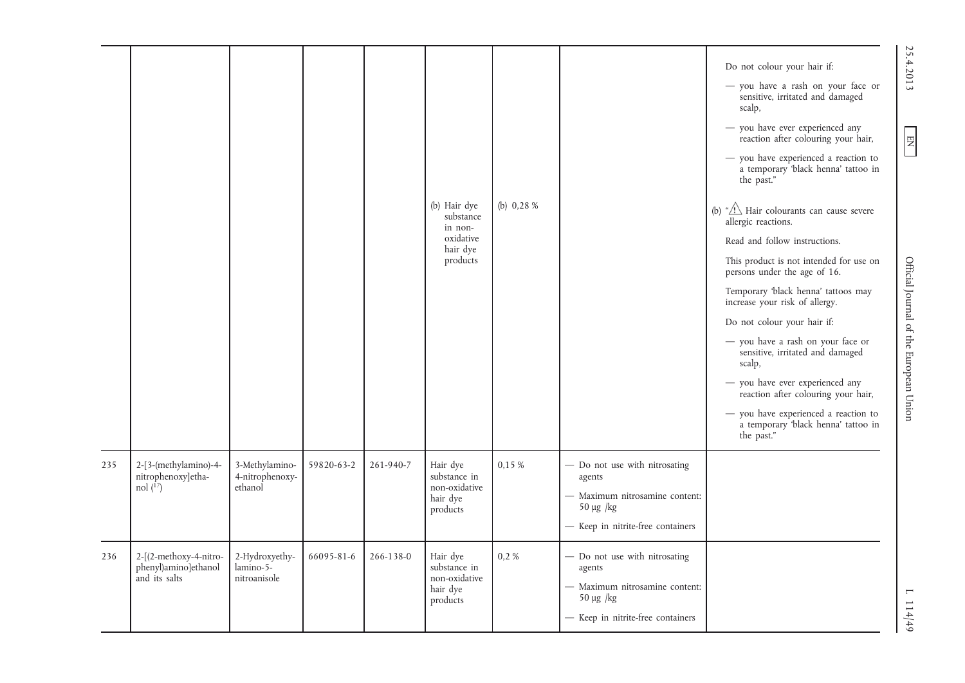|     |                                                                    |                                              |            |           | (b) Hair dye<br>substance<br>in non-<br>oxidative<br>hair dye<br>products | (b) $0,28%$ |                                                                                                 | Do not colour your hair if:<br>- you have a rash on your face or<br>sensitive, irritated and damaged<br>scalp,<br>- you have ever experienced any<br>reaction after colouring your hair,<br>- you have experienced a reaction to<br>a temporary black henna' tattoo in<br>the past."<br>(b) " $\Lambda$ Hair colourants can cause severe<br>allergic reactions.<br>Read and follow instructions.<br>This product is not intended for use on<br>persons under the age of 16.<br>Temporary 'black henna' tattoos may<br>increase your risk of allergy.<br>Do not colour your hair if:<br>- you have a rash on your face or<br>sensitive, irritated and damaged<br>scalp,<br>- you have ever experienced any<br>reaction after colouring your hair,<br>- you have experienced a reaction to<br>a temporary black henna' tattoo in | 25.4.2013<br>E<br>Official Journal of the European Union |
|-----|--------------------------------------------------------------------|----------------------------------------------|------------|-----------|---------------------------------------------------------------------------|-------------|-------------------------------------------------------------------------------------------------|--------------------------------------------------------------------------------------------------------------------------------------------------------------------------------------------------------------------------------------------------------------------------------------------------------------------------------------------------------------------------------------------------------------------------------------------------------------------------------------------------------------------------------------------------------------------------------------------------------------------------------------------------------------------------------------------------------------------------------------------------------------------------------------------------------------------------------|----------------------------------------------------------|
| 235 | 2-[3-(methylamino)-4-<br>nitrophenoxy]etha-<br>nol $(\frac{1}{7})$ | 3-Methylamino-<br>4-nitrophenoxy-<br>ethanol | 59820-63-2 | 261-940-7 | Hair dye<br>substance in<br>non-oxidative<br>hair dye<br>products         | 0,15 %      | - Do not use with nitrosating<br>agents<br>- Maximum nitrosamine content:<br>$50 \mu g$ /kg     | the past."                                                                                                                                                                                                                                                                                                                                                                                                                                                                                                                                                                                                                                                                                                                                                                                                                     |                                                          |
| 236 | 2-[(2-methoxy-4-nitro-                                             | 2-Hydroxyethy-                               | 66095-81-6 | 266-138-0 | Hair dye                                                                  | 0,2%        | - Keep in nitrite-free containers<br>- Do not use with nitrosating                              |                                                                                                                                                                                                                                                                                                                                                                                                                                                                                                                                                                                                                                                                                                                                                                                                                                |                                                          |
|     | phenyl)amino]ethanol<br>and its salts                              | lamino-5-<br>nitroanisole                    |            |           | substance in<br>non-oxidative<br>hair dye<br>products                     |             | agents<br>- Maximum nitrosamine content:<br>$50 \mu g$ /kg<br>- Keep in nitrite-free containers |                                                                                                                                                                                                                                                                                                                                                                                                                                                                                                                                                                                                                                                                                                                                                                                                                                | $\mathbf{\mathbf{\mathsf{I}}}\mathbf{)}$<br>114/49       |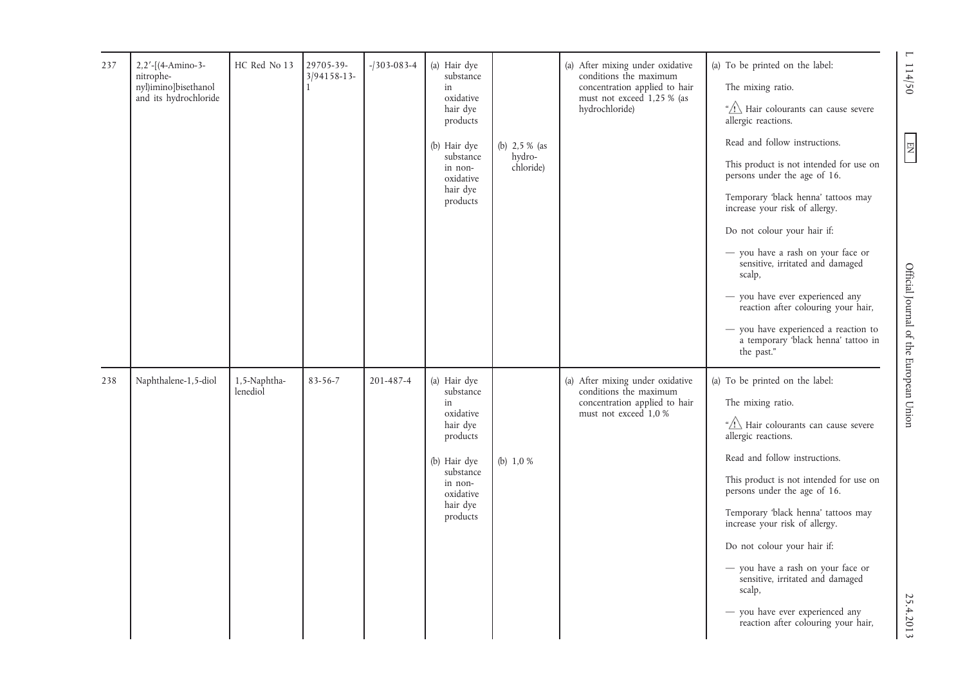| 237 | 2,2'-[(4-Amino-3-<br>nitrophe-<br>nyl)imino]bisethanol<br>and its hydrochloride | HC Red No 13             | 29705-39-<br>$3/94158 - 13$ | $-1303 - 083 - 4$ | (a) Hair dye<br>substance<br>in<br>oxidative<br>hair dye<br>products<br>(b) Hair dye                                                              | (b) $2,5%$ (as      | (a) After mixing under oxidative<br>conditions the maximum<br>concentration applied to hair<br>must not exceed 1,25 % (as<br>hydrochloride) | (a) To be printed on the label:<br>The mixing ratio.<br>"/\ Hair colourants can cause severe<br>allergic reactions.<br>Read and follow instructions.                                                                                                                                                                                                                                                                                                                                                            | $\overline{\phantom{0}}$<br>114/50<br>$\boxed{\phantom{1}}$ |
|-----|---------------------------------------------------------------------------------|--------------------------|-----------------------------|-------------------|---------------------------------------------------------------------------------------------------------------------------------------------------|---------------------|---------------------------------------------------------------------------------------------------------------------------------------------|-----------------------------------------------------------------------------------------------------------------------------------------------------------------------------------------------------------------------------------------------------------------------------------------------------------------------------------------------------------------------------------------------------------------------------------------------------------------------------------------------------------------|-------------------------------------------------------------|
|     |                                                                                 |                          |                             |                   | substance<br>in non-<br>oxidative<br>hair dye<br>products                                                                                         | hydro-<br>chloride) |                                                                                                                                             | This product is not intended for use on<br>persons under the age of 16.<br>Temporary 'black henna' tattoos may<br>increase your risk of allergy.<br>Do not colour your hair if:<br>- you have a rash on your face or<br>sensitive, irritated and damaged<br>scalp,<br>- you have ever experienced any<br>reaction after colouring your hair,<br>- you have experienced a reaction to<br>a temporary black henna' tattoo in<br>the past."                                                                        | Official Journal of the European Union                      |
| 238 | Naphthalene-1,5-diol                                                            | 1,5-Naphtha-<br>lenediol | $83 - 56 - 7$               | 201-487-4         | (a) Hair dye<br>substance<br>in<br>oxidative<br>hair dye<br>products<br>(b) Hair dye<br>substance<br>in non-<br>oxidative<br>hair dye<br>products | (b) $1,0%$          | (a) After mixing under oxidative<br>conditions the maximum<br>concentration applied to hair<br>must not exceed 1,0 %                        | (a) To be printed on the label:<br>The mixing ratio.<br>" <sup>"</sup> Hair colourants can cause severe<br>allergic reactions.<br>Read and follow instructions.<br>This product is not intended for use on<br>persons under the age of 16.<br>Temporary 'black henna' tattoos may<br>increase your risk of allergy.<br>Do not colour your hair if:<br>- you have a rash on your face or<br>sensitive, irritated and damaged<br>scalp,<br>- you have ever experienced any<br>reaction after colouring your hair, | 25.4.2013                                                   |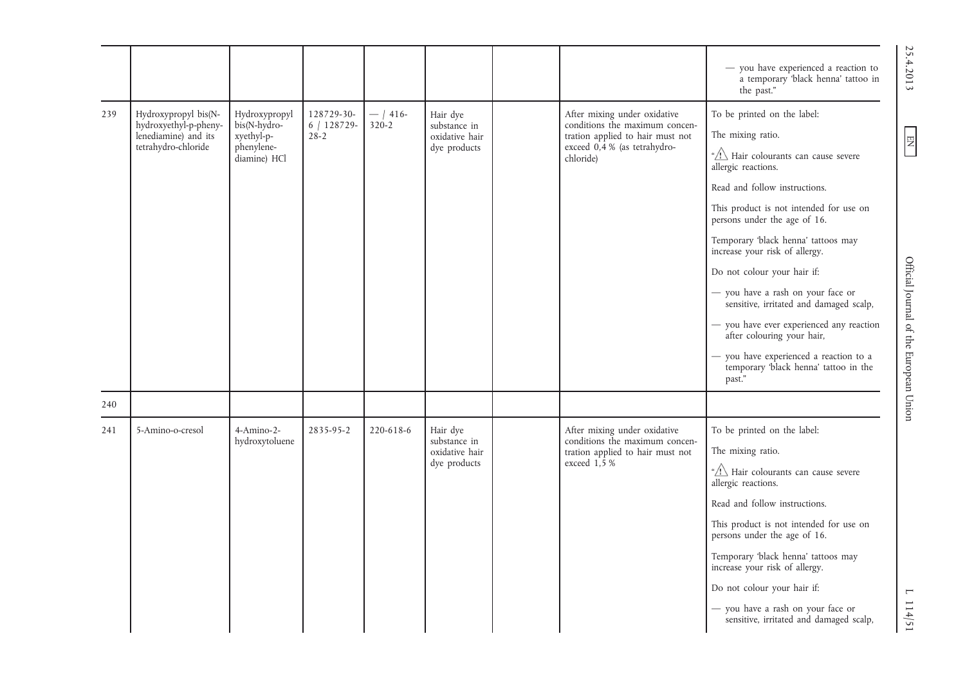|     |                                                                                              |                                                                           |                                       |                         |                                                            |                                                                                                                                                   | - you have experienced a reaction to<br>a temporary 'black henna' tattoo in<br>the past."                                                                                                                                                                                                                                                                                                                                                                                                                                                                                                           | 25.4.2013                                    |
|-----|----------------------------------------------------------------------------------------------|---------------------------------------------------------------------------|---------------------------------------|-------------------------|------------------------------------------------------------|---------------------------------------------------------------------------------------------------------------------------------------------------|-----------------------------------------------------------------------------------------------------------------------------------------------------------------------------------------------------------------------------------------------------------------------------------------------------------------------------------------------------------------------------------------------------------------------------------------------------------------------------------------------------------------------------------------------------------------------------------------------------|----------------------------------------------|
| 239 | Hydroxypropyl bis(N-<br>hydroxyethyl-p-pheny-<br>lenediamine) and its<br>tetrahydro-chloride | Hydroxypropyl<br>bis(N-hydro-<br>xyethyl-p-<br>phenylene-<br>diamine) HCl | 128729-30-<br>$6$ / 128729-<br>$28-2$ | $-$ / 416-<br>$320 - 2$ | Hair dye<br>substance in<br>oxidative hair<br>dye products | After mixing under oxidative<br>conditions the maximum concen-<br>tration applied to hair must not<br>exceed $0.4$ % (as tetrahydro-<br>chloride) | To be printed on the label:<br>The mixing ratio.<br>" <sup>"</sup> Hair colourants can cause severe<br>allergic reactions.<br>Read and follow instructions.<br>This product is not intended for use on<br>persons under the age of 16.<br>Temporary 'black henna' tattoos may<br>increase your risk of allergy.<br>Do not colour your hair if:<br>- you have a rash on your face or<br>sensitive, irritated and damaged scalp,<br>- you have ever experienced any reaction<br>after colouring your hair,<br>you have experienced a reaction to a<br>temporary 'black henna' tattoo in the<br>past." | EN<br>Official Journal of the European Union |
| 240 |                                                                                              |                                                                           |                                       |                         |                                                            |                                                                                                                                                   |                                                                                                                                                                                                                                                                                                                                                                                                                                                                                                                                                                                                     |                                              |
| 241 | 5-Amino-o-cresol                                                                             | 4-Amino-2-<br>hydroxytoluene                                              | 2835-95-2                             | 220-618-6               | Hair dye<br>substance in<br>oxidative hair<br>dye products | After mixing under oxidative<br>conditions the maximum concen-<br>tration applied to hair must not<br>exceed 1.5 %                                | To be printed on the label:<br>The mixing ratio.<br>" <sup>"</sup> Hair colourants can cause severe<br>allergic reactions.<br>Read and follow instructions.<br>This product is not intended for use on<br>persons under the age of 16.<br>Temporary 'black henna' tattoos may<br>increase your risk of allergy.                                                                                                                                                                                                                                                                                     |                                              |
|     |                                                                                              |                                                                           |                                       |                         |                                                            |                                                                                                                                                   | Do not colour your hair if:<br>- you have a rash on your face or<br>sensitive, irritated and damaged scalp,                                                                                                                                                                                                                                                                                                                                                                                                                                                                                         | $\overline{ }$<br>114/5                      |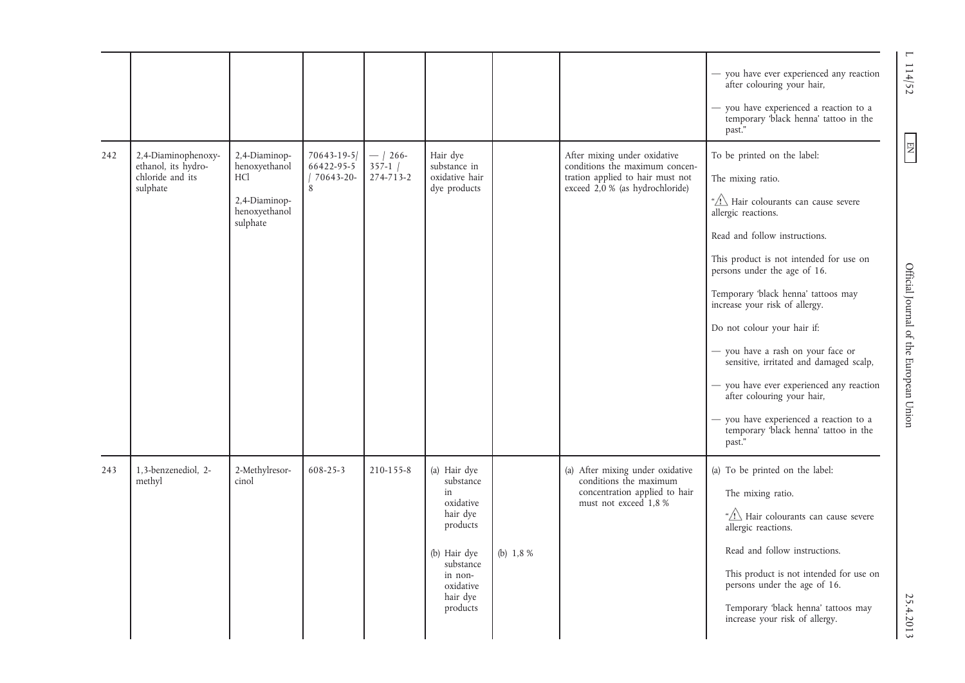|     |                                                                            |                                                                                     |                                                 |                                    |                                                                                                                                                   |            |                                                                                                                                         | - you have ever experienced any reaction<br>after colouring your hair,<br>- you have experienced a reaction to a<br>temporary 'black henna' tattoo in the<br>past."                                                                                                                                                                                                                                                                                                                                                                                                                                    |
|-----|----------------------------------------------------------------------------|-------------------------------------------------------------------------------------|-------------------------------------------------|------------------------------------|---------------------------------------------------------------------------------------------------------------------------------------------------|------------|-----------------------------------------------------------------------------------------------------------------------------------------|--------------------------------------------------------------------------------------------------------------------------------------------------------------------------------------------------------------------------------------------------------------------------------------------------------------------------------------------------------------------------------------------------------------------------------------------------------------------------------------------------------------------------------------------------------------------------------------------------------|
| 242 | 2,4-Diaminophenoxy-<br>ethanol, its hydro-<br>chloride and its<br>sulphate | 2,4-Diaminop-<br>henoxyethanol<br>HC1<br>2,4-Diaminop-<br>henoxyethanol<br>sulphate | 70643-19-5<br>66422-95-5<br>$/70643 - 20-$<br>8 | $-1266-$<br>$357-1$ /<br>274-713-2 | Hair dye<br>substance in<br>oxidative hair<br>dye products                                                                                        |            | After mixing under oxidative<br>conditions the maximum concen-<br>tration applied to hair must not<br>exceed $2,0$ % (as hydrochloride) | To be printed on the label:<br>The mixing ratio.<br>" <sup>"</sup> >Hair colourants can cause severe<br>allergic reactions.<br>Read and follow instructions.<br>This product is not intended for use on<br>persons under the age of 16.<br>Temporary 'black henna' tattoos may<br>increase your risk of allergy.<br>Do not colour your hair if:<br>- you have a rash on your face or<br>sensitive, irritated and damaged scalp,<br>- you have ever experienced any reaction<br>after colouring your hair,<br>- you have experienced a reaction to a<br>temporary 'black henna' tattoo in the<br>past." |
| 243 | 1,3-benzenediol, 2-<br>methyl                                              | 2-Methylresor-<br>cinol                                                             | $608 - 25 - 3$                                  | 210-155-8                          | (a) Hair dye<br>substance<br>in<br>oxidative<br>hair dye<br>products<br>(b) Hair dye<br>substance<br>in non-<br>oxidative<br>hair dye<br>products | (b) $1,8%$ | (a) After mixing under oxidative<br>conditions the maximum<br>concentration applied to hair<br>must not exceed 1,8 %                    | (a) To be printed on the label:<br>The mixing ratio.<br>" <sup>1</sup> Hair colourants can cause severe<br>allergic reactions.<br>Read and follow instructions.<br>This product is not intended for use on<br>persons under the age of 16.<br>Temporary 'black henna' tattoos may<br>increase your risk of allergy.                                                                                                                                                                                                                                                                                    |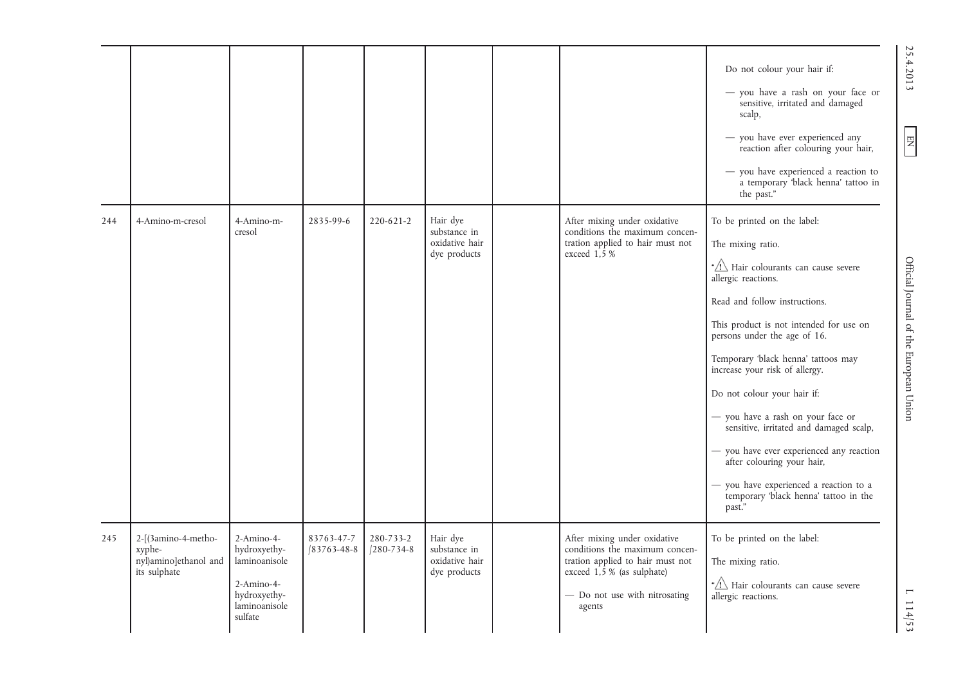|     |                                                                        |                                                                                                       |                                  |                               |                                                            |                                                                                                                                                                               | Do not colour your hair if:<br>- you have a rash on your face or<br>sensitive, irritated and damaged<br>scalp,<br>- you have ever experienced any<br>reaction after colouring your hair,<br>- you have experienced a reaction to<br>a temporary 'black henna' tattoo in<br>the past."                                                                                                                                                                                                                                                                                                               | 25.4.2013<br>EN                        |
|-----|------------------------------------------------------------------------|-------------------------------------------------------------------------------------------------------|----------------------------------|-------------------------------|------------------------------------------------------------|-------------------------------------------------------------------------------------------------------------------------------------------------------------------------------|-----------------------------------------------------------------------------------------------------------------------------------------------------------------------------------------------------------------------------------------------------------------------------------------------------------------------------------------------------------------------------------------------------------------------------------------------------------------------------------------------------------------------------------------------------------------------------------------------------|----------------------------------------|
| 244 | 4-Amino-m-cresol                                                       | 4-Amino-m-<br>cresol                                                                                  | 2835-99-6                        | 220-621-2                     | Hair dye<br>substance in<br>oxidative hair<br>dye products | After mixing under oxidative<br>conditions the maximum concen-<br>tration applied to hair must not<br>exceed 1.5 %                                                            | To be printed on the label:<br>The mixing ratio.<br>" <sup>"</sup> Hair colourants can cause severe<br>allergic reactions.<br>Read and follow instructions.<br>This product is not intended for use on<br>persons under the age of 16.<br>Temporary 'black henna' tattoos may<br>increase your risk of allergy.<br>Do not colour your hair if:<br>- you have a rash on your face or<br>sensitive, irritated and damaged scalp,<br>- you have ever experienced any reaction<br>after colouring your hair,<br>you have experienced a reaction to a<br>temporary 'black henna' tattoo in the<br>past." | Official Journal of the European Union |
| 245 | 2-[(3amino-4-metho-<br>xyphe-<br>nyl)amino]ethanol and<br>its sulphate | 2-Amino-4-<br>hydroxyethy-<br>laminoanisole<br>2-Amino-4-<br>hydroxyethy-<br>laminoanisole<br>sulfate | 83763-47-7<br>$ 83763 - 48 - 8 $ | 280-733-2<br>$/280 - 734 - 8$ | Hair dye<br>substance in<br>oxidative hair<br>dye products | After mixing under oxidative<br>conditions the maximum concen-<br>tration applied to hair must not<br>exceed $1,5$ % (as sulphate)<br>- Do not use with nitrosating<br>agents | To be printed on the label:<br>The mixing ratio.<br>"/\ Hair colourants can cause severe<br>allergic reactions.                                                                                                                                                                                                                                                                                                                                                                                                                                                                                     | $\overline{ }$<br>114/53               |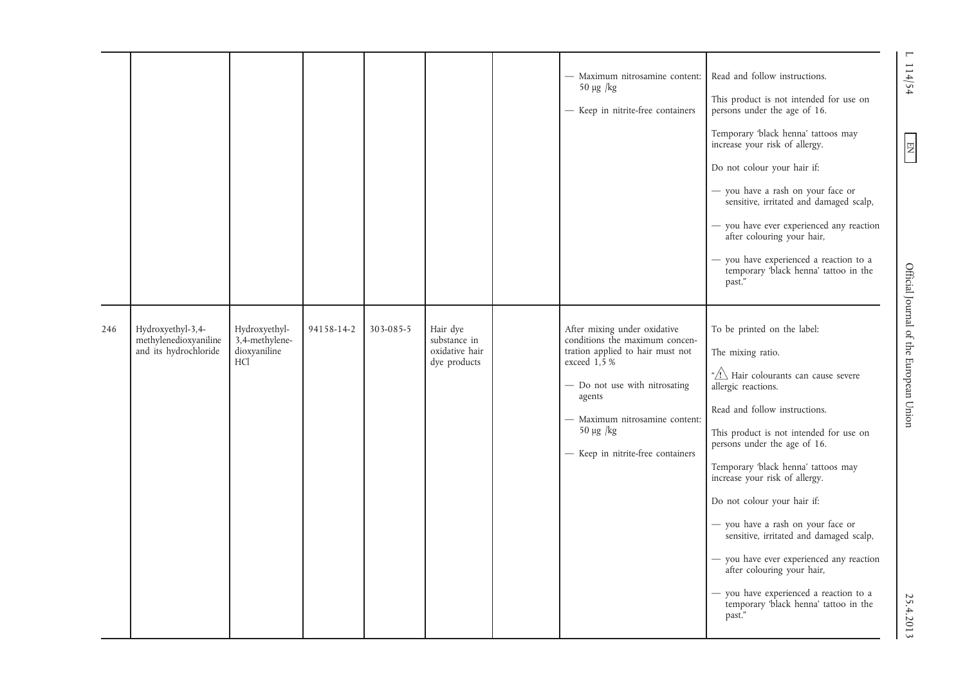|     |                                                                     |                                                        |            |           |                                                            |                                                                                                                                                                                                                                                        |                                                                                                                                                                                                                                                                                                                                                                                                                                                                                                                                                                                                       | $\mathbf{\Gamma}$                                                       |
|-----|---------------------------------------------------------------------|--------------------------------------------------------|------------|-----------|------------------------------------------------------------|--------------------------------------------------------------------------------------------------------------------------------------------------------------------------------------------------------------------------------------------------------|-------------------------------------------------------------------------------------------------------------------------------------------------------------------------------------------------------------------------------------------------------------------------------------------------------------------------------------------------------------------------------------------------------------------------------------------------------------------------------------------------------------------------------------------------------------------------------------------------------|-------------------------------------------------------------------------|
|     |                                                                     |                                                        |            |           |                                                            | - Maximum nitrosamine content:<br>$50 \mu g$ /kg<br>- Keep in nitrite-free containers                                                                                                                                                                  | Read and follow instructions.<br>This product is not intended for use on<br>persons under the age of 16.<br>Temporary 'black henna' tattoos may<br>increase your risk of allergy.<br>Do not colour your hair if:<br>- you have a rash on your face or<br>sensitive, irritated and damaged scalp,<br>- you have ever experienced any reaction<br>after colouring your hair,<br>you have experienced a reaction to a<br>temporary 'black henna' tattoo in the<br>past."                                                                                                                                 | 114/54<br>$\boxed{\phantom{\phantom{\big }\sum\limits_{1.5\text{min}}}$ |
| 246 | Hydroxyethyl-3,4-<br>methylenedioxyaniline<br>and its hydrochloride | Hydroxyethyl-<br>3,4-methylene-<br>dioxyaniline<br>HC1 | 94158-14-2 | 303-085-5 | Hair dye<br>substance in<br>oxidative hair<br>dye products | After mixing under oxidative<br>conditions the maximum concen-<br>tration applied to hair must not<br>exceed 1,5 %<br>- Do not use with nitrosating<br>agents<br>- Maximum nitrosamine content:<br>$50 \mu g$ /kg<br>- Keep in nitrite-free containers | To be printed on the label:<br>The mixing ratio.<br>" <sup>A</sup> Hair colourants can cause severe<br>allergic reactions.<br>Read and follow instructions.<br>This product is not intended for use on<br>persons under the age of 16.<br>Temporary 'black henna' tattoos may<br>increase your risk of allergy.<br>Do not colour your hair if:<br>- you have a rash on your face or<br>sensitive, irritated and damaged scalp,<br>- you have ever experienced any reaction<br>after colouring your hair,<br>- you have experienced a reaction to a<br>temporary 'black henna' tattoo in the<br>past." | Official Journal of the European Union<br>25.4.2013                     |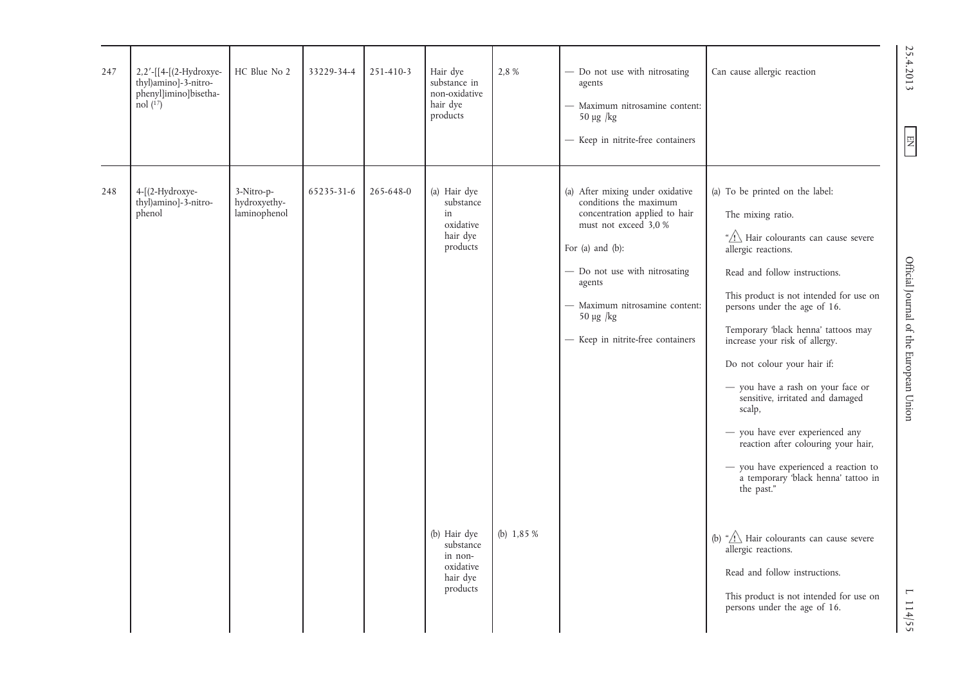| 247 | 2,2'-[[4-[(2-Hydroxye-<br>thyl)amino]-3-nitro-<br>phenyl]imino]bisetha-<br>nol $(^{17})$ | HC Blue No 2                               | 33229-34-4 | 251-410-3 | Hair dye<br>substance in<br>non-oxidative<br>hair dye<br>products                                                                                 | 2,8%        | - Do not use with nitrosating<br>agents<br>- Maximum nitrosamine content:<br>$50 \mu g$ /kg<br>- Keep in nitrite-free containers                                                                                                                                                  | Can cause allergic reaction                                                                                                                                                                                                                                                                                                                                                                                                                                                                                                                                                                                                                                                                                                                                                                         | 25.4.2013<br>EN                                                              |
|-----|------------------------------------------------------------------------------------------|--------------------------------------------|------------|-----------|---------------------------------------------------------------------------------------------------------------------------------------------------|-------------|-----------------------------------------------------------------------------------------------------------------------------------------------------------------------------------------------------------------------------------------------------------------------------------|-----------------------------------------------------------------------------------------------------------------------------------------------------------------------------------------------------------------------------------------------------------------------------------------------------------------------------------------------------------------------------------------------------------------------------------------------------------------------------------------------------------------------------------------------------------------------------------------------------------------------------------------------------------------------------------------------------------------------------------------------------------------------------------------------------|------------------------------------------------------------------------------|
| 248 | 4-[(2-Hydroxye-<br>thyl)amino]-3-nitro-<br>phenol                                        | 3-Nitro-p-<br>hydroxyethy-<br>laminophenol | 65235-31-6 | 265-648-0 | (a) Hair dye<br>substance<br>in<br>oxidative<br>hair dye<br>products<br>(b) Hair dye<br>substance<br>in non-<br>oxidative<br>hair dye<br>products | (b) $1,85%$ | (a) After mixing under oxidative<br>conditions the maximum<br>concentration applied to hair<br>must not exceed 3.0 %<br>For $(a)$ and $(b)$ :<br>- Do not use with nitrosating<br>agents<br>- Maximum nitrosamine content:<br>$50 \mu g$ /kg<br>- Keep in nitrite-free containers | (a) To be printed on the label:<br>The mixing ratio.<br>" <sup>1</sup> Hair colourants can cause severe<br>allergic reactions.<br>Read and follow instructions.<br>This product is not intended for use on<br>persons under the age of 16.<br>Temporary 'black henna' tattoos may<br>increase your risk of allergy.<br>Do not colour your hair if:<br>- you have a rash on your face or<br>sensitive, irritated and damaged<br>scalp,<br>- you have ever experienced any<br>reaction after colouring your hair,<br>- you have experienced a reaction to<br>a temporary black henna' tattoo in<br>the past."<br>(b) " $\sqrt{!}$ Hair colourants can cause severe<br>allergic reactions.<br>Read and follow instructions.<br>This product is not intended for use on<br>persons under the age of 16. | Official Journal of the European Union<br>$\overline{\phantom{0}}$<br>114/55 |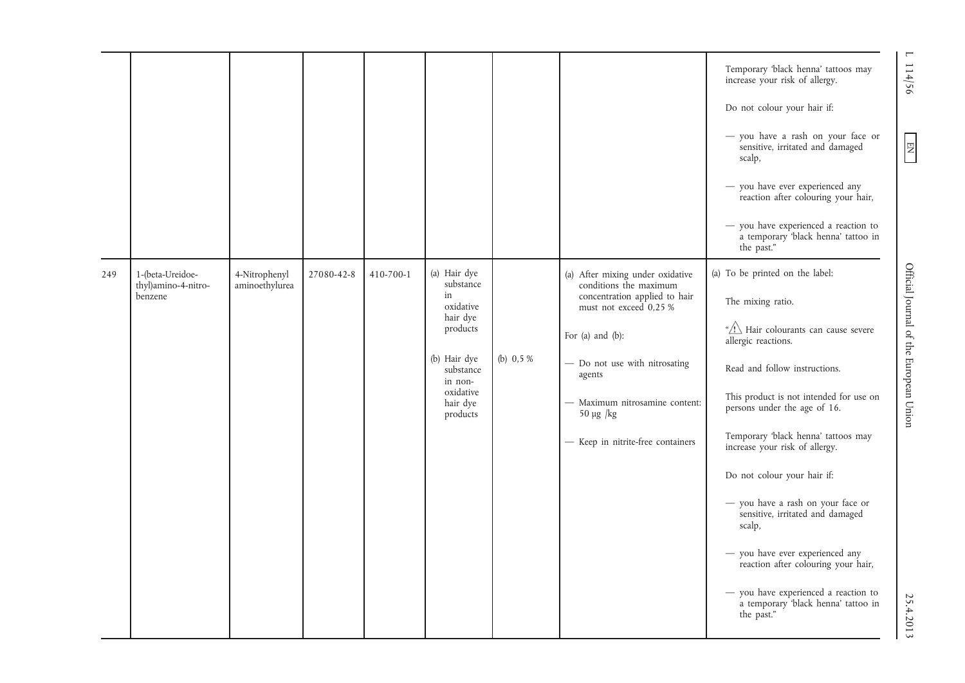|     |                                         |                                 |            |           |                                      |            |                                                            | Temporary 'black henna' tattoos may<br>increase your risk of allergy.                     | $\overline{\phantom{0}}$<br>114/56     |
|-----|-----------------------------------------|---------------------------------|------------|-----------|--------------------------------------|------------|------------------------------------------------------------|-------------------------------------------------------------------------------------------|----------------------------------------|
|     |                                         |                                 |            |           |                                      |            |                                                            | Do not colour your hair if:                                                               |                                        |
|     |                                         |                                 |            |           |                                      |            |                                                            | - you have a rash on your face or<br>sensitive, irritated and damaged<br>scalp,           | $\boxed{\phantom{1}}$                  |
|     |                                         |                                 |            |           |                                      |            |                                                            | - you have ever experienced any<br>reaction after colouring your hair,                    |                                        |
|     |                                         |                                 |            |           |                                      |            |                                                            | - you have experienced a reaction to<br>a temporary black henna' tattoo in<br>the past."  |                                        |
| 249 | 1-(beta-Ureidoe-<br>thyl)amino-4-nitro- | 4-Nitrophenyl<br>aminoethylurea | 27080-42-8 | 410-700-1 | (a) Hair dye<br>substance            |            | (a) After mixing under oxidative<br>conditions the maximum | (a) To be printed on the label:                                                           |                                        |
|     | benzene                                 |                                 |            |           | in<br>oxidative                      |            | concentration applied to hair<br>must not exceed 0,25 %    | The mixing ratio.                                                                         |                                        |
|     |                                         |                                 |            |           | hair dye<br>products                 |            | For $(a)$ and $(b)$ :                                      | " <sup>"</sup> >Hair colourants can cause severe<br>allergic reactions.                   |                                        |
|     |                                         |                                 |            |           | (b) Hair dye<br>substance<br>in non- | (b) $0,5%$ | - Do not use with nitrosating<br>agents                    | Read and follow instructions.                                                             |                                        |
|     |                                         |                                 |            |           | oxidative<br>hair dye<br>products    |            | - Maximum nitrosamine content:<br>50 μg /kg                | This product is not intended for use on<br>persons under the age of 16.                   | Official Journal of the European Union |
|     |                                         |                                 |            |           |                                      |            | - Keep in nitrite-free containers                          | Temporary 'black henna' tattoos may<br>increase your risk of allergy.                     |                                        |
|     |                                         |                                 |            |           |                                      |            |                                                            | Do not colour your hair if:                                                               |                                        |
|     |                                         |                                 |            |           |                                      |            |                                                            | - you have a rash on your face or<br>sensitive, irritated and damaged<br>scalp,           |                                        |
|     |                                         |                                 |            |           |                                      |            |                                                            | - you have ever experienced any<br>reaction after colouring your hair,                    |                                        |
|     |                                         |                                 |            |           |                                      |            |                                                            | - you have experienced a reaction to<br>a temporary 'black henna' tattoo in<br>the past." | 25.4.2013                              |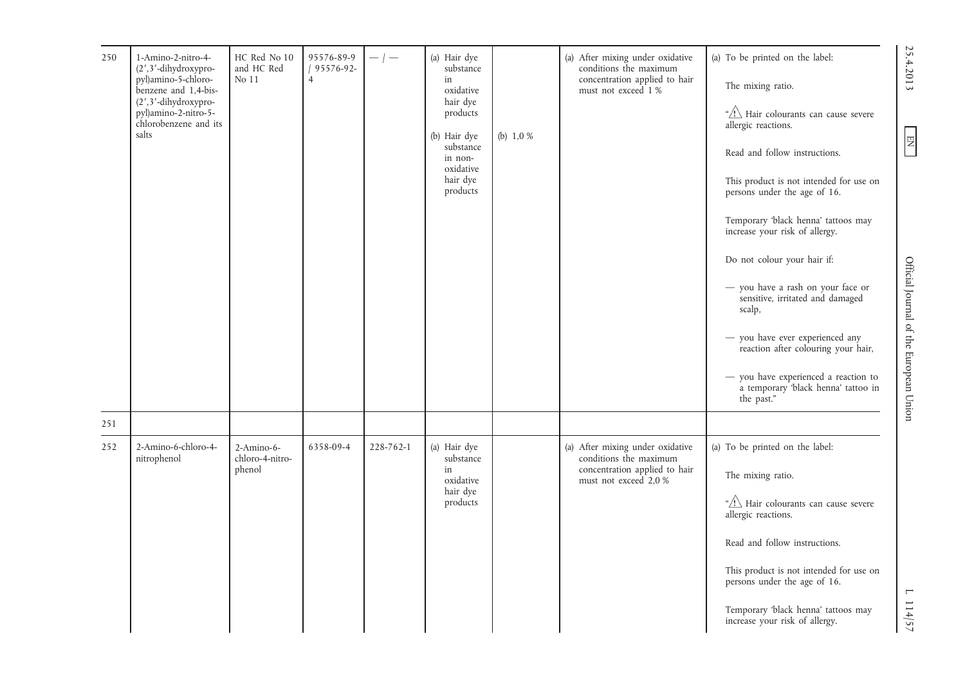| 250 | 1-Amino-2-nitro-4-<br>$(2', 3'$ -dihydroxypro-<br>pyl)amino-5-chloro-<br>benzene and 1,4-bis-<br>(2',3'-dihydroxypro-<br>pyl)amino-2-nitro-5-<br>chlorobenzene and its<br>salts | HC Red No 10<br>and HC Red<br>No $11\,$ | 95576-89-9<br>$/95576-92-$<br>$\overline{4}$ |           | (a) Hair dye<br>substance<br>in<br>oxidative<br>hair dye<br>products<br>(b) Hair dye<br>substance<br>in non-<br>oxidative<br>hair dye<br>products | (b) $1,0%$ | (a) After mixing under oxidative<br>conditions the maximum<br>concentration applied to hair<br>must not exceed 1 %   | (a) To be printed on the label:<br>The mixing ratio.<br>" <sup>"</sup> Alair colourants can cause severe<br>allergic reactions.<br>Read and follow instructions.<br>This product is not intended for use on<br>persons under the age of 16.<br>Temporary 'black henna' tattoos may<br>increase your risk of allergy.<br>Do not colour your hair if:<br>- you have a rash on your face or<br>sensitive, irritated and damaged<br>scalp,<br>- you have ever experienced any<br>reaction after colouring your hair,<br>- you have experienced a reaction to<br>a temporary black henna' tattoo in<br>the past." | 25.4.2013<br>EN<br>Official Journal of the European Union |
|-----|---------------------------------------------------------------------------------------------------------------------------------------------------------------------------------|-----------------------------------------|----------------------------------------------|-----------|---------------------------------------------------------------------------------------------------------------------------------------------------|------------|----------------------------------------------------------------------------------------------------------------------|--------------------------------------------------------------------------------------------------------------------------------------------------------------------------------------------------------------------------------------------------------------------------------------------------------------------------------------------------------------------------------------------------------------------------------------------------------------------------------------------------------------------------------------------------------------------------------------------------------------|-----------------------------------------------------------|
| 251 |                                                                                                                                                                                 |                                         |                                              |           |                                                                                                                                                   |            |                                                                                                                      |                                                                                                                                                                                                                                                                                                                                                                                                                                                                                                                                                                                                              |                                                           |
| 252 | 2-Amino-6-chloro-4-<br>nitrophenol                                                                                                                                              | 2-Amino-6-<br>chloro-4-nitro-<br>phenol | 6358-09-4                                    | 228-762-1 | (a) Hair dye<br>substance<br>in<br>oxidative<br>hair dye<br>products                                                                              |            | (a) After mixing under oxidative<br>conditions the maximum<br>concentration applied to hair<br>must not exceed 2,0 % | (a) To be printed on the label:<br>The mixing ratio.<br>" <sup>"</sup> Hair colourants can cause severe<br>allergic reactions.<br>Read and follow instructions.<br>This product is not intended for use on<br>persons under the age of 16.<br>Temporary 'black henna' tattoos may<br>increase your risk of allergy.                                                                                                                                                                                                                                                                                          | $\mathbf{\mathsf{I}}$<br>114/57                           |